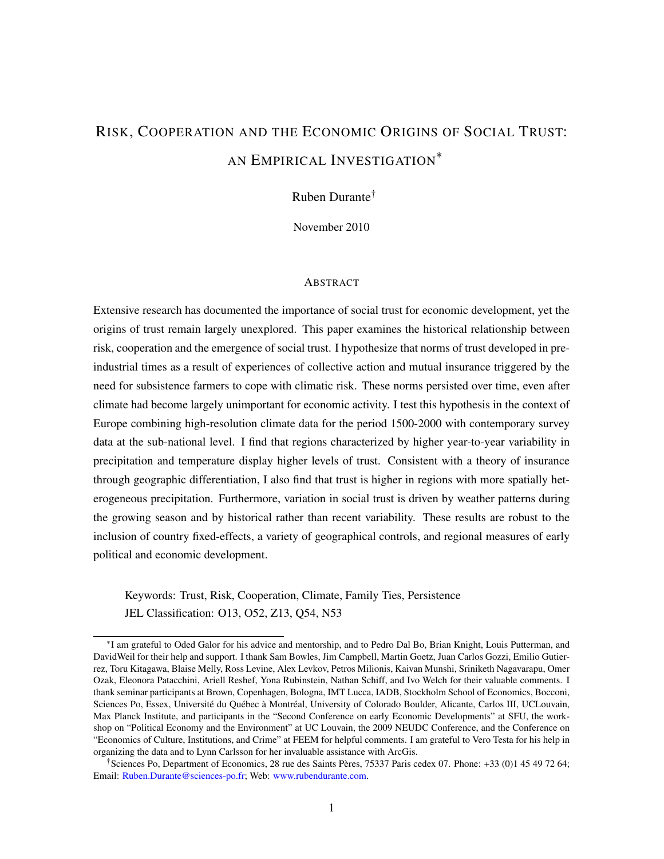# RISK, COOPERATION AND THE ECONOMIC ORIGINS OF SOCIAL TRUST: AN EMPIRICAL INVESTIGATION<sup>∗</sup>

Ruben Durante†

November 2010

### **ABSTRACT**

Extensive research has documented the importance of social trust for economic development, yet the origins of trust remain largely unexplored. This paper examines the historical relationship between risk, cooperation and the emergence of social trust. I hypothesize that norms of trust developed in preindustrial times as a result of experiences of collective action and mutual insurance triggered by the need for subsistence farmers to cope with climatic risk. These norms persisted over time, even after climate had become largely unimportant for economic activity. I test this hypothesis in the context of Europe combining high-resolution climate data for the period 1500-2000 with contemporary survey data at the sub-national level. I find that regions characterized by higher year-to-year variability in precipitation and temperature display higher levels of trust. Consistent with a theory of insurance through geographic differentiation, I also find that trust is higher in regions with more spatially heterogeneous precipitation. Furthermore, variation in social trust is driven by weather patterns during the growing season and by historical rather than recent variability. These results are robust to the inclusion of country fixed-effects, a variety of geographical controls, and regional measures of early political and economic development.

Keywords: Trust, Risk, Cooperation, Climate, Family Ties, Persistence JEL Classification: O13, O52, Z13, Q54, N53

<sup>∗</sup> I am grateful to Oded Galor for his advice and mentorship, and to Pedro Dal Bo, Brian Knight, Louis Putterman, and DavidWeil for their help and support. I thank Sam Bowles, Jim Campbell, Martin Goetz, Juan Carlos Gozzi, Emilio Gutierrez, Toru Kitagawa, Blaise Melly, Ross Levine, Alex Levkov, Petros Milionis, Kaivan Munshi, Sriniketh Nagavarapu, Omer Ozak, Eleonora Patacchini, Ariell Reshef, Yona Rubinstein, Nathan Schiff, and Ivo Welch for their valuable comments. I thank seminar participants at Brown, Copenhagen, Bologna, IMT Lucca, IADB, Stockholm School of Economics, Bocconi, Sciences Po, Essex, Université du Québec à Montréal, University of Colorado Boulder, Alicante, Carlos III, UCLouvain, Max Planck Institute, and participants in the "Second Conference on early Economic Developments" at SFU, the workshop on "Political Economy and the Environment" at UC Louvain, the 2009 NEUDC Conference, and the Conference on "Economics of Culture, Institutions, and Crime" at FEEM for helpful comments. I am grateful to Vero Testa for his help in organizing the data and to Lynn Carlsson for her invaluable assistance with ArcGis.

<sup>†</sup>Sciences Po, Department of Economics, 28 rue des Saints Pères, 75337 Paris cedex 07. Phone: +33 (0)1 45 49 72 64; Email: [Ruben.Durante@sciences-po.fr;](mailto:Ruben.Durante@sciences-po.fr) Web: [www.rubendurante.com.](http://www.rubendurante.com)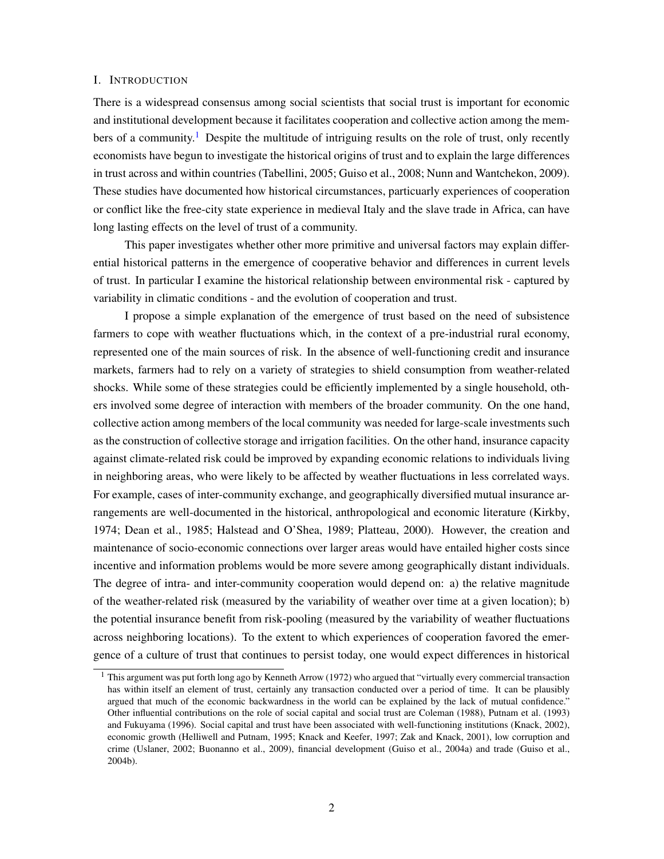## I. INTRODUCTION

There is a widespread consensus among social scientists that social trust is important for economic and institutional development because it facilitates cooperation and collective action among the mem-bers of a community.<sup>[1](#page-1-0)</sup> Despite the multitude of intriguing results on the role of trust, only recently economists have begun to investigate the historical origins of trust and to explain the large differences in trust across and within countries [\(Tabellini,](#page-30-0) [2005;](#page-30-0) [Guiso et al.,](#page-28-0) [2008;](#page-28-0) [Nunn and Wantchekon,](#page-29-0) [2009\)](#page-29-0). These studies have documented how historical circumstances, particuarly experiences of cooperation or conflict like the free-city state experience in medieval Italy and the slave trade in Africa, can have long lasting effects on the level of trust of a community.

This paper investigates whether other more primitive and universal factors may explain differential historical patterns in the emergence of cooperative behavior and differences in current levels of trust. In particular I examine the historical relationship between environmental risk - captured by variability in climatic conditions - and the evolution of cooperation and trust.

I propose a simple explanation of the emergence of trust based on the need of subsistence farmers to cope with weather fluctuations which, in the context of a pre-industrial rural economy, represented one of the main sources of risk. In the absence of well-functioning credit and insurance markets, farmers had to rely on a variety of strategies to shield consumption from weather-related shocks. While some of these strategies could be efficiently implemented by a single household, others involved some degree of interaction with members of the broader community. On the one hand, collective action among members of the local community was needed for large-scale investments such as the construction of collective storage and irrigation facilities. On the other hand, insurance capacity against climate-related risk could be improved by expanding economic relations to individuals living in neighboring areas, who were likely to be affected by weather fluctuations in less correlated ways. For example, cases of inter-community exchange, and geographically diversified mutual insurance arrangements are well-documented in the historical, anthropological and economic literature [\(Kirkby,](#page-28-1) [1974;](#page-28-1) [Dean et al.,](#page-27-0) [1985;](#page-27-0) [Halstead and O'Shea,](#page-28-2) [1989;](#page-28-2) [Platteau,](#page-30-1) [2000\)](#page-30-1). However, the creation and maintenance of socio-economic connections over larger areas would have entailed higher costs since incentive and information problems would be more severe among geographically distant individuals. The degree of intra- and inter-community cooperation would depend on: a) the relative magnitude of the weather-related risk (measured by the variability of weather over time at a given location); b) the potential insurance benefit from risk-pooling (measured by the variability of weather fluctuations across neighboring locations). To the extent to which experiences of cooperation favored the emergence of a culture of trust that continues to persist today, one would expect differences in historical

<span id="page-1-0"></span><sup>&</sup>lt;sup>1</sup> This argument was put forth long ago by Kenneth Arrow (1972) who argued that "virtually every commercial transaction has within itself an element of trust, certainly any transaction conducted over a period of time. It can be plausibly argued that much of the economic backwardness in the world can be explained by the lack of mutual confidence." Other influential contributions on the role of social capital and social trust are [Coleman](#page-27-1) [\(1988\)](#page-27-1), [Putnam et al.](#page-30-2) [\(1993\)](#page-30-2) and [Fukuyama](#page-27-2) [\(1996\)](#page-27-2). Social capital and trust have been associated with well-functioning institutions [\(Knack,](#page-28-3) [2002\)](#page-28-3), economic growth [\(Helliwell and Putnam,](#page-28-4) [1995;](#page-28-4) [Knack and Keefer,](#page-28-5) [1997;](#page-28-5) [Zak and Knack,](#page-30-3) [2001\)](#page-30-3), low corruption and crime [\(Uslaner,](#page-30-4) [2002;](#page-30-4) [Buonanno et al.,](#page-26-0) [2009\)](#page-26-0), financial development [\(Guiso et al.,](#page-28-6) [2004a\)](#page-28-6) and trade [\(Guiso et al.,](#page-28-7) [2004b\)](#page-28-7).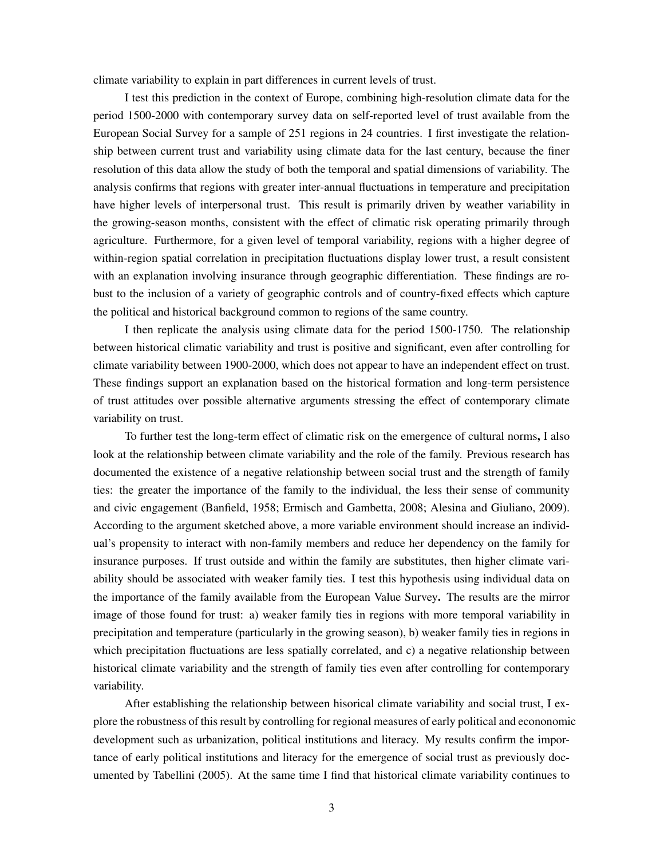climate variability to explain in part differences in current levels of trust.

I test this prediction in the context of Europe, combining high-resolution climate data for the period 1500-2000 with contemporary survey data on self-reported level of trust available from the European Social Survey for a sample of 251 regions in 24 countries. I first investigate the relationship between current trust and variability using climate data for the last century, because the finer resolution of this data allow the study of both the temporal and spatial dimensions of variability. The analysis confirms that regions with greater inter-annual fluctuations in temperature and precipitation have higher levels of interpersonal trust. This result is primarily driven by weather variability in the growing-season months, consistent with the effect of climatic risk operating primarily through agriculture. Furthermore, for a given level of temporal variability, regions with a higher degree of within-region spatial correlation in precipitation fluctuations display lower trust, a result consistent with an explanation involving insurance through geographic differentiation. These findings are robust to the inclusion of a variety of geographic controls and of country-fixed effects which capture the political and historical background common to regions of the same country.

I then replicate the analysis using climate data for the period 1500-1750. The relationship between historical climatic variability and trust is positive and significant, even after controlling for climate variability between 1900-2000, which does not appear to have an independent effect on trust. These findings support an explanation based on the historical formation and long-term persistence of trust attitudes over possible alternative arguments stressing the effect of contemporary climate variability on trust.

To further test the long-term effect of climatic risk on the emergence of cultural norms, I also look at the relationship between climate variability and the role of the family. Previous research has documented the existence of a negative relationship between social trust and the strength of family ties: the greater the importance of the family to the individual, the less their sense of community and civic engagement [\(Banfield,](#page-26-1) [1958;](#page-26-1) [Ermisch and Gambetta,](#page-27-3) [2008;](#page-27-3) [Alesina and Giuliano,](#page-26-2) [2009\)](#page-26-2). According to the argument sketched above, a more variable environment should increase an individual's propensity to interact with non-family members and reduce her dependency on the family for insurance purposes. If trust outside and within the family are substitutes, then higher climate variability should be associated with weaker family ties. I test this hypothesis using individual data on the importance of the family available from the European Value Survey. The results are the mirror image of those found for trust: a) weaker family ties in regions with more temporal variability in precipitation and temperature (particularly in the growing season), b) weaker family ties in regions in which precipitation fluctuations are less spatially correlated, and c) a negative relationship between historical climate variability and the strength of family ties even after controlling for contemporary variability.

After establishing the relationship between hisorical climate variability and social trust, I explore the robustness of this result by controlling for regional measures of early political and econonomic development such as urbanization, political institutions and literacy. My results confirm the importance of early political institutions and literacy for the emergence of social trust as previously documented by [Tabellini](#page-30-0) [\(2005\)](#page-30-0). At the same time I find that historical climate variability continues to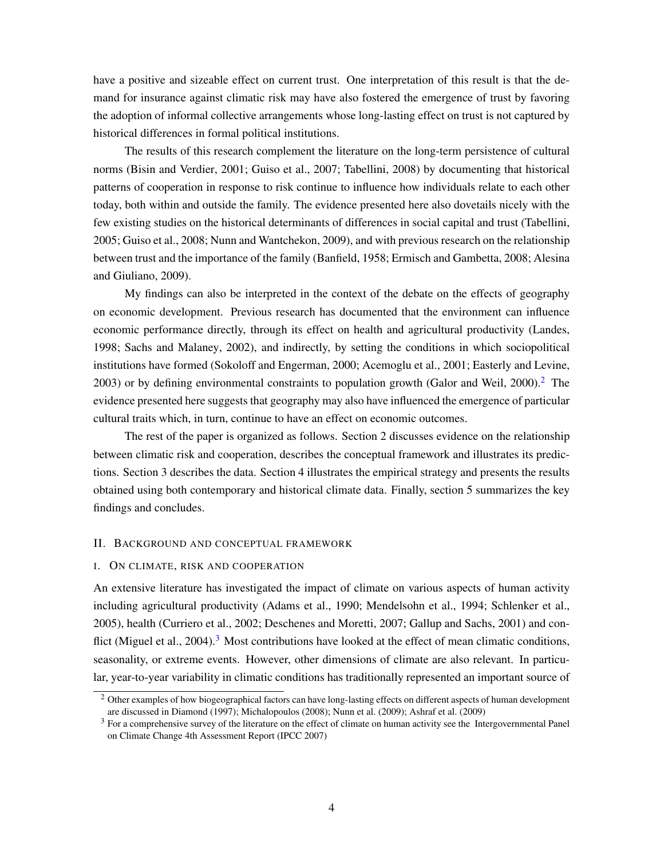have a positive and sizeable effect on current trust. One interpretation of this result is that the demand for insurance against climatic risk may have also fostered the emergence of trust by favoring the adoption of informal collective arrangements whose long-lasting effect on trust is not captured by historical differences in formal political institutions.

The results of this research complement the literature on the long-term persistence of cultural norms [\(Bisin and Verdier,](#page-26-3) [2001;](#page-26-3) [Guiso et al.,](#page-28-8) [2007;](#page-28-8) [Tabellini,](#page-30-5) [2008\)](#page-30-5) by documenting that historical patterns of cooperation in response to risk continue to influence how individuals relate to each other today, both within and outside the family. The evidence presented here also dovetails nicely with the few existing studies on the historical determinants of differences in social capital and trust [\(Tabellini,](#page-30-0) [2005;](#page-30-0) [Guiso et al.,](#page-28-0) [2008;](#page-28-0) [Nunn and Wantchekon,](#page-29-0) [2009\)](#page-29-0), and with previous research on the relationship between trust and the importance of the family [\(Banfield,](#page-26-1) [1958;](#page-26-1) [Ermisch and Gambetta,](#page-27-3) [2008;](#page-27-3) [Alesina](#page-26-2) [and Giuliano,](#page-26-2) [2009\)](#page-26-2).

My findings can also be interpreted in the context of the debate on the effects of geography on economic development. Previous research has documented that the environment can influence economic performance directly, through its effect on health and agricultural productivity [\(Landes,](#page-28-9) [1998;](#page-28-9) [Sachs and Malaney,](#page-30-6) [2002\)](#page-30-6), and indirectly, by setting the conditions in which sociopolitical institutions have formed [\(Sokoloff and Engerman,](#page-30-7) [2000;](#page-30-7) [Acemoglu et al.,](#page-26-4) [2001;](#page-26-4) [Easterly and Levine,](#page-27-4) [2003\)](#page-27-4) or by defining environmental constraints to population growth [\(Galor and Weil,](#page-27-5)  $2000$  $2000$ ).<sup>2</sup> The evidence presented here suggests that geography may also have influenced the emergence of particular cultural traits which, in turn, continue to have an effect on economic outcomes.

The rest of the paper is organized as follows. Section 2 discusses evidence on the relationship between climatic risk and cooperation, describes the conceptual framework and illustrates its predictions. Section 3 describes the data. Section 4 illustrates the empirical strategy and presents the results obtained using both contemporary and historical climate data. Finally, section 5 summarizes the key findings and concludes.

#### II. BACKGROUND AND CONCEPTUAL FRAMEWORK

### I. ON CLIMATE, RISK AND COOPERATION

An extensive literature has investigated the impact of climate on various aspects of human activity including agricultural productivity [\(Adams et al.,](#page-26-5) [1990;](#page-26-5) [Mendelsohn et al.,](#page-29-1) [1994;](#page-29-1) [Schlenker et al.,](#page-30-8) [2005\)](#page-30-8), health [\(Curriero et al.,](#page-27-6) [2002;](#page-27-6) [Deschenes and Moretti,](#page-27-7) [2007;](#page-27-7) [Gallup and Sachs,](#page-27-8) [2001\)](#page-27-8) and con-flict [\(Miguel et al.,](#page-29-2) [2004\)](#page-29-2).<sup>[3](#page-3-1)</sup> Most contributions have looked at the effect of mean climatic conditions, seasonality, or extreme events. However, other dimensions of climate are also relevant. In particular, year-to-year variability in climatic conditions has traditionally represented an important source of

<span id="page-3-0"></span><sup>&</sup>lt;sup>2</sup> Other examples of how biogeographical factors can have long-lasting effects on different aspects of human development are discussed in [Diamond](#page-27-9) [\(1997\)](#page-27-9); [Michalopoulos](#page-29-3) [\(2008\)](#page-29-3); [Nunn et al.](#page-29-4) [\(2009\)](#page-29-4); [Ashraf et al.](#page-26-6) [\(2009\)](#page-26-6)

<span id="page-3-1"></span><sup>&</sup>lt;sup>3</sup> For a comprehensive survey of the literature on the effect of climate on human activity see the Intergovernmental Panel on Climate Change 4th Assessment Report (IPCC 2007)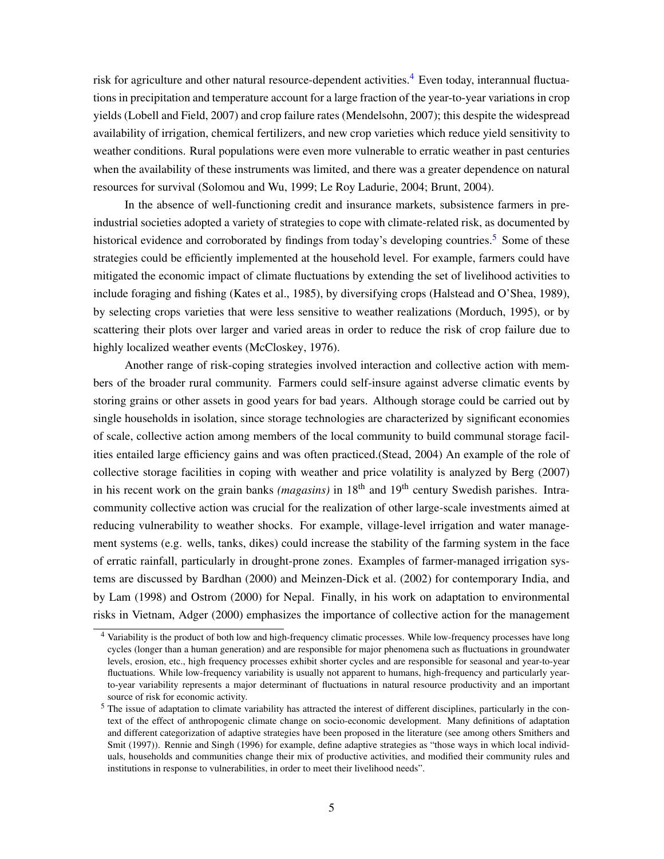risk for agriculture and other natural resource-dependent activities.<sup>[4](#page-4-0)</sup> Even today, interannual fluctuations in precipitation and temperature account for a large fraction of the year-to-year variations in crop yields [\(Lobell and Field,](#page-28-10) [2007\)](#page-28-10) and crop failure rates [\(Mendelsohn,](#page-29-5) [2007\)](#page-29-5); this despite the widespread availability of irrigation, chemical fertilizers, and new crop varieties which reduce yield sensitivity to weather conditions. Rural populations were even more vulnerable to erratic weather in past centuries when the availability of these instruments was limited, and there was a greater dependence on natural resources for survival [\(Solomou and Wu,](#page-30-9) [1999;](#page-30-9) [Le Roy Ladurie,](#page-28-11) [2004;](#page-28-11) [Brunt,](#page-26-7) [2004\)](#page-26-7).

In the absence of well-functioning credit and insurance markets, subsistence farmers in preindustrial societies adopted a variety of strategies to cope with climate-related risk, as documented by historical evidence and corroborated by findings from today's developing countries.<sup>[5](#page-4-1)</sup> Some of these strategies could be efficiently implemented at the household level. For example, farmers could have mitigated the economic impact of climate fluctuations by extending the set of livelihood activities to include foraging and fishing [\(Kates et al.,](#page-28-12) [1985\)](#page-28-12), by diversifying crops [\(Halstead and O'Shea,](#page-28-2) [1989\)](#page-28-2), by selecting crops varieties that were less sensitive to weather realizations [\(Morduch,](#page-29-6) [1995\)](#page-29-6), or by scattering their plots over larger and varied areas in order to reduce the risk of crop failure due to highly localized weather events [\(McCloskey,](#page-29-7) [1976\)](#page-29-7).

Another range of risk-coping strategies involved interaction and collective action with members of the broader rural community. Farmers could self-insure against adverse climatic events by storing grains or other assets in good years for bad years. Although storage could be carried out by single households in isolation, since storage technologies are characterized by significant economies of scale, collective action among members of the local community to build communal storage facilities entailed large efficiency gains and was often practiced.[\(Stead,](#page-30-10) [2004\)](#page-30-10) An example of the role of collective storage facilities in coping with weather and price volatility is analyzed by [Berg](#page-26-8) [\(2007\)](#page-26-8) in his recent work on the grain banks *(magasins)* in 18<sup>th</sup> and 19<sup>th</sup> century Swedish parishes. Intracommunity collective action was crucial for the realization of other large-scale investments aimed at reducing vulnerability to weather shocks. For example, village-level irrigation and water management systems (e.g. wells, tanks, dikes) could increase the stability of the farming system in the face of erratic rainfall, particularly in drought-prone zones. Examples of farmer-managed irrigation systems are discussed by [Bardhan](#page-26-9) [\(2000\)](#page-26-9) and [Meinzen-Dick et al.](#page-29-8) [\(2002\)](#page-29-8) for contemporary India, and by [Lam](#page-28-13) [\(1998\)](#page-28-13) and [Ostrom](#page-29-9) [\(2000\)](#page-29-9) for Nepal. Finally, in his work on adaptation to environmental risks in Vietnam, [Adger](#page-26-10) [\(2000\)](#page-26-10) emphasizes the importance of collective action for the management

<span id="page-4-0"></span><sup>4</sup> Variability is the product of both low and high-frequency climatic processes. While low-frequency processes have long cycles (longer than a human generation) and are responsible for major phenomena such as fluctuations in groundwater levels, erosion, etc., high frequency processes exhibit shorter cycles and are responsible for seasonal and year-to-year fluctuations. While low-frequency variability is usually not apparent to humans, high-frequency and particularly yearto-year variability represents a major determinant of fluctuations in natural resource productivity and an important source of risk for economic activity.

<span id="page-4-1"></span><sup>5</sup> The issue of adaptation to climate variability has attracted the interest of different disciplines, particularly in the context of the effect of anthropogenic climate change on socio-economic development. Many definitions of adaptation and different categorization of adaptive strategies have been proposed in the literature (see among others [Smithers and](#page-30-11) [Smit](#page-30-11) [\(1997\)](#page-30-11)). [Rennie and Singh](#page-30-12) [\(1996\)](#page-30-12) for example, define adaptive strategies as "those ways in which local individuals, households and communities change their mix of productive activities, and modified their community rules and institutions in response to vulnerabilities, in order to meet their livelihood needs".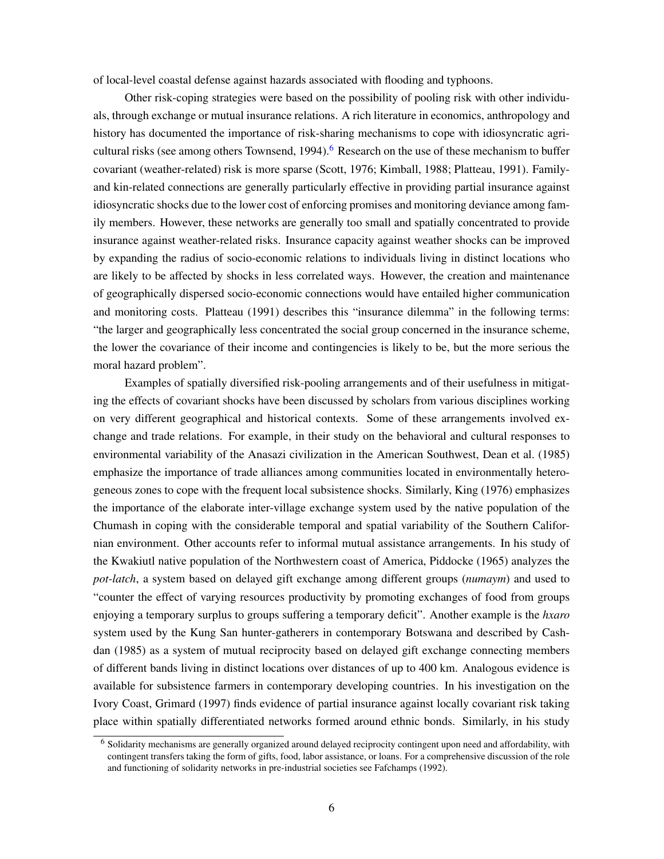of local-level coastal defense against hazards associated with flooding and typhoons.

Other risk-coping strategies were based on the possibility of pooling risk with other individuals, through exchange or mutual insurance relations. A rich literature in economics, anthropology and history has documented the importance of risk-sharing mechanisms to cope with idiosyncratic agri-cultural risks (see among others [Townsend,](#page-30-13)  $1994$ ).<sup>[6](#page-5-0)</sup> Research on the use of these mechanism to buffer covariant (weather-related) risk is more sparse [\(Scott,](#page-30-14) [1976;](#page-30-14) [Kimball,](#page-28-14) [1988;](#page-28-14) [Platteau,](#page-30-15) [1991\)](#page-30-15). Familyand kin-related connections are generally particularly effective in providing partial insurance against idiosyncratic shocks due to the lower cost of enforcing promises and monitoring deviance among family members. However, these networks are generally too small and spatially concentrated to provide insurance against weather-related risks. Insurance capacity against weather shocks can be improved by expanding the radius of socio-economic relations to individuals living in distinct locations who are likely to be affected by shocks in less correlated ways. However, the creation and maintenance of geographically dispersed socio-economic connections would have entailed higher communication and monitoring costs. [Platteau](#page-30-15) [\(1991\)](#page-30-15) describes this "insurance dilemma" in the following terms: "the larger and geographically less concentrated the social group concerned in the insurance scheme, the lower the covariance of their income and contingencies is likely to be, but the more serious the moral hazard problem".

Examples of spatially diversified risk-pooling arrangements and of their usefulness in mitigating the effects of covariant shocks have been discussed by scholars from various disciplines working on very different geographical and historical contexts. Some of these arrangements involved exchange and trade relations. For example, in their study on the behavioral and cultural responses to environmental variability of the Anasazi civilization in the American Southwest, [Dean et al.](#page-27-0) [\(1985\)](#page-27-0) emphasize the importance of trade alliances among communities located in environmentally heterogeneous zones to cope with the frequent local subsistence shocks. Similarly, [King](#page-28-15) [\(1976\)](#page-28-15) emphasizes the importance of the elaborate inter-village exchange system used by the native population of the Chumash in coping with the considerable temporal and spatial variability of the Southern Californian environment. Other accounts refer to informal mutual assistance arrangements. In his study of the Kwakiutl native population of the Northwestern coast of America, [Piddocke](#page-30-16) [\(1965\)](#page-30-16) analyzes the *pot-latch*, a system based on delayed gift exchange among different groups (*numaym*) and used to "counter the effect of varying resources productivity by promoting exchanges of food from groups enjoying a temporary surplus to groups suffering a temporary deficit". Another example is the *hxaro* system used by the Kung San hunter-gatherers in contemporary Botswana and described by [Cash](#page-27-10)[dan](#page-27-10) [\(1985\)](#page-27-10) as a system of mutual reciprocity based on delayed gift exchange connecting members of different bands living in distinct locations over distances of up to 400 km. Analogous evidence is available for subsistence farmers in contemporary developing countries. In his investigation on the Ivory Coast, [Grimard](#page-27-11) [\(1997\)](#page-27-11) finds evidence of partial insurance against locally covariant risk taking place within spatially differentiated networks formed around ethnic bonds. Similarly, in his study

<span id="page-5-0"></span><sup>6</sup> Solidarity mechanisms are generally organized around delayed reciprocity contingent upon need and affordability, with contingent transfers taking the form of gifts, food, labor assistance, or loans. For a comprehensive discussion of the role and functioning of solidarity networks in pre-industrial societies see [Fafchamps](#page-27-12) [\(1992\)](#page-27-12).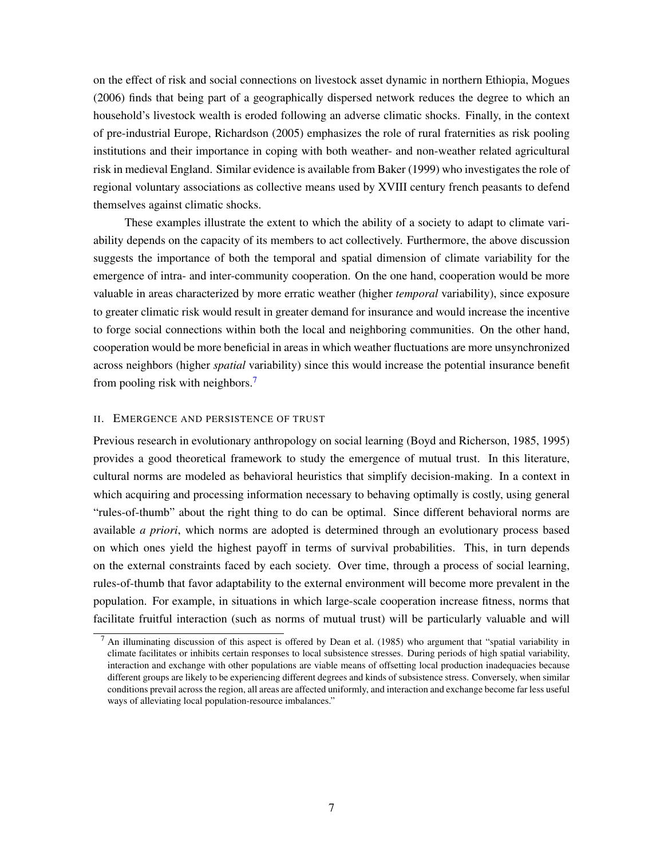on the effect of risk and social connections on livestock asset dynamic in northern Ethiopia, [Mogues](#page-29-10) [\(2006\)](#page-29-10) finds that being part of a geographically dispersed network reduces the degree to which an household's livestock wealth is eroded following an adverse climatic shocks. Finally, in the context of pre-industrial Europe, [Richardson](#page-30-17) [\(2005\)](#page-30-17) emphasizes the role of rural fraternities as risk pooling institutions and their importance in coping with both weather- and non-weather related agricultural risk in medieval England. Similar evidence is available from [Baker](#page-26-11) [\(1999\)](#page-26-11) who investigates the role of regional voluntary associations as collective means used by XVIII century french peasants to defend themselves against climatic shocks.

These examples illustrate the extent to which the ability of a society to adapt to climate variability depends on the capacity of its members to act collectively. Furthermore, the above discussion suggests the importance of both the temporal and spatial dimension of climate variability for the emergence of intra- and inter-community cooperation. On the one hand, cooperation would be more valuable in areas characterized by more erratic weather (higher *temporal* variability), since exposure to greater climatic risk would result in greater demand for insurance and would increase the incentive to forge social connections within both the local and neighboring communities. On the other hand, cooperation would be more beneficial in areas in which weather fluctuations are more unsynchronized across neighbors (higher *spatial* variability) since this would increase the potential insurance benefit from pooling risk with neighbors.[7](#page-6-0)

## II. EMERGENCE AND PERSISTENCE OF TRUST

Previous research in evolutionary anthropology on social learning [\(Boyd and Richerson,](#page-26-12) [1985,](#page-26-12) [1995\)](#page-26-13) provides a good theoretical framework to study the emergence of mutual trust. In this literature, cultural norms are modeled as behavioral heuristics that simplify decision-making. In a context in which acquiring and processing information necessary to behaving optimally is costly, using general "rules-of-thumb" about the right thing to do can be optimal. Since different behavioral norms are available *a priori*, which norms are adopted is determined through an evolutionary process based on which ones yield the highest payoff in terms of survival probabilities. This, in turn depends on the external constraints faced by each society. Over time, through a process of social learning, rules-of-thumb that favor adaptability to the external environment will become more prevalent in the population. For example, in situations in which large-scale cooperation increase fitness, norms that facilitate fruitful interaction (such as norms of mutual trust) will be particularly valuable and will

<span id="page-6-0"></span> $^7$  An illuminating discussion of this aspect is offered by [Dean et al.](#page-27-0) [\(1985\)](#page-27-0) who argument that "spatial variability in climate facilitates or inhibits certain responses to local subsistence stresses. During periods of high spatial variability, interaction and exchange with other populations are viable means of offsetting local production inadequacies because different groups are likely to be experiencing different degrees and kinds of subsistence stress. Conversely, when similar conditions prevail across the region, all areas are affected uniformly, and interaction and exchange become far less useful ways of alleviating local population-resource imbalances."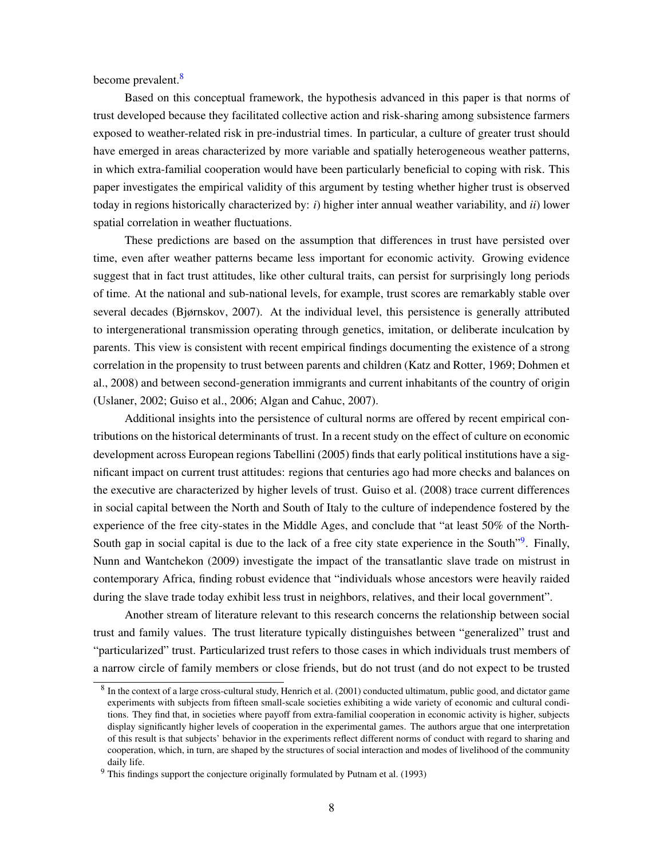become prevalent.<sup>[8](#page-7-0)</sup>

Based on this conceptual framework, the hypothesis advanced in this paper is that norms of trust developed because they facilitated collective action and risk-sharing among subsistence farmers exposed to weather-related risk in pre-industrial times. In particular, a culture of greater trust should have emerged in areas characterized by more variable and spatially heterogeneous weather patterns, in which extra-familial cooperation would have been particularly beneficial to coping with risk. This paper investigates the empirical validity of this argument by testing whether higher trust is observed today in regions historically characterized by: *i*) higher inter annual weather variability, and *ii*) lower spatial correlation in weather fluctuations.

These predictions are based on the assumption that differences in trust have persisted over time, even after weather patterns became less important for economic activity. Growing evidence suggest that in fact trust attitudes, like other cultural traits, can persist for surprisingly long periods of time. At the national and sub-national levels, for example, trust scores are remarkably stable over several decades [\(Bjørnskov,](#page-26-14) [2007\)](#page-26-14). At the individual level, this persistence is generally attributed to intergenerational transmission operating through genetics, imitation, or deliberate inculcation by parents. This view is consistent with recent empirical findings documenting the existence of a strong correlation in the propensity to trust between parents and children [\(Katz and Rotter,](#page-28-16) [1969;](#page-28-16) [Dohmen et](#page-27-13) [al.,](#page-27-13) [2008\)](#page-27-13) and between second-generation immigrants and current inhabitants of the country of origin [\(Uslaner,](#page-30-4) [2002;](#page-30-4) [Guiso et al.,](#page-28-17) [2006;](#page-28-17) [Algan and Cahuc,](#page-26-15) [2007\)](#page-26-15).

Additional insights into the persistence of cultural norms are offered by recent empirical contributions on the historical determinants of trust. In a recent study on the effect of culture on economic development across European regions [Tabellini](#page-30-0) [\(2005\)](#page-30-0) finds that early political institutions have a significant impact on current trust attitudes: regions that centuries ago had more checks and balances on the executive are characterized by higher levels of trust. [Guiso et al.](#page-28-0) [\(2008\)](#page-28-0) trace current differences in social capital between the North and South of Italy to the culture of independence fostered by the experience of the free city-states in the Middle Ages, and conclude that "at least 50% of the North-South gap in social capital is due to the lack of a free city state experience in the South"<sup>[9](#page-7-1)</sup>. Finally, [Nunn and Wantchekon](#page-29-0) [\(2009\)](#page-29-0) investigate the impact of the transatlantic slave trade on mistrust in contemporary Africa, finding robust evidence that "individuals whose ancestors were heavily raided during the slave trade today exhibit less trust in neighbors, relatives, and their local government".

Another stream of literature relevant to this research concerns the relationship between social trust and family values. The trust literature typically distinguishes between "generalized" trust and "particularized" trust. Particularized trust refers to those cases in which individuals trust members of a narrow circle of family members or close friends, but do not trust (and do not expect to be trusted

<span id="page-7-0"></span> $8$  In the context of a large cross-cultural study, [Henrich et al.](#page-28-18) [\(2001\)](#page-28-18) conducted ultimatum, public good, and dictator game experiments with subjects from fifteen small-scale societies exhibiting a wide variety of economic and cultural conditions. They find that, in societies where payoff from extra-familial cooperation in economic activity is higher, subjects display significantly higher levels of cooperation in the experimental games. The authors argue that one interpretation of this result is that subjects' behavior in the experiments reflect different norms of conduct with regard to sharing and cooperation, which, in turn, are shaped by the structures of social interaction and modes of livelihood of the community daily life.

<span id="page-7-1"></span><sup>&</sup>lt;sup>9</sup> This findings support the conjecture originally formulated by [Putnam et al.](#page-30-2) [\(1993\)](#page-30-2)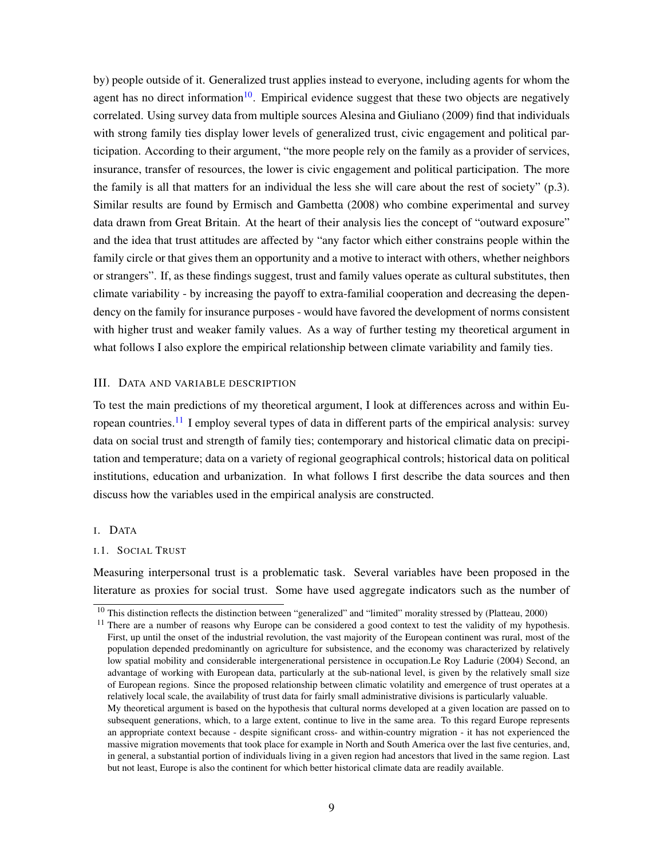by) people outside of it. Generalized trust applies instead to everyone, including agents for whom the agent has no direct information $10$ . Empirical evidence suggest that these two objects are negatively correlated. Using survey data from multiple sources [Alesina and Giuliano](#page-26-2) [\(2009\)](#page-26-2) find that individuals with strong family ties display lower levels of generalized trust, civic engagement and political participation. According to their argument, "the more people rely on the family as a provider of services, insurance, transfer of resources, the lower is civic engagement and political participation. The more the family is all that matters for an individual the less she will care about the rest of society" (p.3). Similar results are found by [Ermisch and Gambetta](#page-27-3) [\(2008\)](#page-27-3) who combine experimental and survey data drawn from Great Britain. At the heart of their analysis lies the concept of "outward exposure" and the idea that trust attitudes are affected by "any factor which either constrains people within the family circle or that gives them an opportunity and a motive to interact with others, whether neighbors or strangers". If, as these findings suggest, trust and family values operate as cultural substitutes, then climate variability - by increasing the payoff to extra-familial cooperation and decreasing the dependency on the family for insurance purposes - would have favored the development of norms consistent with higher trust and weaker family values. As a way of further testing my theoretical argument in what follows I also explore the empirical relationship between climate variability and family ties.

#### III. DATA AND VARIABLE DESCRIPTION

To test the main predictions of my theoretical argument, I look at differences across and within Eu-ropean countries.<sup>[11](#page-8-1)</sup> I employ several types of data in different parts of the empirical analysis: survey data on social trust and strength of family ties; contemporary and historical climatic data on precipitation and temperature; data on a variety of regional geographical controls; historical data on political institutions, education and urbanization. In what follows I first describe the data sources and then discuss how the variables used in the empirical analysis are constructed.

## I. DATA

# I.1. SOCIAL TRUST

Measuring interpersonal trust is a problematic task. Several variables have been proposed in the literature as proxies for social trust. Some have used aggregate indicators such as the number of

<span id="page-8-0"></span> $10$  This distinction reflects the distinction between "generalized" and "limited" morality stressed by [\(Platteau,](#page-30-1) [2000\)](#page-30-1)

<span id="page-8-1"></span><sup>&</sup>lt;sup>11</sup> There are a number of reasons why Europe can be considered a good context to test the validity of my hypothesis. First, up until the onset of the industrial revolution, the vast majority of the European continent was rural, most of the population depended predominantly on agriculture for subsistence, and the economy was characterized by relatively low spatial mobility and considerable intergenerational persistence in occupation[.Le Roy Ladurie](#page-28-11) [\(2004\)](#page-28-11) Second, an advantage of working with European data, particularly at the sub-national level, is given by the relatively small size of European regions. Since the proposed relationship between climatic volatility and emergence of trust operates at a relatively local scale, the availability of trust data for fairly small administrative divisions is particularly valuable. My theoretical argument is based on the hypothesis that cultural norms developed at a given location are passed on to subsequent generations, which, to a large extent, continue to live in the same area. To this regard Europe represents an appropriate context because - despite significant cross- and within-country migration - it has not experienced the massive migration movements that took place for example in North and South America over the last five centuries, and, in general, a substantial portion of individuals living in a given region had ancestors that lived in the same region. Last but not least, Europe is also the continent for which better historical climate data are readily available.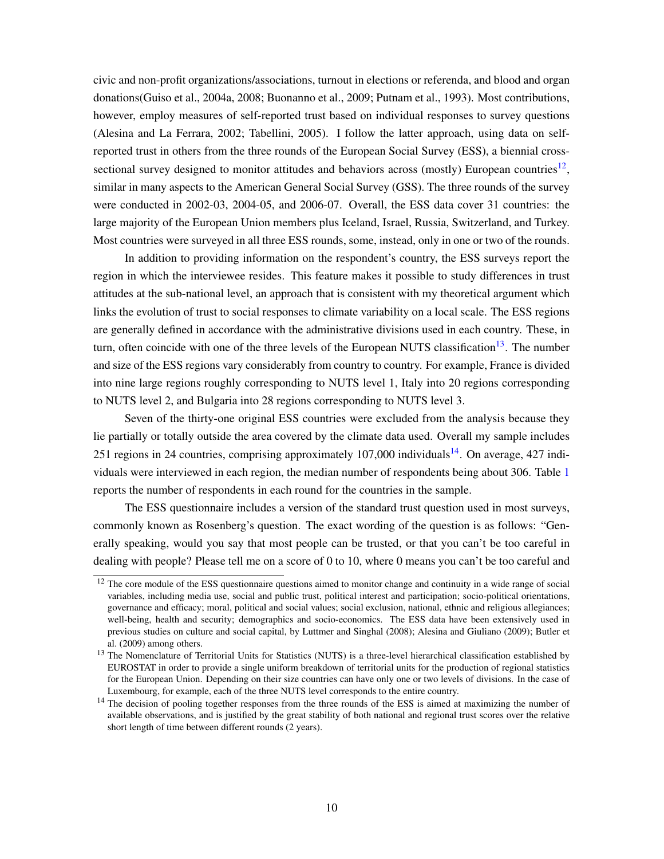civic and non-profit organizations/associations, turnout in elections or referenda, and blood and organ donations[\(Guiso et al.,](#page-28-6) [2004a,](#page-28-6) [2008;](#page-28-0) [Buonanno et al.,](#page-26-0) [2009;](#page-26-0) [Putnam et al.,](#page-30-2) [1993\)](#page-30-2). Most contributions, however, employ measures of self-reported trust based on individual responses to survey questions [\(Alesina and La Ferrara,](#page-26-16) [2002;](#page-26-16) [Tabellini,](#page-30-0) [2005\)](#page-30-0). I follow the latter approach, using data on selfreported trust in others from the three rounds of the European Social Survey (ESS), a biennial cross-sectional survey designed to monitor attitudes and behaviors across (mostly) European countries<sup>[12](#page-9-0)</sup>, similar in many aspects to the American General Social Survey (GSS). The three rounds of the survey were conducted in 2002-03, 2004-05, and 2006-07. Overall, the ESS data cover 31 countries: the large majority of the European Union members plus Iceland, Israel, Russia, Switzerland, and Turkey. Most countries were surveyed in all three ESS rounds, some, instead, only in one or two of the rounds.

In addition to providing information on the respondent's country, the ESS surveys report the region in which the interviewee resides. This feature makes it possible to study differences in trust attitudes at the sub-national level, an approach that is consistent with my theoretical argument which links the evolution of trust to social responses to climate variability on a local scale. The ESS regions are generally defined in accordance with the administrative divisions used in each country. These, in turn, often coincide with one of the three levels of the European NUTS classification<sup>[13](#page-9-1)</sup>. The number and size of the ESS regions vary considerably from country to country. For example, France is divided into nine large regions roughly corresponding to NUTS level 1, Italy into 20 regions corresponding to NUTS level 2, and Bulgaria into 28 regions corresponding to NUTS level 3.

Seven of the thirty-one original ESS countries were excluded from the analysis because they lie partially or totally outside the area covered by the climate data used. Overall my sample includes 251 regions in 24 countries, comprising approximately 107,000 individuals<sup>[14](#page-9-2)</sup>. On average, 427 individuals were interviewed in each region, the median number of respondents being about 306. Table [1](#page-31-0) reports the number of respondents in each round for the countries in the sample.

The ESS questionnaire includes a version of the standard trust question used in most surveys, commonly known as Rosenberg's question. The exact wording of the question is as follows: "Generally speaking, would you say that most people can be trusted, or that you can't be too careful in dealing with people? Please tell me on a score of 0 to 10, where 0 means you can't be too careful and

<span id="page-9-0"></span> $12$  The core module of the ESS questionnaire questions aimed to monitor change and continuity in a wide range of social variables, including media use, social and public trust, political interest and participation; socio-political orientations, governance and efficacy; moral, political and social values; social exclusion, national, ethnic and religious allegiances; well-being, health and security; demographics and socio-economics. The ESS data have been extensively used in previous studies on culture and social capital, by [Luttmer and Singhal](#page-29-11) [\(2008\)](#page-29-11); [Alesina and Giuliano](#page-26-2) [\(2009\)](#page-26-2); [Butler et](#page-26-17) [al.](#page-26-17) [\(2009\)](#page-26-17) among others.

<span id="page-9-1"></span><sup>&</sup>lt;sup>13</sup> The Nomenclature of Territorial Units for Statistics (NUTS) is a three-level hierarchical classification established by EUROSTAT in order to provide a single uniform breakdown of territorial units for the production of regional statistics for the European Union. Depending on their size countries can have only one or two levels of divisions. In the case of Luxembourg, for example, each of the three NUTS level corresponds to the entire country.

<span id="page-9-2"></span><sup>&</sup>lt;sup>14</sup> The decision of pooling together responses from the three rounds of the ESS is aimed at maximizing the number of available observations, and is justified by the great stability of both national and regional trust scores over the relative short length of time between different rounds (2 years).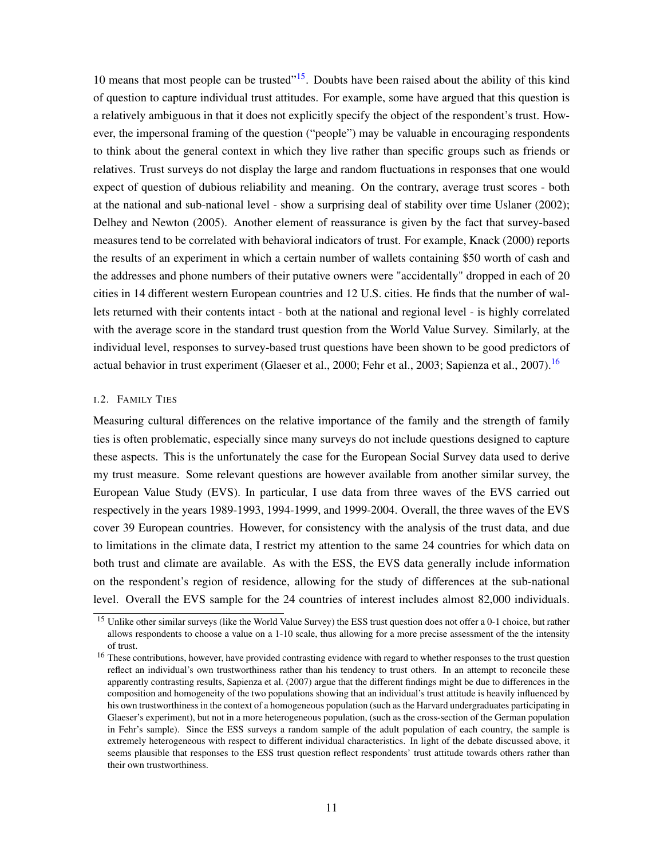10 means that most people can be trusted $^{15}$  $^{15}$  $^{15}$ . Doubts have been raised about the ability of this kind of question to capture individual trust attitudes. For example, some have argued that this question is a relatively ambiguous in that it does not explicitly specify the object of the respondent's trust. However, the impersonal framing of the question ("people") may be valuable in encouraging respondents to think about the general context in which they live rather than specific groups such as friends or relatives. Trust surveys do not display the large and random fluctuations in responses that one would expect of question of dubious reliability and meaning. On the contrary, average trust scores - both at the national and sub-national level - show a surprising deal of stability over time [Uslaner](#page-30-4) [\(2002\)](#page-30-4); [Delhey and Newton](#page-27-14) [\(2005\)](#page-27-14). Another element of reassurance is given by the fact that survey-based measures tend to be correlated with behavioral indicators of trust. For example, Knack (2000) reports the results of an experiment in which a certain number of wallets containing \$50 worth of cash and the addresses and phone numbers of their putative owners were "accidentally" dropped in each of 20 cities in 14 different western European countries and 12 U.S. cities. He finds that the number of wallets returned with their contents intact - both at the national and regional level - is highly correlated with the average score in the standard trust question from the World Value Survey. Similarly, at the individual level, responses to survey-based trust questions have been shown to be good predictors of actual behavior in trust experiment [\(Glaeser et al.,](#page-27-15) [2000;](#page-27-15) [Fehr et al.,](#page-27-16) [2003;](#page-27-16) [Sapienza et al.,](#page-30-18) [2007\)](#page-30-18).[16](#page-10-1)

# I.2. FAMILY TIES

Measuring cultural differences on the relative importance of the family and the strength of family ties is often problematic, especially since many surveys do not include questions designed to capture these aspects. This is the unfortunately the case for the European Social Survey data used to derive my trust measure. Some relevant questions are however available from another similar survey, the European Value Study (EVS). In particular, I use data from three waves of the EVS carried out respectively in the years 1989-1993, 1994-1999, and 1999-2004. Overall, the three waves of the EVS cover 39 European countries. However, for consistency with the analysis of the trust data, and due to limitations in the climate data, I restrict my attention to the same 24 countries for which data on both trust and climate are available. As with the ESS, the EVS data generally include information on the respondent's region of residence, allowing for the study of differences at the sub-national level. Overall the EVS sample for the 24 countries of interest includes almost 82,000 individuals.

<span id="page-10-0"></span><sup>&</sup>lt;sup>15</sup> Unlike other similar surveys (like the World Value Survey) the ESS trust question does not offer a 0-1 choice, but rather allows respondents to choose a value on a 1-10 scale, thus allowing for a more precise assessment of the the intensity of trust.

<span id="page-10-1"></span><sup>&</sup>lt;sup>16</sup> These contributions, however, have provided contrasting evidence with regard to whether responses to the trust question reflect an individual's own trustworthiness rather than his tendency to trust others. In an attempt to reconcile these apparently contrasting results, [Sapienza et al.](#page-30-18) [\(2007\)](#page-30-18) argue that the different findings might be due to differences in the composition and homogeneity of the two populations showing that an individual's trust attitude is heavily influenced by his own trustworthiness in the context of a homogeneous population (such as the Harvard undergraduates participating in Glaeser's experiment), but not in a more heterogeneous population, (such as the cross-section of the German population in Fehr's sample). Since the ESS surveys a random sample of the adult population of each country, the sample is extremely heterogeneous with respect to different individual characteristics. In light of the debate discussed above, it seems plausible that responses to the ESS trust question reflect respondents' trust attitude towards others rather than their own trustworthiness.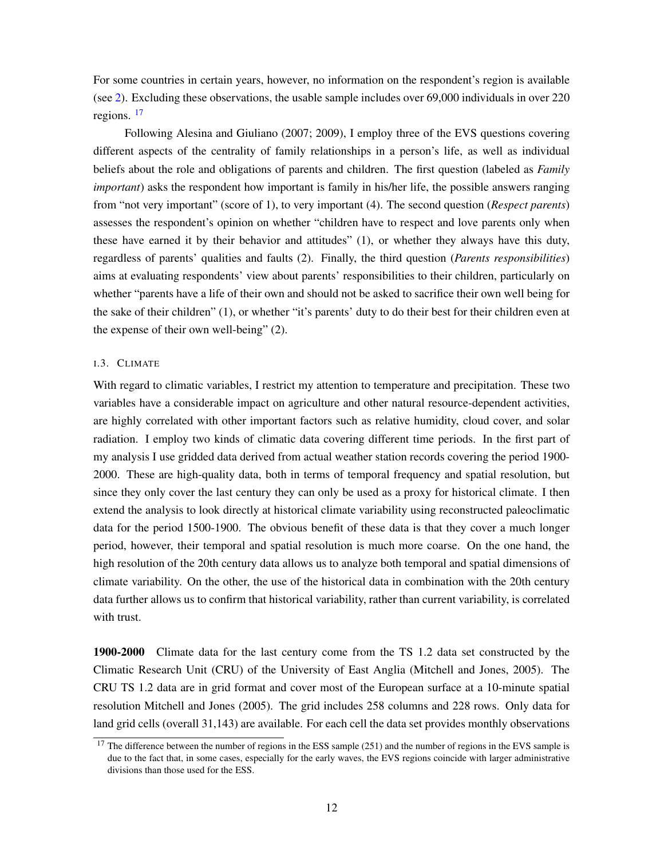For some countries in certain years, however, no information on the respondent's region is available (see [2\)](#page-32-0). Excluding these observations, the usable sample includes over 69,000 individuals in over 220 regions.<sup>[17](#page-11-0)</sup>

Following Alesina and Giuliano [\(2007;](#page-26-18) [2009\)](#page-26-2), I employ three of the EVS questions covering different aspects of the centrality of family relationships in a person's life, as well as individual beliefs about the role and obligations of parents and children. The first question (labeled as *Family important*) asks the respondent how important is family in his/her life, the possible answers ranging from "not very important" (score of 1), to very important (4). The second question (*Respect parents*) assesses the respondent's opinion on whether "children have to respect and love parents only when these have earned it by their behavior and attitudes" (1), or whether they always have this duty, regardless of parents' qualities and faults (2). Finally, the third question (*Parents responsibilities*) aims at evaluating respondents' view about parents' responsibilities to their children, particularly on whether "parents have a life of their own and should not be asked to sacrifice their own well being for the sake of their children" (1), or whether "it's parents' duty to do their best for their children even at the expense of their own well-being" (2).

### I.3. CLIMATE

With regard to climatic variables, I restrict my attention to temperature and precipitation. These two variables have a considerable impact on agriculture and other natural resource-dependent activities, are highly correlated with other important factors such as relative humidity, cloud cover, and solar radiation. I employ two kinds of climatic data covering different time periods. In the first part of my analysis I use gridded data derived from actual weather station records covering the period 1900- 2000. These are high-quality data, both in terms of temporal frequency and spatial resolution, but since they only cover the last century they can only be used as a proxy for historical climate. I then extend the analysis to look directly at historical climate variability using reconstructed paleoclimatic data for the period 1500-1900. The obvious benefit of these data is that they cover a much longer period, however, their temporal and spatial resolution is much more coarse. On the one hand, the high resolution of the 20th century data allows us to analyze both temporal and spatial dimensions of climate variability. On the other, the use of the historical data in combination with the 20th century data further allows us to confirm that historical variability, rather than current variability, is correlated with trust.

1900-2000 Climate data for the last century come from the TS 1.2 data set constructed by the Climatic Research Unit (CRU) of the University of East Anglia [\(Mitchell and Jones,](#page-29-12) [2005\)](#page-29-12). The CRU TS 1.2 data are in grid format and cover most of the European surface at a 10-minute spatial resolution [Mitchell and Jones](#page-29-12) [\(2005\)](#page-29-12). The grid includes 258 columns and 228 rows. Only data for land grid cells (overall 31,143) are available. For each cell the data set provides monthly observations

<span id="page-11-0"></span><sup>&</sup>lt;sup>17</sup> The difference between the number of regions in the ESS sample (251) and the number of regions in the EVS sample is due to the fact that, in some cases, especially for the early waves, the EVS regions coincide with larger administrative divisions than those used for the ESS.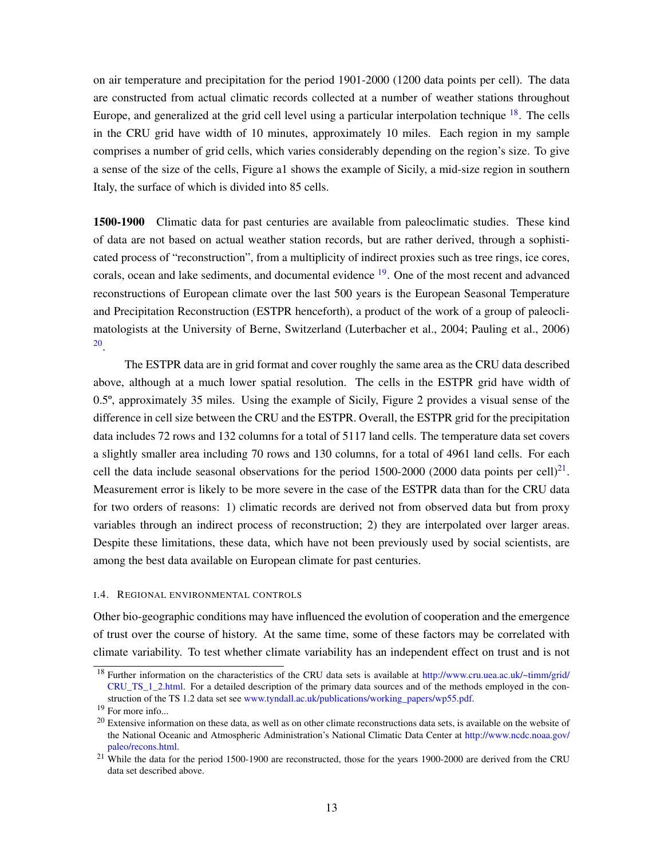on air temperature and precipitation for the period 1901-2000 (1200 data points per cell). The data are constructed from actual climatic records collected at a number of weather stations throughout Europe, and generalized at the grid cell level using a particular interpolation technique  $^{18}$  $^{18}$  $^{18}$ . The cells in the CRU grid have width of 10 minutes, approximately 10 miles. Each region in my sample comprises a number of grid cells, which varies considerably depending on the region's size. To give a sense of the size of the cells, Figure a1 shows the example of Sicily, a mid-size region in southern Italy, the surface of which is divided into 85 cells.

1500-1900 Climatic data for past centuries are available from paleoclimatic studies. These kind of data are not based on actual weather station records, but are rather derived, through a sophisticated process of "reconstruction", from a multiplicity of indirect proxies such as tree rings, ice cores, corals, ocean and lake sediments, and documental evidence <sup>[19](#page-12-1)</sup>. One of the most recent and advanced reconstructions of European climate over the last 500 years is the European Seasonal Temperature and Precipitation Reconstruction (ESTPR henceforth), a product of the work of a group of paleoclimatologists at the University of Berne, Switzerland [\(Luterbacher et al.,](#page-29-13) [2004;](#page-29-13) [Pauling et al.,](#page-29-14) [2006\)](#page-29-14) [20](#page-12-2) .

The ESTPR data are in grid format and cover roughly the same area as the CRU data described above, although at a much lower spatial resolution. The cells in the ESTPR grid have width of 0.5º, approximately 35 miles. Using the example of Sicily, Figure 2 provides a visual sense of the difference in cell size between the CRU and the ESTPR. Overall, the ESTPR grid for the precipitation data includes 72 rows and 132 columns for a total of 5117 land cells. The temperature data set covers a slightly smaller area including 70 rows and 130 columns, for a total of 4961 land cells. For each cell the data include seasonal observations for the period  $1500-2000$  (2000 data points per cell)<sup>[21](#page-12-3)</sup>. Measurement error is likely to be more severe in the case of the ESTPR data than for the CRU data for two orders of reasons: 1) climatic records are derived not from observed data but from proxy variables through an indirect process of reconstruction; 2) they are interpolated over larger areas. Despite these limitations, these data, which have not been previously used by social scientists, are among the best data available on European climate for past centuries.

#### I.4. REGIONAL ENVIRONMENTAL CONTROLS

Other bio-geographic conditions may have influenced the evolution of cooperation and the emergence of trust over the course of history. At the same time, some of these factors may be correlated with climate variability. To test whether climate variability has an independent effect on trust and is not

<span id="page-12-0"></span><sup>&</sup>lt;sup>18</sup> Further information on the characteristics of the CRU data sets is available at [http://www.cru.uea.ac.uk/~timm/grid/](http://www.cru.uea.ac.uk/~timm/grid/CRU_TS_1_2.html) [CRU\\_TS\\_1\\_2.html.](http://www.cru.uea.ac.uk/~timm/grid/CRU_TS_1_2.html) For a detailed description of the primary data sources and of the methods employed in the construction of the TS 1.2 data set see [www.tyndall.ac.uk/publications/working\\_papers/wp55.pdf.](www.tyndall.ac.uk/publications/working_papers/wp55.pdf)

<span id="page-12-1"></span><sup>&</sup>lt;sup>19</sup> For more info...

<span id="page-12-2"></span> $20$  Extensive information on these data, as well as on other climate reconstructions data sets, is available on the website of the National Oceanic and Atmospheric Administration's National Climatic Data Center at [http://www.ncdc.noaa.gov/](http://www.ncdc.noaa.gov/paleo/recons.html) [paleo/recons.html.](http://www.ncdc.noaa.gov/paleo/recons.html)

<span id="page-12-3"></span> $21$  While the data for the period 1500-1900 are reconstructed, those for the years 1900-2000 are derived from the CRU data set described above.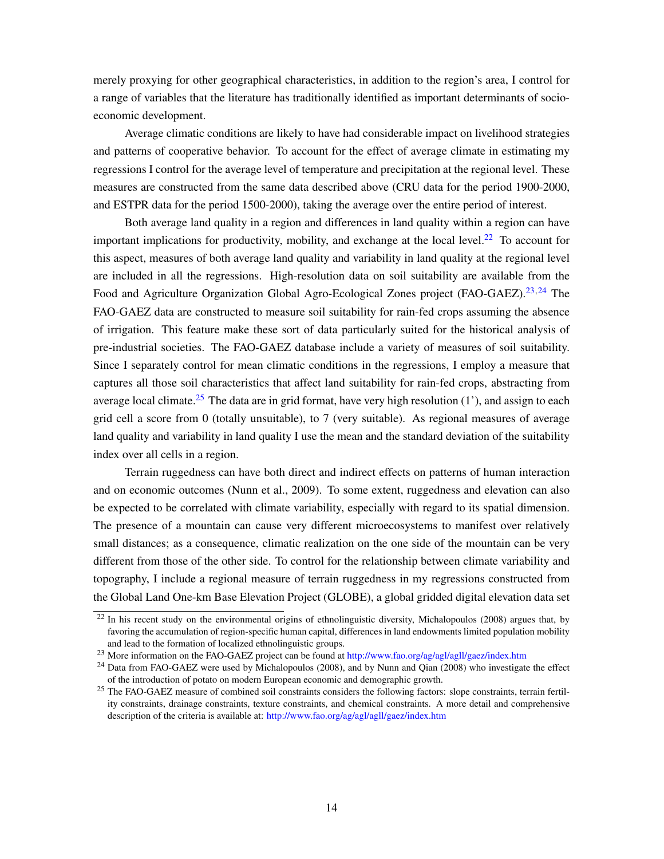merely proxying for other geographical characteristics, in addition to the region's area, I control for a range of variables that the literature has traditionally identified as important determinants of socioeconomic development.

Average climatic conditions are likely to have had considerable impact on livelihood strategies and patterns of cooperative behavior. To account for the effect of average climate in estimating my regressions I control for the average level of temperature and precipitation at the regional level. These measures are constructed from the same data described above (CRU data for the period 1900-2000, and ESTPR data for the period 1500-2000), taking the average over the entire period of interest.

Both average land quality in a region and differences in land quality within a region can have important implications for productivity, mobility, and exchange at the local level.<sup>[22](#page-13-0)</sup> To account for this aspect, measures of both average land quality and variability in land quality at the regional level are included in all the regressions. High-resolution data on soil suitability are available from the Food and Agriculture Organization Global Agro-Ecological Zones project (FAO-GAEZ).<sup>[23](#page-13-1),[24](#page-13-2)</sup> The FAO-GAEZ data are constructed to measure soil suitability for rain-fed crops assuming the absence of irrigation. This feature make these sort of data particularly suited for the historical analysis of pre-industrial societies. The FAO-GAEZ database include a variety of measures of soil suitability. Since I separately control for mean climatic conditions in the regressions, I employ a measure that captures all those soil characteristics that affect land suitability for rain-fed crops, abstracting from average local climate.<sup>[25](#page-13-3)</sup> The data are in grid format, have very high resolution  $(1')$ , and assign to each grid cell a score from 0 (totally unsuitable), to 7 (very suitable). As regional measures of average land quality and variability in land quality I use the mean and the standard deviation of the suitability index over all cells in a region.

Terrain ruggedness can have both direct and indirect effects on patterns of human interaction and on economic outcomes [\(Nunn et al.,](#page-29-4) [2009\)](#page-29-4). To some extent, ruggedness and elevation can also be expected to be correlated with climate variability, especially with regard to its spatial dimension. The presence of a mountain can cause very different microecosystems to manifest over relatively small distances; as a consequence, climatic realization on the one side of the mountain can be very different from those of the other side. To control for the relationship between climate variability and topography, I include a regional measure of terrain ruggedness in my regressions constructed from the Global Land One-km Base Elevation Project (GLOBE), a global gridded digital elevation data set

<span id="page-13-0"></span><sup>&</sup>lt;sup>22</sup> In his recent study on the environmental origins of ethnolinguistic diversity, [Michalopoulos](#page-29-3) [\(2008\)](#page-29-3) argues that, by favoring the accumulation of region-specific human capital, differences in land endowments limited population mobility and lead to the formation of localized ethnolinguistic groups.

<span id="page-13-1"></span><sup>&</sup>lt;sup>23</sup> More information on the FAO-GAEZ project can be found at <http://www.fao.org/ag/agl/agll/gaez/index.htm>

<span id="page-13-2"></span><sup>&</sup>lt;sup>24</sup> Data from FAO-GAEZ were used by [Michalopoulos](#page-29-3) [\(2008\)](#page-29-15), and by [Nunn and Qian](#page-29-15) (2008) who investigate the effect of the introduction of potato on modern European economic and demographic growth.

<span id="page-13-3"></span><sup>&</sup>lt;sup>25</sup> The FAO-GAEZ measure of combined soil constraints considers the following factors: slope constraints, terrain fertility constraints, drainage constraints, texture constraints, and chemical constraints. A more detail and comprehensive description of the criteria is available at: <http://www.fao.org/ag/agl/agll/gaez/index.htm>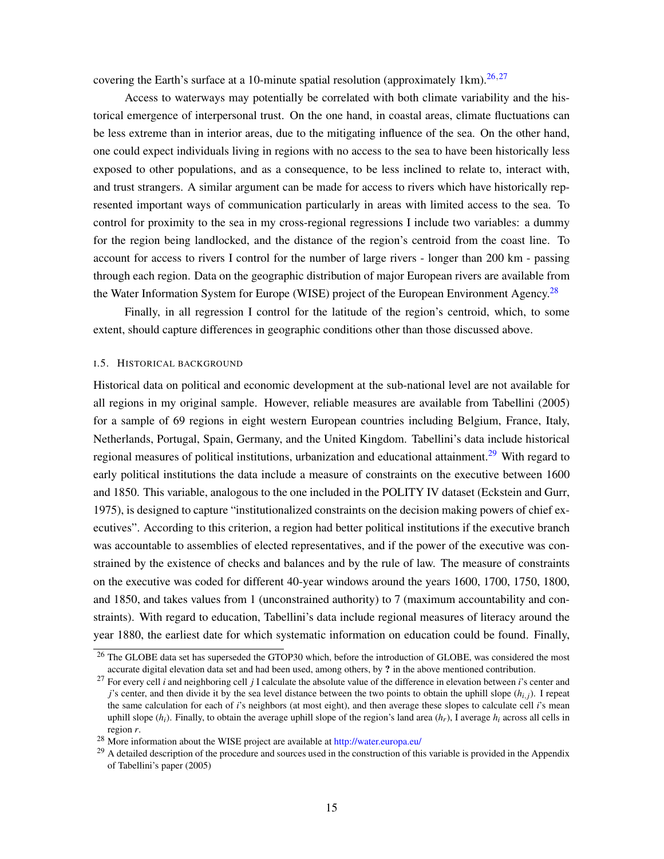covering the Earth's surface at a 10-minute spatial resolution (approximately 1 km).<sup>[26](#page-14-0),[27](#page-14-1)</sup>

Access to waterways may potentially be correlated with both climate variability and the historical emergence of interpersonal trust. On the one hand, in coastal areas, climate fluctuations can be less extreme than in interior areas, due to the mitigating influence of the sea. On the other hand, one could expect individuals living in regions with no access to the sea to have been historically less exposed to other populations, and as a consequence, to be less inclined to relate to, interact with, and trust strangers. A similar argument can be made for access to rivers which have historically represented important ways of communication particularly in areas with limited access to the sea. To control for proximity to the sea in my cross-regional regressions I include two variables: a dummy for the region being landlocked, and the distance of the region's centroid from the coast line. To account for access to rivers I control for the number of large rivers - longer than 200 km - passing through each region. Data on the geographic distribution of major European rivers are available from the Water Information System for Europe (WISE) project of the European Environment Agency.<sup>[28](#page-14-2)</sup>

Finally, in all regression I control for the latitude of the region's centroid, which, to some extent, should capture differences in geographic conditions other than those discussed above.

### I.5. HISTORICAL BACKGROUND

Historical data on political and economic development at the sub-national level are not available for all regions in my original sample. However, reliable measures are available from [Tabellini](#page-30-0) [\(2005\)](#page-30-0) for a sample of 69 regions in eight western European countries including Belgium, France, Italy, Netherlands, Portugal, Spain, Germany, and the United Kingdom. Tabellini's data include historical regional measures of political institutions, urbanization and educational attainment.[29](#page-14-3) With regard to early political institutions the data include a measure of constraints on the executive between 1600 and 1850. This variable, analogous to the one included in the POLITY IV dataset [\(Eckstein and Gurr,](#page-27-17) [1975\)](#page-27-17), is designed to capture "institutionalized constraints on the decision making powers of chief executives". According to this criterion, a region had better political institutions if the executive branch was accountable to assemblies of elected representatives, and if the power of the executive was constrained by the existence of checks and balances and by the rule of law. The measure of constraints on the executive was coded for different 40-year windows around the years 1600, 1700, 1750, 1800, and 1850, and takes values from 1 (unconstrained authority) to 7 (maximum accountability and constraints). With regard to education, Tabellini's data include regional measures of literacy around the year 1880, the earliest date for which systematic information on education could be found. Finally,

<span id="page-14-0"></span><sup>&</sup>lt;sup>26</sup> The GLOBE data set has superseded the GTOP30 which, before the introduction of GLOBE, was considered the most accurate digital elevation data set and had been used, among others, by ? in the above mentioned contribution.

<span id="page-14-1"></span><sup>27</sup> For every cell *i* and neighboring cell *j* I calculate the absolute value of the difference in elevation between *i*'s center and *j*'s center, and then divide it by the sea level distance between the two points to obtain the uphill slope  $(h_{i,j})$ . I repeat the same calculation for each of *i*'s neighbors (at most eight), and then average these slopes to calculate cell *i*'s mean uphill slope  $(h_i)$ . Finally, to obtain the average uphill slope of the region's land area  $(h_r)$ , I average  $h_i$  across all cells in region *r*.

<span id="page-14-2"></span><sup>28</sup> More information about the WISE project are available at <http://water.europa.eu/>

<span id="page-14-3"></span><sup>&</sup>lt;sup>29</sup> A detailed description of the procedure and sources used in the construction of this variable is provided in the Appendix of Tabellini's paper (2005)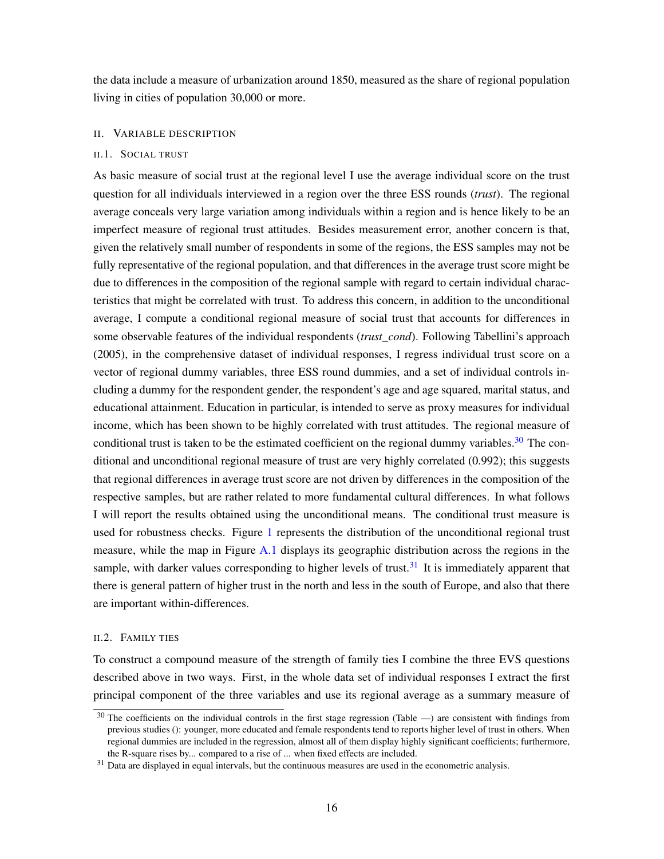the data include a measure of urbanization around 1850, measured as the share of regional population living in cities of population 30,000 or more.

## II. VARIABLE DESCRIPTION

#### II.1. SOCIAL TRUST

As basic measure of social trust at the regional level I use the average individual score on the trust question for all individuals interviewed in a region over the three ESS rounds (*trust*). The regional average conceals very large variation among individuals within a region and is hence likely to be an imperfect measure of regional trust attitudes. Besides measurement error, another concern is that, given the relatively small number of respondents in some of the regions, the ESS samples may not be fully representative of the regional population, and that differences in the average trust score might be due to differences in the composition of the regional sample with regard to certain individual characteristics that might be correlated with trust. To address this concern, in addition to the unconditional average, I compute a conditional regional measure of social trust that accounts for differences in some observable features of the individual respondents *(trust cond)*. Following Tabellini's approach [\(2005\)](#page-30-0), in the comprehensive dataset of individual responses, I regress individual trust score on a vector of regional dummy variables, three ESS round dummies, and a set of individual controls including a dummy for the respondent gender, the respondent's age and age squared, marital status, and educational attainment. Education in particular, is intended to serve as proxy measures for individual income, which has been shown to be highly correlated with trust attitudes. The regional measure of conditional trust is taken to be the estimated coefficient on the regional dummy variables.<sup>[30](#page-15-0)</sup> The conditional and unconditional regional measure of trust are very highly correlated (0.992); this suggests that regional differences in average trust score are not driven by differences in the composition of the respective samples, but are rather related to more fundamental cultural differences. In what follows I will report the results obtained using the unconditional means. The conditional trust measure is used for robustness checks. Figure [1](#page-31-1) represents the distribution of the unconditional regional trust measure, while the map in Figure [A.1](#page-40-0) displays its geographic distribution across the regions in the sample, with darker values corresponding to higher levels of trust.<sup>[31](#page-15-1)</sup> It is immediately apparent that there is general pattern of higher trust in the north and less in the south of Europe, and also that there are important within-differences.

## II.2. FAMILY TIES

To construct a compound measure of the strength of family ties I combine the three EVS questions described above in two ways. First, in the whole data set of individual responses I extract the first principal component of the three variables and use its regional average as a summary measure of

<span id="page-15-0"></span> $30$  The coefficients on the individual controls in the first stage regression (Table  $-$ ) are consistent with findings from previous studies (): younger, more educated and female respondents tend to reports higher level of trust in others. When regional dummies are included in the regression, almost all of them display highly significant coefficients; furthermore, the R-square rises by... compared to a rise of ... when fixed effects are included.

<span id="page-15-1"></span><sup>&</sup>lt;sup>31</sup> Data are displayed in equal intervals, but the continuous measures are used in the econometric analysis.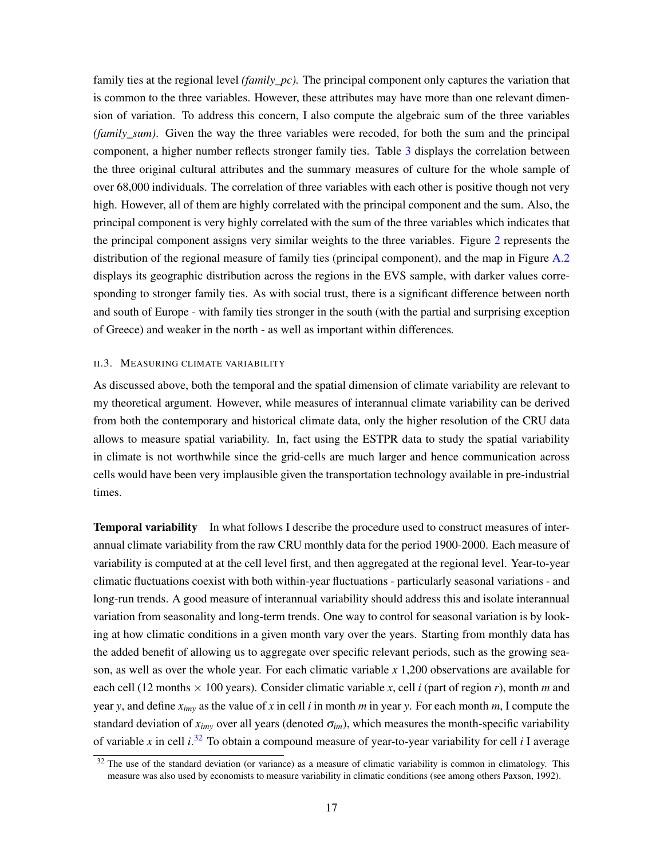family ties at the regional level *(family\_pc).* The principal component only captures the variation that is common to the three variables. However, these attributes may have more than one relevant dimension of variation. To address this concern, I also compute the algebraic sum of the three variables *(family sum)*. Given the way the three variables were recoded, for both the sum and the principal component, a higher number reflects stronger family ties. Table [3](#page-33-0) displays the correlation between the three original cultural attributes and the summary measures of culture for the whole sample of over 68,000 individuals. The correlation of three variables with each other is positive though not very high. However, all of them are highly correlated with the principal component and the sum. Also, the principal component is very highly correlated with the sum of the three variables which indicates that the principal component assigns very similar weights to the three variables. Figure [2](#page-32-1) represents the distribution of the regional measure of family ties (principal component), and the map in Figure [A.2](#page-40-1) displays its geographic distribution across the regions in the EVS sample, with darker values corresponding to stronger family ties. As with social trust, there is a significant difference between north and south of Europe - with family ties stronger in the south (with the partial and surprising exception of Greece) and weaker in the north - as well as important within differences*.*

#### II.3. MEASURING CLIMATE VARIABILITY

As discussed above, both the temporal and the spatial dimension of climate variability are relevant to my theoretical argument. However, while measures of interannual climate variability can be derived from both the contemporary and historical climate data, only the higher resolution of the CRU data allows to measure spatial variability. In, fact using the ESTPR data to study the spatial variability in climate is not worthwhile since the grid-cells are much larger and hence communication across cells would have been very implausible given the transportation technology available in pre-industrial times.

Temporal variability In what follows I describe the procedure used to construct measures of interannual climate variability from the raw CRU monthly data for the period 1900-2000. Each measure of variability is computed at at the cell level first, and then aggregated at the regional level. Year-to-year climatic fluctuations coexist with both within-year fluctuations - particularly seasonal variations - and long-run trends. A good measure of interannual variability should address this and isolate interannual variation from seasonality and long-term trends. One way to control for seasonal variation is by looking at how climatic conditions in a given month vary over the years. Starting from monthly data has the added benefit of allowing us to aggregate over specific relevant periods, such as the growing season, as well as over the whole year. For each climatic variable *x* 1,200 observations are available for each cell (12 months  $\times$  100 years). Consider climatic variable *x*, cell *i* (part of region *r*), month *m* and year *y*, and define *ximy* as the value of *x* in cell *i* in month *m* in year *y*. For each month *m*, I compute the standard deviation of  $x_{imy}$  over all years (denoted  $\sigma_{im}$ ), which measures the month-specific variability of variable *x* in cell *i*. [32](#page-16-0) To obtain a compound measure of year-to-year variability for cell *i* I average

<span id="page-16-0"></span><sup>&</sup>lt;sup>32</sup> The use of the standard deviation (or variance) as a measure of climatic variability is common in climatology. This measure was also used by economists to measure variability in climatic conditions (see among others [Paxson,](#page-29-16) [1992\)](#page-29-16).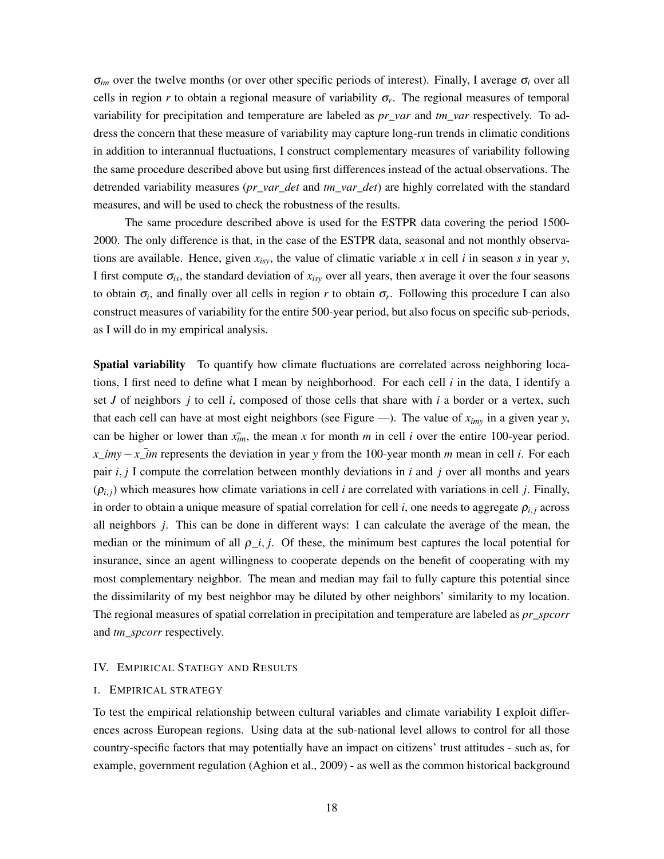$\sigma_{im}$  over the twelve months (or over other specific periods of interest). Finally, I average  $\sigma_i$  over all cells in region  $r$  to obtain a regional measure of variability  $\sigma_r$ . The regional measures of temporal variability for precipitation and temperature are labeled as *pr\_var* and *tm\_var* respectively. To address the concern that these measure of variability may capture long-run trends in climatic conditions in addition to interannual fluctuations, I construct complementary measures of variability following the same procedure described above but using first differences instead of the actual observations. The detrended variability measures (*pr\_var\_det* and *tm\_var\_det*) are highly correlated with the standard measures, and will be used to check the robustness of the results.

The same procedure described above is used for the ESTPR data covering the period 1500- 2000. The only difference is that, in the case of the ESTPR data, seasonal and not monthly observations are available. Hence, given *xisy*, the value of climatic variable *x* in cell *i* in season *s* in year *y*, I first compute  $\sigma_{is}$ , the standard deviation of  $x_{isy}$  over all years, then average it over the four seasons to obtain  $\sigma_i$ , and finally over all cells in region *r* to obtain  $\sigma_r$ . Following this procedure I can also construct measures of variability for the entire 500-year period, but also focus on specific sub-periods, as I will do in my empirical analysis.

Spatial variability To quantify how climate fluctuations are correlated across neighboring locations, I first need to define what I mean by neighborhood. For each cell *i* in the data, I identify a set *J* of neighbors *j* to cell *i*, composed of those cells that share with *i* a border or a vertex, such that each cell can have at most eight neighbors (see Figure —). The value of *ximy* in a given year *y*, can be higher or lower than  $\bar{x}_{im}$ , the mean x for month m in cell i over the entire 100-year period.  $x_j/my - x_j$  *im* represents the deviation in year y from the 100-year month *m* mean in cell *i*. For each pair *i*, *j* I compute the correlation between monthly deviations in *i* and *j* over all months and years  $(\rho_{i,j})$  which measures how climate variations in cell *i* are correlated with variations in cell *j*. Finally, in order to obtain a unique measure of spatial correlation for cell *i*, one needs to aggregate  $\rho_{i,j}$  across all neighbors *j*. This can be done in different ways: I can calculate the average of the mean, the median or the minimum of all  $\rho_i$ *i*, *j*. Of these, the minimum best captures the local potential for insurance, since an agent willingness to cooperate depends on the benefit of cooperating with my most complementary neighbor. The mean and median may fail to fully capture this potential since the dissimilarity of my best neighbor may be diluted by other neighbors' similarity to my location. The regional measures of spatial correlation in precipitation and temperature are labeled as *pr\_spcorr* and *tm\_spcorr* respectively.

# IV. EMPIRICAL STATEGY AND RESULTS

#### I. EMPIRICAL STRATEGY

To test the empirical relationship between cultural variables and climate variability I exploit differences across European regions. Using data at the sub-national level allows to control for all those country-specific factors that may potentially have an impact on citizens' trust attitudes - such as, for example, government regulation [\(Aghion et al.,](#page-26-19) [2009\)](#page-26-19) - as well as the common historical background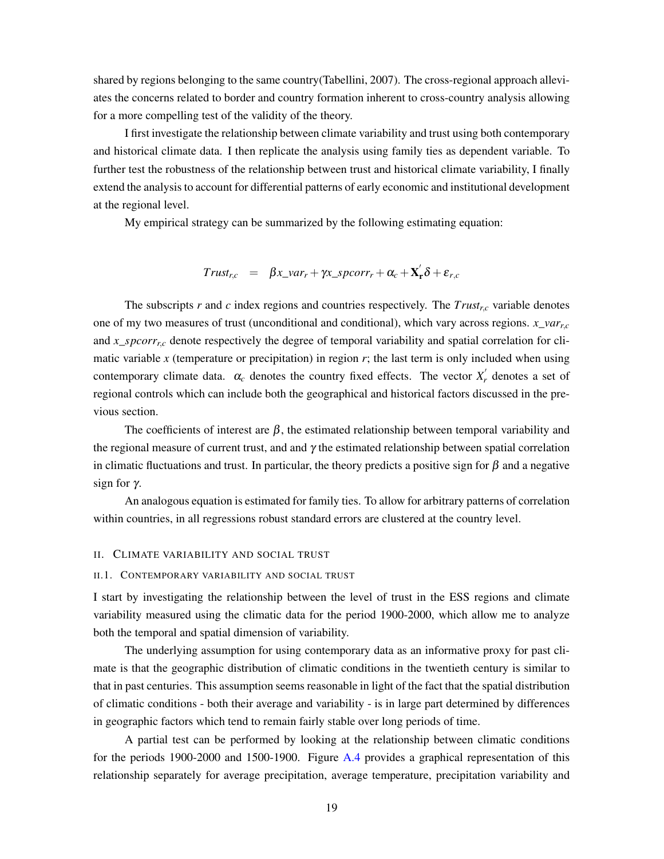shared by regions belonging to the same country[\(Tabellini,](#page-30-19) [2007\)](#page-30-19). The cross-regional approach alleviates the concerns related to border and country formation inherent to cross-country analysis allowing for a more compelling test of the validity of the theory.

I first investigate the relationship between climate variability and trust using both contemporary and historical climate data. I then replicate the analysis using family ties as dependent variable. To further test the robustness of the relationship between trust and historical climate variability, I finally extend the analysis to account for differential patterns of early economic and institutional development at the regional level.

My empirical strategy can be summarized by the following estimating equation:

$$
Trust_{r,c} = \beta x_{v} \cdot \alpha r_{r} + \gamma x_{v} \cdot \beta \cdot \alpha r_{r} + \alpha_{c} + \mathbf{X}_{r}^{'} \delta + \varepsilon_{r,c}
$$

The subscripts *r* and *c* index regions and countries respectively. The *Trustr*,*<sup>c</sup>* variable denotes one of my two measures of trust (unconditional and conditional), which vary across regions. *x*\_*varr*,*<sup>c</sup>* and *x*\_*spcorrr*,*<sup>c</sup>* denote respectively the degree of temporal variability and spatial correlation for climatic variable *x* (temperature or precipitation) in region *r*; the last term is only included when using contemporary climate data.  $\alpha_c$  denotes the country fixed effects. The vector  $X'_r$  denotes a set of regional controls which can include both the geographical and historical factors discussed in the previous section.

The coefficients of interest are  $\beta$ , the estimated relationship between temporal variability and the regional measure of current trust, and and  $\gamma$  the estimated relationship between spatial correlation in climatic fluctuations and trust. In particular, the theory predicts a positive sign for  $\beta$  and a negative sign for  $γ$ .

An analogous equation is estimated for family ties. To allow for arbitrary patterns of correlation within countries, in all regressions robust standard errors are clustered at the country level.

# II. CLIMATE VARIABILITY AND SOCIAL TRUST

#### II.1. CONTEMPORARY VARIABILITY AND SOCIAL TRUST

I start by investigating the relationship between the level of trust in the ESS regions and climate variability measured using the climatic data for the period 1900-2000, which allow me to analyze both the temporal and spatial dimension of variability.

The underlying assumption for using contemporary data as an informative proxy for past climate is that the geographic distribution of climatic conditions in the twentieth century is similar to that in past centuries. This assumption seems reasonable in light of the fact that the spatial distribution of climatic conditions - both their average and variability - is in large part determined by differences in geographic factors which tend to remain fairly stable over long periods of time.

A partial test can be performed by looking at the relationship between climatic conditions for the periods 1900-2000 and 1500-1900. Figure [A.4](#page-41-0) provides a graphical representation of this relationship separately for average precipitation, average temperature, precipitation variability and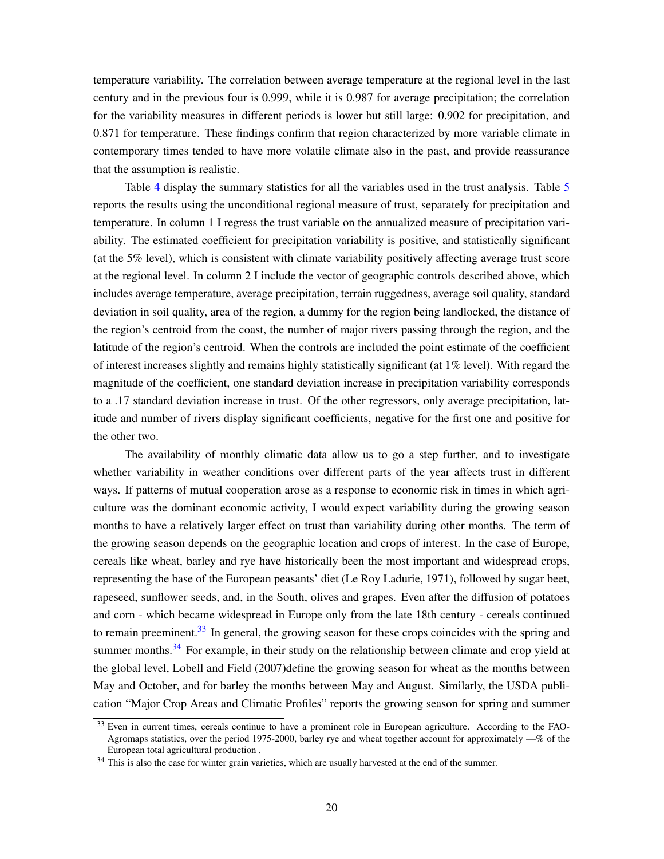temperature variability. The correlation between average temperature at the regional level in the last century and in the previous four is 0.999, while it is 0.987 for average precipitation; the correlation for the variability measures in different periods is lower but still large: 0.902 for precipitation, and 0.871 for temperature. These findings confirm that region characterized by more variable climate in contemporary times tended to have more volatile climate also in the past, and provide reassurance that the assumption is realistic.

Table [4](#page-33-1) display the summary statistics for all the variables used in the trust analysis. Table [5](#page-34-0) reports the results using the unconditional regional measure of trust, separately for precipitation and temperature. In column 1 I regress the trust variable on the annualized measure of precipitation variability. The estimated coefficient for precipitation variability is positive, and statistically significant (at the 5% level), which is consistent with climate variability positively affecting average trust score at the regional level. In column 2 I include the vector of geographic controls described above, which includes average temperature, average precipitation, terrain ruggedness, average soil quality, standard deviation in soil quality, area of the region, a dummy for the region being landlocked, the distance of the region's centroid from the coast, the number of major rivers passing through the region, and the latitude of the region's centroid. When the controls are included the point estimate of the coefficient of interest increases slightly and remains highly statistically significant (at 1% level). With regard the magnitude of the coefficient, one standard deviation increase in precipitation variability corresponds to a .17 standard deviation increase in trust. Of the other regressors, only average precipitation, latitude and number of rivers display significant coefficients, negative for the first one and positive for the other two.

The availability of monthly climatic data allow us to go a step further, and to investigate whether variability in weather conditions over different parts of the year affects trust in different ways. If patterns of mutual cooperation arose as a response to economic risk in times in which agriculture was the dominant economic activity, I would expect variability during the growing season months to have a relatively larger effect on trust than variability during other months. The term of the growing season depends on the geographic location and crops of interest. In the case of Europe, cereals like wheat, barley and rye have historically been the most important and widespread crops, representing the base of the European peasants' diet [\(Le Roy Ladurie,](#page-28-19) [1971\)](#page-28-19), followed by sugar beet, rapeseed, sunflower seeds, and, in the South, olives and grapes. Even after the diffusion of potatoes and corn - which became widespread in Europe only from the late 18th century - cereals continued to remain preeminent. $33$  In general, the growing season for these crops coincides with the spring and summer months.<sup>[34](#page-19-1)</sup> For example, in their study on the relationship between climate and crop yield at the global level, [Lobell and Field](#page-28-10) [\(2007\)](#page-28-10)define the growing season for wheat as the months between May and October, and for barley the months between May and August. Similarly, the USDA publication "Major Crop Areas and Climatic Profiles" reports the growing season for spring and summer

<span id="page-19-0"></span><sup>&</sup>lt;sup>33</sup> Even in current times, cereals continue to have a prominent role in European agriculture. According to the FAO-Agromaps statistics, over the period 1975-2000, barley rye and wheat together account for approximately —% of the European total agricultural production .

<span id="page-19-1"></span><sup>&</sup>lt;sup>34</sup> This is also the case for winter grain varieties, which are usually harvested at the end of the summer.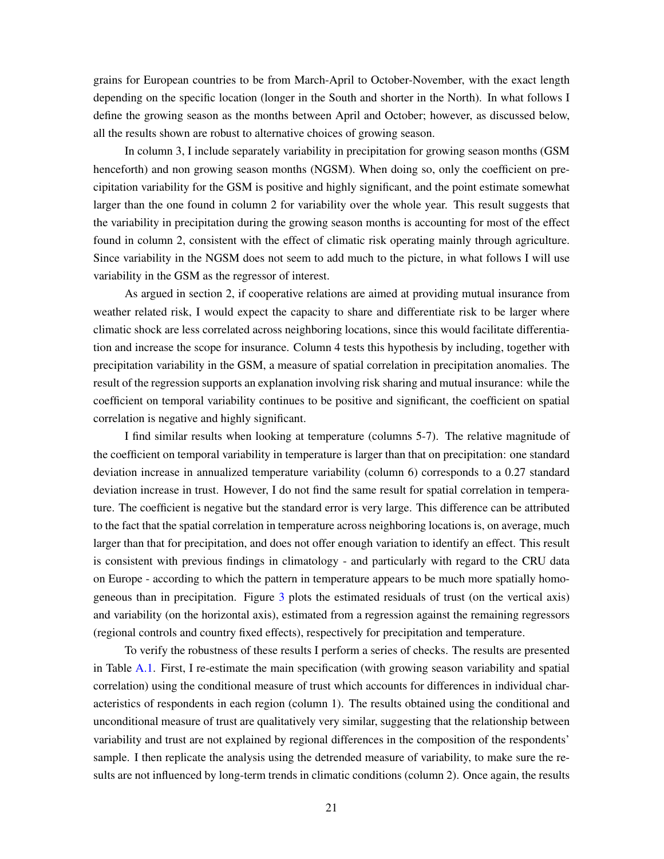grains for European countries to be from March-April to October-November, with the exact length depending on the specific location (longer in the South and shorter in the North). In what follows I define the growing season as the months between April and October; however, as discussed below, all the results shown are robust to alternative choices of growing season.

In column 3, I include separately variability in precipitation for growing season months (GSM henceforth) and non growing season months (NGSM). When doing so, only the coefficient on precipitation variability for the GSM is positive and highly significant, and the point estimate somewhat larger than the one found in column 2 for variability over the whole year. This result suggests that the variability in precipitation during the growing season months is accounting for most of the effect found in column 2, consistent with the effect of climatic risk operating mainly through agriculture. Since variability in the NGSM does not seem to add much to the picture, in what follows I will use variability in the GSM as the regressor of interest.

As argued in section 2, if cooperative relations are aimed at providing mutual insurance from weather related risk, I would expect the capacity to share and differentiate risk to be larger where climatic shock are less correlated across neighboring locations, since this would facilitate differentiation and increase the scope for insurance. Column 4 tests this hypothesis by including, together with precipitation variability in the GSM, a measure of spatial correlation in precipitation anomalies. The result of the regression supports an explanation involving risk sharing and mutual insurance: while the coefficient on temporal variability continues to be positive and significant, the coefficient on spatial correlation is negative and highly significant.

I find similar results when looking at temperature (columns 5-7). The relative magnitude of the coefficient on temporal variability in temperature is larger than that on precipitation: one standard deviation increase in annualized temperature variability (column 6) corresponds to a 0.27 standard deviation increase in trust. However, I do not find the same result for spatial correlation in temperature. The coefficient is negative but the standard error is very large. This difference can be attributed to the fact that the spatial correlation in temperature across neighboring locations is, on average, much larger than that for precipitation, and does not offer enough variation to identify an effect. This result is consistent with previous findings in climatology - and particularly with regard to the CRU data on Europe - according to which the pattern in temperature appears to be much more spatially homogeneous than in precipitation. Figure [3](#page-34-1) plots the estimated residuals of trust (on the vertical axis) and variability (on the horizontal axis), estimated from a regression against the remaining regressors (regional controls and country fixed effects), respectively for precipitation and temperature.

To verify the robustness of these results I perform a series of checks. The results are presented in Table [A.1.](#page-42-0) First, I re-estimate the main specification (with growing season variability and spatial correlation) using the conditional measure of trust which accounts for differences in individual characteristics of respondents in each region (column 1). The results obtained using the conditional and unconditional measure of trust are qualitatively very similar, suggesting that the relationship between variability and trust are not explained by regional differences in the composition of the respondents' sample. I then replicate the analysis using the detrended measure of variability, to make sure the results are not influenced by long-term trends in climatic conditions (column 2). Once again, the results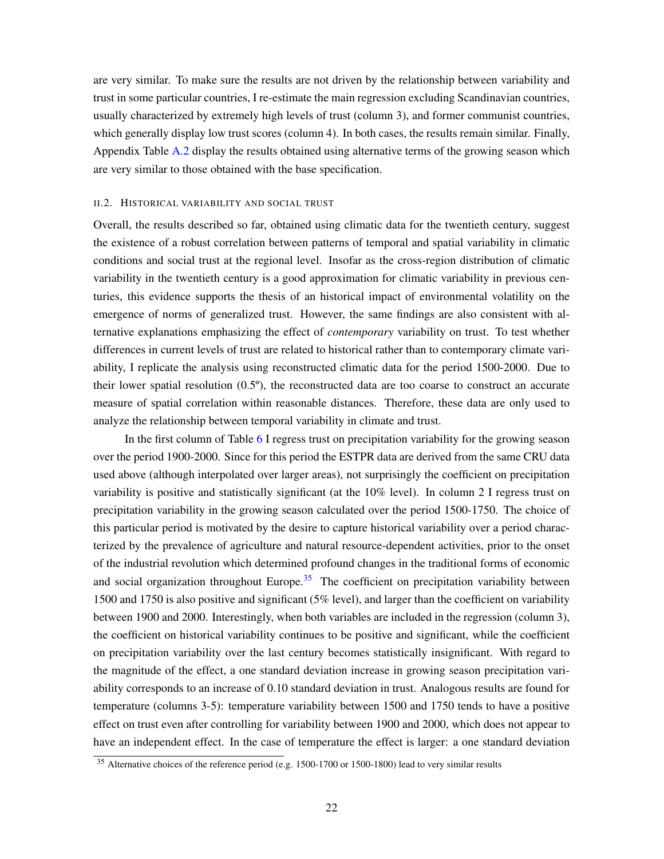are very similar. To make sure the results are not driven by the relationship between variability and trust in some particular countries, I re-estimate the main regression excluding Scandinavian countries, usually characterized by extremely high levels of trust (column 3), and former communist countries, which generally display low trust scores (column 4). In both cases, the results remain similar. Finally, Appendix Table [A.2](#page-43-0) display the results obtained using alternative terms of the growing season which are very similar to those obtained with the base specification.

#### II.2. HISTORICAL VARIABILITY AND SOCIAL TRUST

Overall, the results described so far, obtained using climatic data for the twentieth century, suggest the existence of a robust correlation between patterns of temporal and spatial variability in climatic conditions and social trust at the regional level. Insofar as the cross-region distribution of climatic variability in the twentieth century is a good approximation for climatic variability in previous centuries, this evidence supports the thesis of an historical impact of environmental volatility on the emergence of norms of generalized trust. However, the same findings are also consistent with alternative explanations emphasizing the effect of *contemporary* variability on trust. To test whether differences in current levels of trust are related to historical rather than to contemporary climate variability, I replicate the analysis using reconstructed climatic data for the period 1500-2000. Due to their lower spatial resolution (0.5º), the reconstructed data are too coarse to construct an accurate measure of spatial correlation within reasonable distances. Therefore, these data are only used to analyze the relationship between temporal variability in climate and trust.

In the first column of Table [6](#page-35-0) I regress trust on precipitation variability for the growing season over the period 1900-2000. Since for this period the ESTPR data are derived from the same CRU data used above (although interpolated over larger areas), not surprisingly the coefficient on precipitation variability is positive and statistically significant (at the 10% level). In column 2 I regress trust on precipitation variability in the growing season calculated over the period 1500-1750. The choice of this particular period is motivated by the desire to capture historical variability over a period characterized by the prevalence of agriculture and natural resource-dependent activities, prior to the onset of the industrial revolution which determined profound changes in the traditional forms of economic and social organization throughout Europe.<sup>[35](#page-21-0)</sup> The coefficient on precipitation variability between 1500 and 1750 is also positive and significant (5% level), and larger than the coefficient on variability between 1900 and 2000. Interestingly, when both variables are included in the regression (column 3), the coefficient on historical variability continues to be positive and significant, while the coefficient on precipitation variability over the last century becomes statistically insignificant. With regard to the magnitude of the effect, a one standard deviation increase in growing season precipitation variability corresponds to an increase of 0.10 standard deviation in trust. Analogous results are found for temperature (columns 3-5): temperature variability between 1500 and 1750 tends to have a positive effect on trust even after controlling for variability between 1900 and 2000, which does not appear to have an independent effect. In the case of temperature the effect is larger: a one standard deviation

<span id="page-21-0"></span><sup>&</sup>lt;sup>35</sup> Alternative choices of the reference period (e.g. 1500-1700 or 1500-1800) lead to very similar results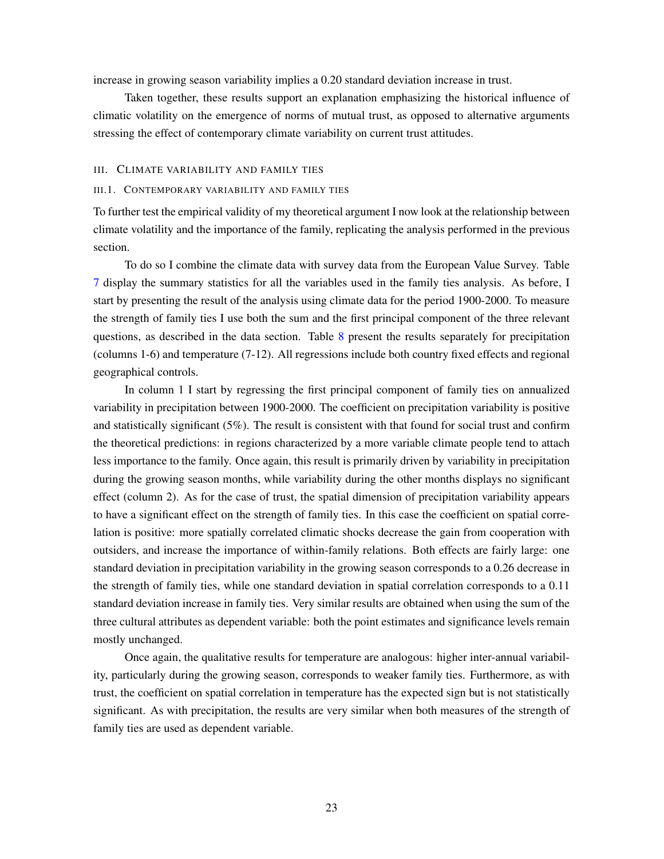increase in growing season variability implies a 0.20 standard deviation increase in trust.

Taken together, these results support an explanation emphasizing the historical influence of climatic volatility on the emergence of norms of mutual trust, as opposed to alternative arguments stressing the effect of contemporary climate variability on current trust attitudes.

## III. CLIMATE VARIABILITY AND FAMILY TIES

#### III.1. CONTEMPORARY VARIABILITY AND FAMILY TIES

To further test the empirical validity of my theoretical argument I now look at the relationship between climate volatility and the importance of the family, replicating the analysis performed in the previous section.

To do so I combine the climate data with survey data from the European Value Survey. Table [7](#page-36-0) display the summary statistics for all the variables used in the family ties analysis. As before, I start by presenting the result of the analysis using climate data for the period 1900-2000. To measure the strength of family ties I use both the sum and the first principal component of the three relevant questions, as described in the data section. Table [8](#page-37-0) present the results separately for precipitation (columns 1-6) and temperature (7-12). All regressions include both country fixed effects and regional geographical controls.

In column 1 I start by regressing the first principal component of family ties on annualized variability in precipitation between 1900-2000. The coefficient on precipitation variability is positive and statistically significant (5%). The result is consistent with that found for social trust and confirm the theoretical predictions: in regions characterized by a more variable climate people tend to attach less importance to the family. Once again, this result is primarily driven by variability in precipitation during the growing season months, while variability during the other months displays no significant effect (column 2). As for the case of trust, the spatial dimension of precipitation variability appears to have a significant effect on the strength of family ties. In this case the coefficient on spatial correlation is positive: more spatially correlated climatic shocks decrease the gain from cooperation with outsiders, and increase the importance of within-family relations. Both effects are fairly large: one standard deviation in precipitation variability in the growing season corresponds to a 0.26 decrease in the strength of family ties, while one standard deviation in spatial correlation corresponds to a 0.11 standard deviation increase in family ties. Very similar results are obtained when using the sum of the three cultural attributes as dependent variable: both the point estimates and significance levels remain mostly unchanged.

Once again, the qualitative results for temperature are analogous: higher inter-annual variability, particularly during the growing season, corresponds to weaker family ties. Furthermore, as with trust, the coefficient on spatial correlation in temperature has the expected sign but is not statistically significant. As with precipitation, the results are very similar when both measures of the strength of family ties are used as dependent variable.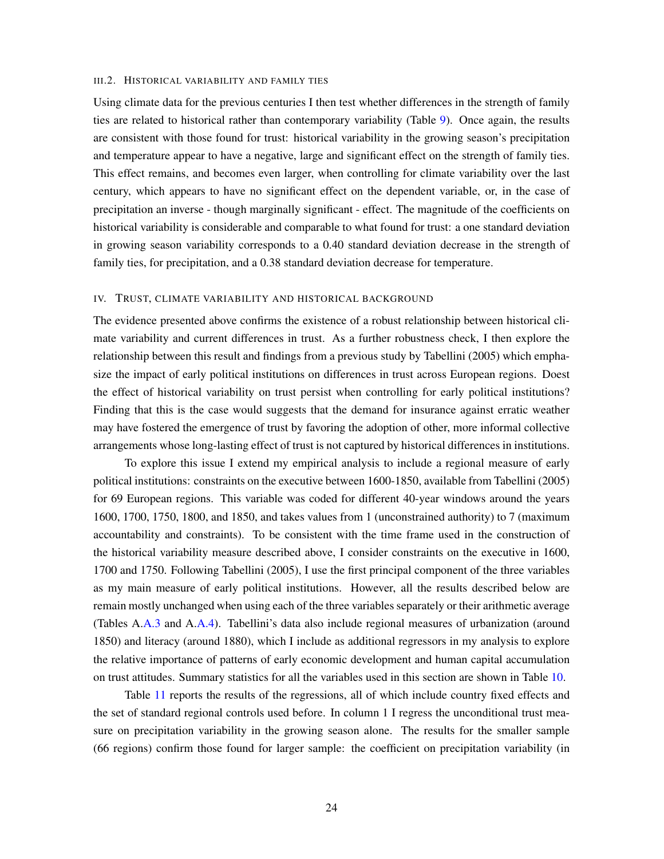#### III.2. HISTORICAL VARIABILITY AND FAMILY TIES

Using climate data for the previous centuries I then test whether differences in the strength of family ties are related to historical rather than contemporary variability (Table [9\)](#page-37-1). Once again, the results are consistent with those found for trust: historical variability in the growing season's precipitation and temperature appear to have a negative, large and significant effect on the strength of family ties. This effect remains, and becomes even larger, when controlling for climate variability over the last century, which appears to have no significant effect on the dependent variable, or, in the case of precipitation an inverse - though marginally significant - effect. The magnitude of the coefficients on historical variability is considerable and comparable to what found for trust: a one standard deviation in growing season variability corresponds to a 0.40 standard deviation decrease in the strength of family ties, for precipitation, and a 0.38 standard deviation decrease for temperature.

## IV. TRUST, CLIMATE VARIABILITY AND HISTORICAL BACKGROUND

The evidence presented above confirms the existence of a robust relationship between historical climate variability and current differences in trust. As a further robustness check, I then explore the relationship between this result and findings from a previous study by [Tabellini](#page-30-0) [\(2005\)](#page-30-0) which emphasize the impact of early political institutions on differences in trust across European regions. Doest the effect of historical variability on trust persist when controlling for early political institutions? Finding that this is the case would suggests that the demand for insurance against erratic weather may have fostered the emergence of trust by favoring the adoption of other, more informal collective arrangements whose long-lasting effect of trust is not captured by historical differences in institutions.

To explore this issue I extend my empirical analysis to include a regional measure of early political institutions: constraints on the executive between 1600-1850, available from [Tabellini](#page-30-0) [\(2005\)](#page-30-0) for 69 European regions. This variable was coded for different 40-year windows around the years 1600, 1700, 1750, 1800, and 1850, and takes values from 1 (unconstrained authority) to 7 (maximum accountability and constraints). To be consistent with the time frame used in the construction of the historical variability measure described above, I consider constraints on the executive in 1600, 1700 and 1750. Following Tabellini (2005), I use the first principal component of the three variables as my main measure of early political institutions. However, all the results described below are remain mostly unchanged when using each of the three variables separately or their arithmetic average (Tables A[.A.3](#page-44-0) and A[.A.4\)](#page-44-1). Tabellini's data also include regional measures of urbanization (around 1850) and literacy (around 1880), which I include as additional regressors in my analysis to explore the relative importance of patterns of early economic development and human capital accumulation on trust attitudes. Summary statistics for all the variables used in this section are shown in Table [10.](#page-38-0)

Table [11](#page-39-0) reports the results of the regressions, all of which include country fixed effects and the set of standard regional controls used before. In column 1 I regress the unconditional trust measure on precipitation variability in the growing season alone. The results for the smaller sample (66 regions) confirm those found for larger sample: the coefficient on precipitation variability (in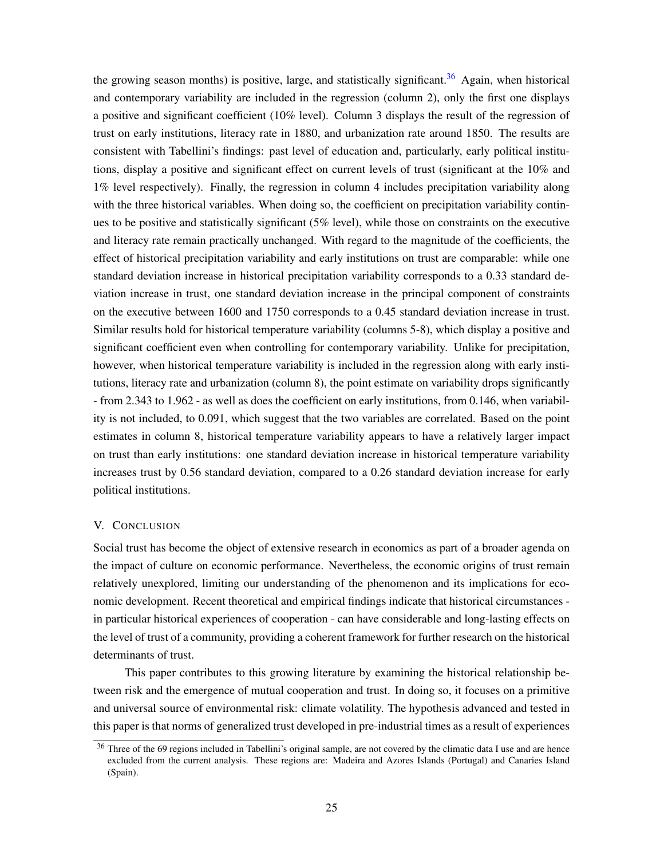the growing season months) is positive, large, and statistically significant.<sup>[36](#page-24-0)</sup> Again, when historical and contemporary variability are included in the regression (column 2), only the first one displays a positive and significant coefficient (10% level). Column 3 displays the result of the regression of trust on early institutions, literacy rate in 1880, and urbanization rate around 1850. The results are consistent with Tabellini's findings: past level of education and, particularly, early political institutions, display a positive and significant effect on current levels of trust (significant at the 10% and 1% level respectively). Finally, the regression in column 4 includes precipitation variability along with the three historical variables. When doing so, the coefficient on precipitation variability continues to be positive and statistically significant (5% level), while those on constraints on the executive and literacy rate remain practically unchanged. With regard to the magnitude of the coefficients, the effect of historical precipitation variability and early institutions on trust are comparable: while one standard deviation increase in historical precipitation variability corresponds to a 0.33 standard deviation increase in trust, one standard deviation increase in the principal component of constraints on the executive between 1600 and 1750 corresponds to a 0.45 standard deviation increase in trust. Similar results hold for historical temperature variability (columns 5-8), which display a positive and significant coefficient even when controlling for contemporary variability. Unlike for precipitation, however, when historical temperature variability is included in the regression along with early institutions, literacy rate and urbanization (column 8), the point estimate on variability drops significantly - from 2.343 to 1.962 - as well as does the coefficient on early institutions, from 0.146, when variability is not included, to 0.091, which suggest that the two variables are correlated. Based on the point estimates in column 8, historical temperature variability appears to have a relatively larger impact on trust than early institutions: one standard deviation increase in historical temperature variability increases trust by 0.56 standard deviation, compared to a 0.26 standard deviation increase for early political institutions.

#### V. CONCLUSION

Social trust has become the object of extensive research in economics as part of a broader agenda on the impact of culture on economic performance. Nevertheless, the economic origins of trust remain relatively unexplored, limiting our understanding of the phenomenon and its implications for economic development. Recent theoretical and empirical findings indicate that historical circumstances in particular historical experiences of cooperation - can have considerable and long-lasting effects on the level of trust of a community, providing a coherent framework for further research on the historical determinants of trust.

This paper contributes to this growing literature by examining the historical relationship between risk and the emergence of mutual cooperation and trust. In doing so, it focuses on a primitive and universal source of environmental risk: climate volatility. The hypothesis advanced and tested in this paper is that norms of generalized trust developed in pre-industrial times as a result of experiences

<span id="page-24-0"></span><sup>&</sup>lt;sup>36</sup> Three of the 69 regions included in Tabellini's original sample, are not covered by the climatic data I use and are hence excluded from the current analysis. These regions are: Madeira and Azores Islands (Portugal) and Canaries Island (Spain).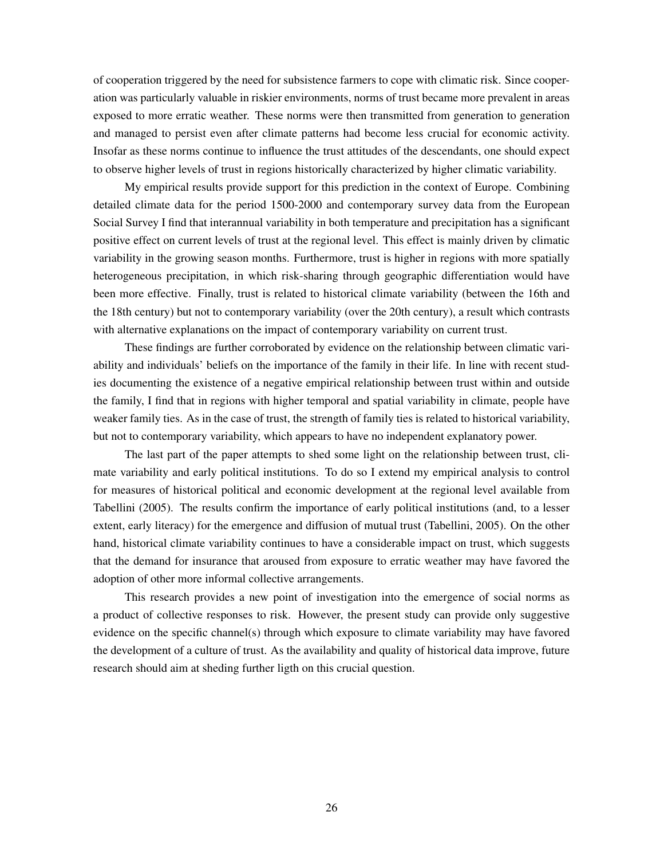of cooperation triggered by the need for subsistence farmers to cope with climatic risk. Since cooperation was particularly valuable in riskier environments, norms of trust became more prevalent in areas exposed to more erratic weather. These norms were then transmitted from generation to generation and managed to persist even after climate patterns had become less crucial for economic activity. Insofar as these norms continue to influence the trust attitudes of the descendants, one should expect to observe higher levels of trust in regions historically characterized by higher climatic variability.

My empirical results provide support for this prediction in the context of Europe. Combining detailed climate data for the period 1500-2000 and contemporary survey data from the European Social Survey I find that interannual variability in both temperature and precipitation has a significant positive effect on current levels of trust at the regional level. This effect is mainly driven by climatic variability in the growing season months. Furthermore, trust is higher in regions with more spatially heterogeneous precipitation, in which risk-sharing through geographic differentiation would have been more effective. Finally, trust is related to historical climate variability (between the 16th and the 18th century) but not to contemporary variability (over the 20th century), a result which contrasts with alternative explanations on the impact of contemporary variability on current trust.

These findings are further corroborated by evidence on the relationship between climatic variability and individuals' beliefs on the importance of the family in their life. In line with recent studies documenting the existence of a negative empirical relationship between trust within and outside the family, I find that in regions with higher temporal and spatial variability in climate, people have weaker family ties. As in the case of trust, the strength of family ties is related to historical variability, but not to contemporary variability, which appears to have no independent explanatory power.

The last part of the paper attempts to shed some light on the relationship between trust, climate variability and early political institutions. To do so I extend my empirical analysis to control for measures of historical political and economic development at the regional level available from [Tabellini](#page-30-0) [\(2005\)](#page-30-0). The results confirm the importance of early political institutions (and, to a lesser extent, early literacy) for the emergence and diffusion of mutual trust [\(Tabellini,](#page-30-0) [2005\)](#page-30-0). On the other hand, historical climate variability continues to have a considerable impact on trust, which suggests that the demand for insurance that aroused from exposure to erratic weather may have favored the adoption of other more informal collective arrangements.

This research provides a new point of investigation into the emergence of social norms as a product of collective responses to risk. However, the present study can provide only suggestive evidence on the specific channel(s) through which exposure to climate variability may have favored the development of a culture of trust. As the availability and quality of historical data improve, future research should aim at sheding further ligth on this crucial question.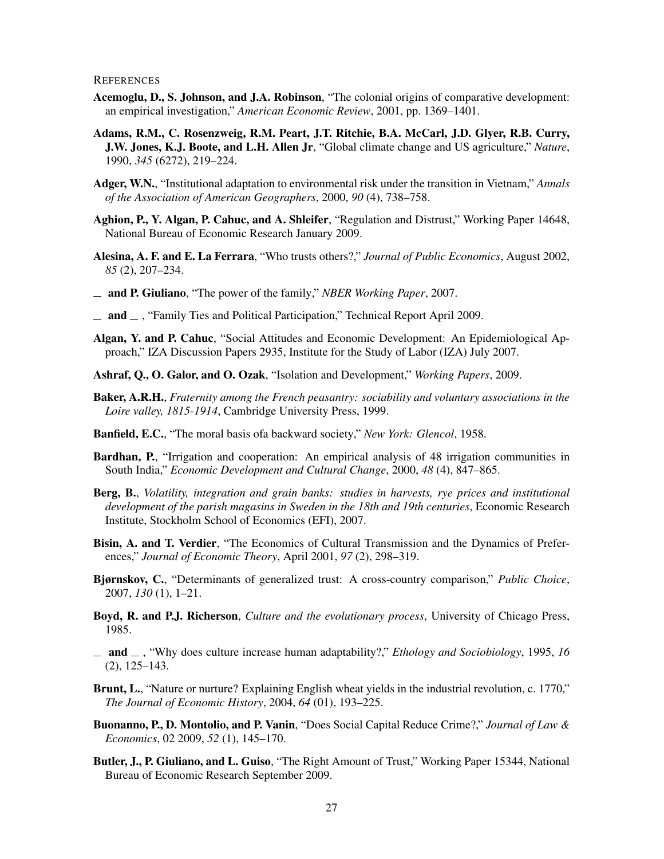**REFERENCES** 

- <span id="page-26-4"></span>Acemoglu, D., S. Johnson, and J.A. Robinson, "The colonial origins of comparative development: an empirical investigation," *American Economic Review*, 2001, pp. 1369–1401.
- <span id="page-26-5"></span>Adams, R.M., C. Rosenzweig, R.M. Peart, J.T. Ritchie, B.A. McCarl, J.D. Glyer, R.B. Curry, J.W. Jones, K.J. Boote, and L.H. Allen Jr, "Global climate change and US agriculture," *Nature*, 1990, *345* (6272), 219–224.
- <span id="page-26-10"></span>Adger, W.N., "Institutional adaptation to environmental risk under the transition in Vietnam," *Annals of the Association of American Geographers*, 2000, *90* (4), 738–758.
- <span id="page-26-19"></span>Aghion, P., Y. Algan, P. Cahuc, and A. Shleifer, "Regulation and Distrust," Working Paper 14648, National Bureau of Economic Research January 2009.
- <span id="page-26-16"></span>Alesina, A. F. and E. La Ferrara, "Who trusts others?," *Journal of Public Economics*, August 2002, *85* (2), 207–234.
- <span id="page-26-18"></span>and P. Giuliano, "The power of the family," *NBER Working Paper*, 2007.
- <span id="page-26-2"></span> $\mu$  and  $\mu$ , "Family Ties and Political Participation," Technical Report April 2009.
- <span id="page-26-15"></span>Algan, Y. and P. Cahuc, "Social Attitudes and Economic Development: An Epidemiological Approach," IZA Discussion Papers 2935, Institute for the Study of Labor (IZA) July 2007.
- <span id="page-26-6"></span>Ashraf, Q., O. Galor, and O. Ozak, "Isolation and Development," *Working Papers*, 2009.
- <span id="page-26-11"></span>Baker, A.R.H., *Fraternity among the French peasantry: sociability and voluntary associations in the Loire valley, 1815-1914*, Cambridge University Press, 1999.
- <span id="page-26-1"></span>Banfield, E.C., "The moral basis ofa backward society," *New York: Glencol*, 1958.
- <span id="page-26-9"></span>Bardhan, P., "Irrigation and cooperation: An empirical analysis of 48 irrigation communities in South India," *Economic Development and Cultural Change*, 2000, *48* (4), 847–865.
- <span id="page-26-8"></span>Berg, B., *Volatility, integration and grain banks: studies in harvests, rye prices and institutional development of the parish magasins in Sweden in the 18th and 19th centuries*, Economic Research Institute, Stockholm School of Economics (EFI), 2007.
- <span id="page-26-3"></span>Bisin, A. and T. Verdier, "The Economics of Cultural Transmission and the Dynamics of Preferences," *Journal of Economic Theory*, April 2001, *97* (2), 298–319.
- <span id="page-26-14"></span>Bjørnskov, C., "Determinants of generalized trust: A cross-country comparison," *Public Choice*, 2007, *130* (1), 1–21.
- <span id="page-26-12"></span>Boyd, R. and P.J. Richerson, *Culture and the evolutionary process*, University of Chicago Press, 1985.
- <span id="page-26-13"></span>and , "Why does culture increase human adaptability?," *Ethology and Sociobiology*, 1995, *16* (2), 125–143.
- <span id="page-26-7"></span>Brunt, L., "Nature or nurture? Explaining English wheat yields in the industrial revolution, c. 1770," *The Journal of Economic History*, 2004, *64* (01), 193–225.
- <span id="page-26-0"></span>Buonanno, P., D. Montolio, and P. Vanin, "Does Social Capital Reduce Crime?," *Journal of Law & Economics*, 02 2009, *52* (1), 145–170.
- <span id="page-26-17"></span>Butler, J., P. Giuliano, and L. Guiso, "The Right Amount of Trust," Working Paper 15344, National Bureau of Economic Research September 2009.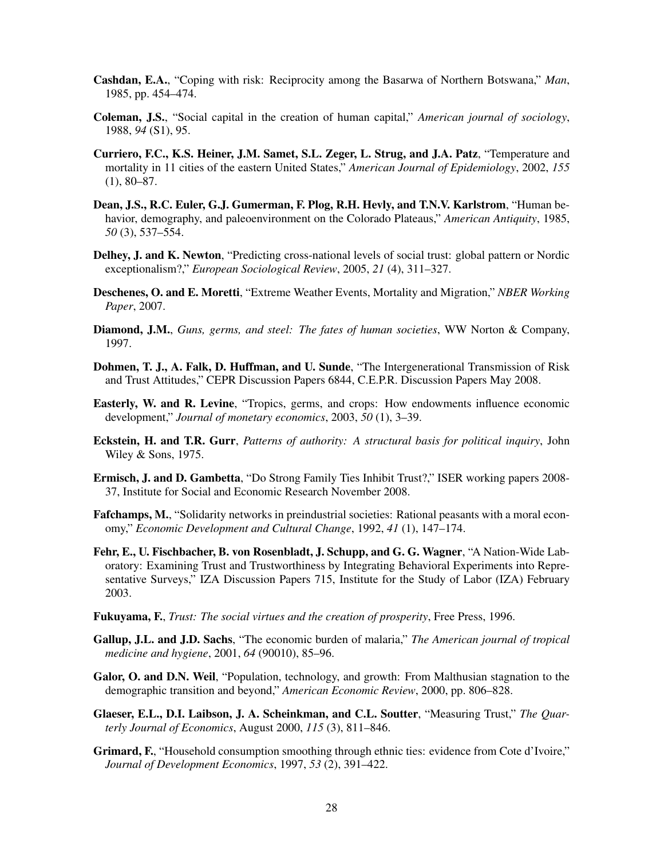- <span id="page-27-10"></span>Cashdan, E.A., "Coping with risk: Reciprocity among the Basarwa of Northern Botswana," *Man*, 1985, pp. 454–474.
- <span id="page-27-1"></span>Coleman, J.S., "Social capital in the creation of human capital," *American journal of sociology*, 1988, *94* (S1), 95.
- <span id="page-27-6"></span>Curriero, F.C., K.S. Heiner, J.M. Samet, S.L. Zeger, L. Strug, and J.A. Patz, "Temperature and mortality in 11 cities of the eastern United States," *American Journal of Epidemiology*, 2002, *155* (1), 80–87.
- <span id="page-27-0"></span>Dean, J.S., R.C. Euler, G.J. Gumerman, F. Plog, R.H. Hevly, and T.N.V. Karlstrom, "Human behavior, demography, and paleoenvironment on the Colorado Plateaus," *American Antiquity*, 1985, *50* (3), 537–554.
- <span id="page-27-14"></span>Delhey, J. and K. Newton, "Predicting cross-national levels of social trust: global pattern or Nordic exceptionalism?," *European Sociological Review*, 2005, *21* (4), 311–327.
- <span id="page-27-7"></span>Deschenes, O. and E. Moretti, "Extreme Weather Events, Mortality and Migration," *NBER Working Paper*, 2007.
- <span id="page-27-9"></span>Diamond, J.M., *Guns, germs, and steel: The fates of human societies*, WW Norton & Company, 1997.
- <span id="page-27-13"></span>Dohmen, T. J., A. Falk, D. Huffman, and U. Sunde, "The Intergenerational Transmission of Risk and Trust Attitudes," CEPR Discussion Papers 6844, C.E.P.R. Discussion Papers May 2008.
- <span id="page-27-4"></span>Easterly, W. and R. Levine, "Tropics, germs, and crops: How endowments influence economic development," *Journal of monetary economics*, 2003, *50* (1), 3–39.
- <span id="page-27-17"></span>Eckstein, H. and T.R. Gurr, *Patterns of authority: A structural basis for political inquiry*, John Wiley & Sons, 1975.
- <span id="page-27-3"></span>Ermisch, J. and D. Gambetta, "Do Strong Family Ties Inhibit Trust?," ISER working papers 2008- 37, Institute for Social and Economic Research November 2008.
- <span id="page-27-12"></span>Fafchamps, M., "Solidarity networks in preindustrial societies: Rational peasants with a moral economy," *Economic Development and Cultural Change*, 1992, *41* (1), 147–174.
- <span id="page-27-16"></span>Fehr, E., U. Fischbacher, B. von Rosenbladt, J. Schupp, and G. G. Wagner, "A Nation-Wide Laboratory: Examining Trust and Trustworthiness by Integrating Behavioral Experiments into Representative Surveys," IZA Discussion Papers 715, Institute for the Study of Labor (IZA) February 2003.
- <span id="page-27-2"></span>Fukuyama, F., *Trust: The social virtues and the creation of prosperity*, Free Press, 1996.
- <span id="page-27-8"></span>Gallup, J.L. and J.D. Sachs, "The economic burden of malaria," *The American journal of tropical medicine and hygiene*, 2001, *64* (90010), 85–96.
- <span id="page-27-5"></span>Galor, O. and D.N. Weil, "Population, technology, and growth: From Malthusian stagnation to the demographic transition and beyond," *American Economic Review*, 2000, pp. 806–828.
- <span id="page-27-15"></span>Glaeser, E.L., D.I. Laibson, J. A. Scheinkman, and C.L. Soutter, "Measuring Trust," *The Quarterly Journal of Economics*, August 2000, *115* (3), 811–846.
- <span id="page-27-11"></span>Grimard, F., "Household consumption smoothing through ethnic ties: evidence from Cote d'Ivoire," *Journal of Development Economics*, 1997, *53* (2), 391–422.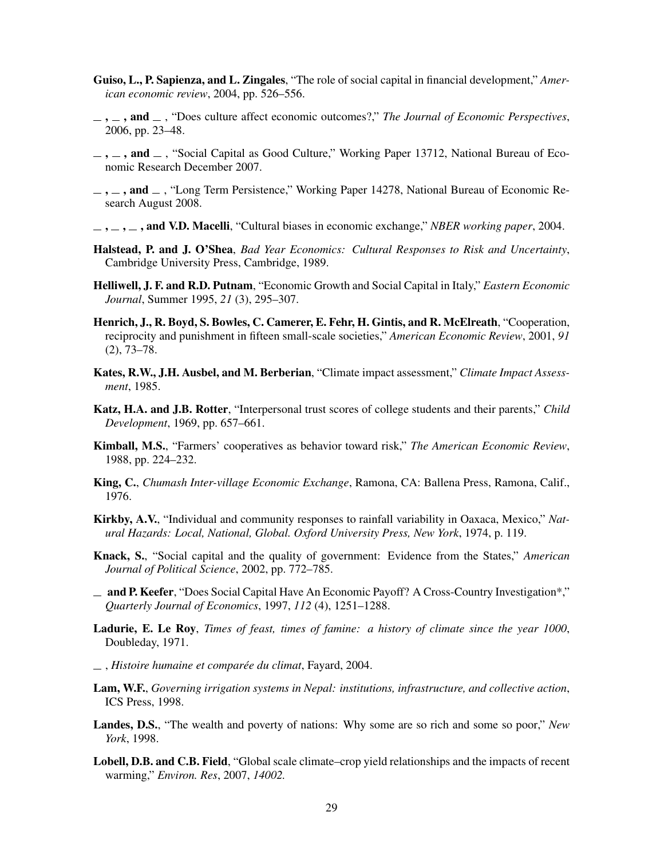- <span id="page-28-6"></span>Guiso, L., P. Sapienza, and L. Zingales, "The role of social capital in financial development," *American economic review*, 2004, pp. 526–556.
- <span id="page-28-17"></span> $, \ldots$ , and  $\ldots$ , "Does culture affect economic outcomes?," *The Journal of Economic Perspectives*, 2006, pp. 23–48.
- <span id="page-28-8"></span> $, \ldots, \ldots$ , and  $\ldots$ , "Social Capital as Good Culture," Working Paper 13712, National Bureau of Economic Research December 2007.
- <span id="page-28-0"></span> $\ldots$ , and  $\ldots$ , "Long Term Persistence," Working Paper 14278, National Bureau of Economic Research August 2008.
- <span id="page-28-7"></span> $\ldots$ ,  $\ldots$ , and V.D. Macelli, "Cultural biases in economic exchange," *NBER working paper*, 2004.
- <span id="page-28-2"></span>Halstead, P. and J. O'Shea, *Bad Year Economics: Cultural Responses to Risk and Uncertainty*, Cambridge University Press, Cambridge, 1989.
- <span id="page-28-4"></span>Helliwell, J. F. and R.D. Putnam, "Economic Growth and Social Capital in Italy," *Eastern Economic Journal*, Summer 1995, *21* (3), 295–307.
- <span id="page-28-18"></span>Henrich, J., R. Boyd, S. Bowles, C. Camerer, E. Fehr, H. Gintis, and R. McElreath, "Cooperation, reciprocity and punishment in fifteen small-scale societies," *American Economic Review*, 2001, *91* (2), 73–78.
- <span id="page-28-12"></span>Kates, R.W., J.H. Ausbel, and M. Berberian, "Climate impact assessment," *Climate Impact Assessment*, 1985.
- <span id="page-28-16"></span>Katz, H.A. and J.B. Rotter, "Interpersonal trust scores of college students and their parents," *Child Development*, 1969, pp. 657–661.
- <span id="page-28-14"></span>Kimball, M.S., "Farmers' cooperatives as behavior toward risk," *The American Economic Review*, 1988, pp. 224–232.
- <span id="page-28-15"></span>King, C., *Chumash Inter-village Economic Exchange*, Ramona, CA: Ballena Press, Ramona, Calif., 1976.
- <span id="page-28-1"></span>Kirkby, A.V., "Individual and community responses to rainfall variability in Oaxaca, Mexico," *Natural Hazards: Local, National, Global. Oxford University Press, New York*, 1974, p. 119.
- <span id="page-28-3"></span>Knack, S., "Social capital and the quality of government: Evidence from the States," *American Journal of Political Science*, 2002, pp. 772–785.
- <span id="page-28-5"></span>and P. Keefer, "Does Social Capital Have An Economic Payoff? A Cross-Country Investigation\*," *Quarterly Journal of Economics*, 1997, *112* (4), 1251–1288.
- <span id="page-28-19"></span>Ladurie, E. Le Roy, *Times of feast, times of famine: a history of climate since the year 1000*, Doubleday, 1971.
- <span id="page-28-11"></span>, *Histoire humaine et comparée du climat*, Fayard, 2004.
- <span id="page-28-13"></span>Lam, W.F., *Governing irrigation systems in Nepal: institutions, infrastructure, and collective action*, ICS Press, 1998.
- <span id="page-28-9"></span>Landes, D.S., "The wealth and poverty of nations: Why some are so rich and some so poor," *New York*, 1998.
- <span id="page-28-10"></span>Lobell, D.B. and C.B. Field, "Global scale climate–crop yield relationships and the impacts of recent warming," *Environ. Res*, 2007, *14002.*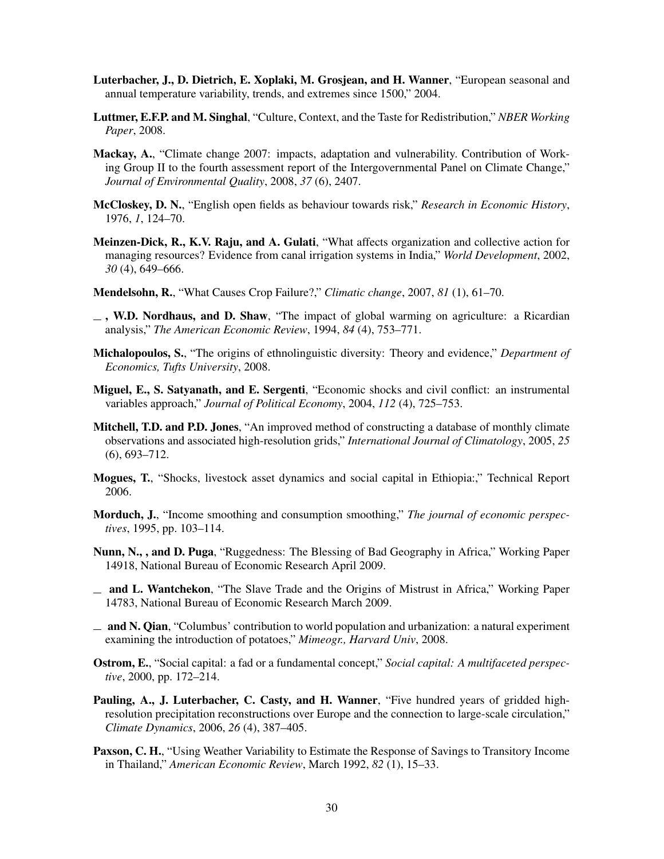- <span id="page-29-13"></span>Luterbacher, J., D. Dietrich, E. Xoplaki, M. Grosjean, and H. Wanner, "European seasonal and annual temperature variability, trends, and extremes since 1500," 2004.
- <span id="page-29-11"></span>Luttmer, E.F.P. and M. Singhal, "Culture, Context, and the Taste for Redistribution," *NBER Working Paper*, 2008.
- Mackay, A., "Climate change 2007: impacts, adaptation and vulnerability. Contribution of Working Group II to the fourth assessment report of the Intergovernmental Panel on Climate Change," *Journal of Environmental Quality*, 2008, *37* (6), 2407.
- <span id="page-29-7"></span>McCloskey, D. N., "English open fields as behaviour towards risk," *Research in Economic History*, 1976, *1*, 124–70.
- <span id="page-29-8"></span>Meinzen-Dick, R., K.V. Raju, and A. Gulati, "What affects organization and collective action for managing resources? Evidence from canal irrigation systems in India," *World Development*, 2002, *30* (4), 649–666.
- <span id="page-29-5"></span>Mendelsohn, R., "What Causes Crop Failure?," *Climatic change*, 2007, *81* (1), 61–70.
- <span id="page-29-1"></span> $\overline{\phantom{a}}$ , W.D. Nordhaus, and D. Shaw, "The impact of global warming on agriculture: a Ricardian analysis," *The American Economic Review*, 1994, *84* (4), 753–771.
- <span id="page-29-3"></span>Michalopoulos, S., "The origins of ethnolinguistic diversity: Theory and evidence," *Department of Economics, Tufts University*, 2008.
- <span id="page-29-2"></span>Miguel, E., S. Satyanath, and E. Sergenti, "Economic shocks and civil conflict: an instrumental variables approach," *Journal of Political Economy*, 2004, *112* (4), 725–753.
- <span id="page-29-12"></span>Mitchell, T.D. and P.D. Jones, "An improved method of constructing a database of monthly climate observations and associated high-resolution grids," *International Journal of Climatology*, 2005, *25* (6), 693–712.
- <span id="page-29-10"></span>Mogues, T., "Shocks, livestock asset dynamics and social capital in Ethiopia:," Technical Report 2006.
- <span id="page-29-6"></span>Morduch, J., "Income smoothing and consumption smoothing," *The journal of economic perspectives*, 1995, pp. 103–114.
- <span id="page-29-4"></span>Nunn, N., , and D. Puga, "Ruggedness: The Blessing of Bad Geography in Africa," Working Paper 14918, National Bureau of Economic Research April 2009.
- <span id="page-29-0"></span> $-$  and L. Wantchekon, "The Slave Trade and the Origins of Mistrust in Africa," Working Paper 14783, National Bureau of Economic Research March 2009.
- <span id="page-29-15"></span> $\equiv$  and N. Qian, "Columbus' contribution to world population and urbanization: a natural experiment examining the introduction of potatoes," *Mimeogr., Harvard Univ*, 2008.
- <span id="page-29-9"></span>Ostrom, E., "Social capital: a fad or a fundamental concept," *Social capital: A multifaceted perspective*, 2000, pp. 172–214.
- <span id="page-29-14"></span>Pauling, A., J. Luterbacher, C. Casty, and H. Wanner, "Five hundred years of gridded highresolution precipitation reconstructions over Europe and the connection to large-scale circulation," *Climate Dynamics*, 2006, *26* (4), 387–405.
- <span id="page-29-16"></span>Paxson, C. H., "Using Weather Variability to Estimate the Response of Savings to Transitory Income in Thailand," *American Economic Review*, March 1992, *82* (1), 15–33.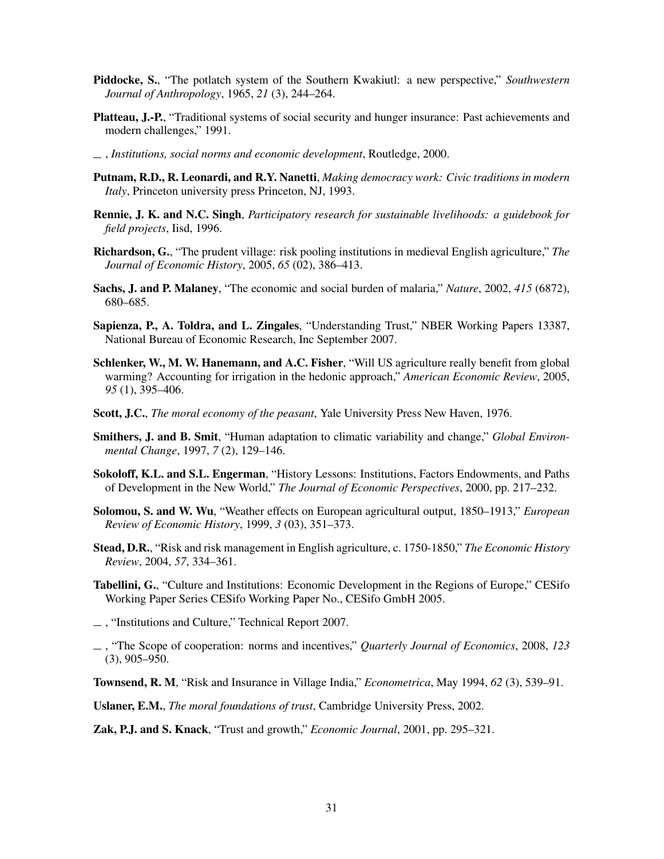- <span id="page-30-16"></span>Piddocke, S., "The potlatch system of the Southern Kwakiutl: a new perspective," *Southwestern Journal of Anthropology*, 1965, *21* (3), 244–264.
- <span id="page-30-15"></span>Platteau, J.-P., "Traditional systems of social security and hunger insurance: Past achievements and modern challenges," 1991.
- <span id="page-30-1"></span>, *Institutions, social norms and economic development*, Routledge, 2000.
- <span id="page-30-2"></span>Putnam, R.D., R. Leonardi, and R.Y. Nanetti, *Making democracy work: Civic traditions in modern Italy*, Princeton university press Princeton, NJ, 1993.
- <span id="page-30-12"></span>Rennie, J. K. and N.C. Singh, *Participatory research for sustainable livelihoods: a guidebook for field projects*, Iisd, 1996.
- <span id="page-30-17"></span>Richardson, G., "The prudent village: risk pooling institutions in medieval English agriculture," *The Journal of Economic History*, 2005, *65* (02), 386–413.
- <span id="page-30-6"></span>Sachs, J. and P. Malaney, "The economic and social burden of malaria," *Nature*, 2002, *415* (6872), 680–685.
- <span id="page-30-18"></span>Sapienza, P., A. Toldra, and L. Zingales, "Understanding Trust," NBER Working Papers 13387, National Bureau of Economic Research, Inc September 2007.
- <span id="page-30-8"></span>Schlenker, W., M. W. Hanemann, and A.C. Fisher, "Will US agriculture really benefit from global warming? Accounting for irrigation in the hedonic approach," *American Economic Review*, 2005, *95* (1), 395–406.
- <span id="page-30-14"></span>Scott, J.C., *The moral economy of the peasant*, Yale University Press New Haven, 1976.
- <span id="page-30-11"></span>Smithers, J. and B. Smit, "Human adaptation to climatic variability and change," *Global Environmental Change*, 1997, *7* (2), 129–146.
- <span id="page-30-7"></span>Sokoloff, K.L. and S.L. Engerman, "History Lessons: Institutions, Factors Endowments, and Paths of Development in the New World," *The Journal of Economic Perspectives*, 2000, pp. 217–232.
- <span id="page-30-9"></span>Solomou, S. and W. Wu, "Weather effects on European agricultural output, 1850–1913," *European Review of Economic History*, 1999, *3* (03), 351–373.
- <span id="page-30-10"></span>Stead, D.R., "Risk and risk management in English agriculture, c. 1750-1850," *The Economic History Review*, 2004, *57*, 334–361.
- <span id="page-30-0"></span>Tabellini, G., "Culture and Institutions: Economic Development in the Regions of Europe," CESifo Working Paper Series CESifo Working Paper No., CESifo GmbH 2005.
- <span id="page-30-19"></span>, "Institutions and Culture," Technical Report 2007.
- <span id="page-30-5"></span>, "The Scope of cooperation: norms and incentives," *Quarterly Journal of Economics*, 2008, *123* (3), 905–950.
- <span id="page-30-13"></span>Townsend, R. M, "Risk and Insurance in Village India," *Econometrica*, May 1994, *62* (3), 539–91.
- <span id="page-30-4"></span>Uslaner, E.M., *The moral foundations of trust*, Cambridge University Press, 2002.

<span id="page-30-3"></span>Zak, P.J. and S. Knack, "Trust and growth," *Economic Journal*, 2001, pp. 295–321.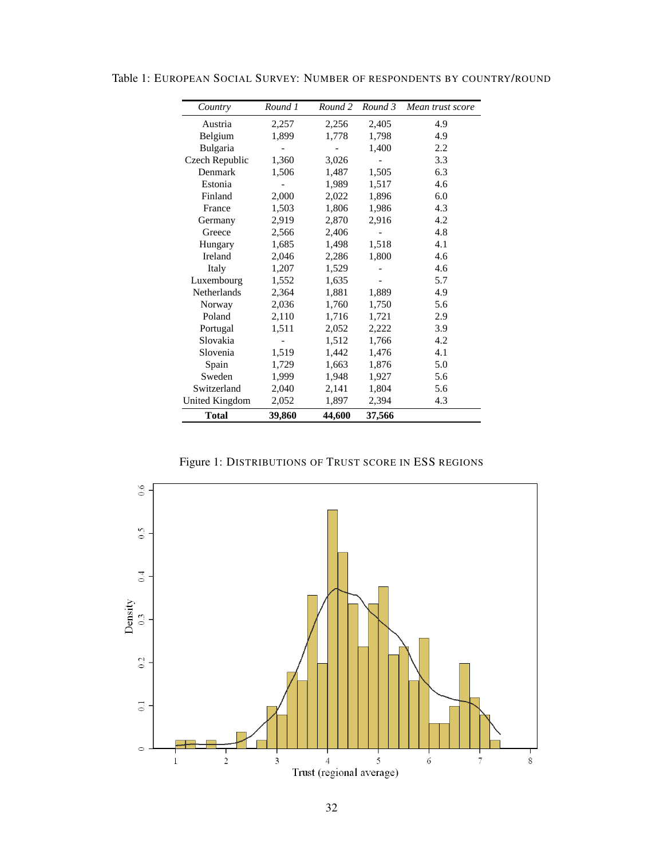| Country        | Round 1 | Round 2 | Round 3 | Mean trust score |
|----------------|---------|---------|---------|------------------|
| Austria        | 2,257   | 2,256   | 2,405   | 4.9              |
| Belgium        | 1,899   | 1,778   | 1,798   | 4.9              |
| Bulgaria       |         |         | 1,400   | 2.2              |
| Czech Republic | 1,360   | 3,026   |         | 3.3              |
| Denmark        | 1,506   | 1,487   | 1,505   | 6.3              |
| Estonia        |         | 1,989   | 1,517   | 4.6              |
| Finland        | 2,000   | 2,022   | 1,896   | 6.0              |
| France         | 1,503   | 1,806   | 1,986   | 4.3              |
| Germany        | 2,919   | 2,870   | 2,916   | 4.2              |
| Greece         | 2,566   | 2,406   |         | 4.8              |
| Hungary        | 1,685   | 1,498   | 1,518   | 4.1              |
| Ireland        | 2,046   | 2,286   | 1,800   | 4.6              |
| Italy          | 1,207   | 1,529   |         | 4.6              |
| Luxembourg     | 1,552   | 1,635   |         | 5.7              |
| Netherlands    | 2,364   | 1.881   | 1,889   | 4.9              |
| Norway         | 2,036   | 1,760   | 1,750   | 5.6              |
| Poland         | 2,110   | 1,716   | 1,721   | 2.9              |
| Portugal       | 1,511   | 2,052   | 2,222   | 3.9              |
| Slovakia       |         | 1,512   | 1,766   | 4.2              |
| Slovenia       | 1,519   | 1,442   | 1,476   | 4.1              |
| Spain          | 1,729   | 1,663   | 1,876   | 5.0              |
| Sweden         | 1,999   | 1,948   | 1,927   | 5.6              |
| Switzerland    | 2,040   | 2,141   | 1,804   | 5.6              |
| United Kingdom | 2,052   | 1,897   | 2,394   | 4.3              |
| Total          | 39,860  | 44,600  | 37,566  |                  |

<span id="page-31-0"></span>Table 1: EUROPEAN SOCIAL SURVEY: NUMBER OF RESPONDENTS BY COUNTRY/ROUND

Figure 1: DISTRIBUTIONS OF TRUST SCORE IN ESS REGIONS

<span id="page-31-1"></span>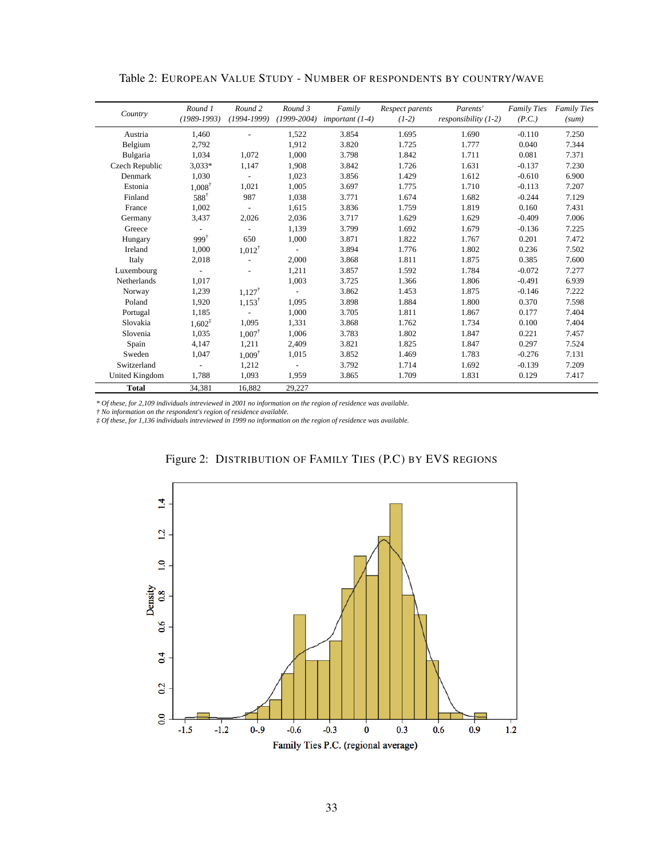| Country        | Round 1<br>$(1989 - 1993)$ | Round 2<br>$(1994 - 1999)$ | Round 3<br>$(1999 - 2004)$ | Family<br>important $(1-4)$ | Respect parents<br>$(1-2)$ | Parents'<br>responsibility $(1-2)$ | <b>Family Ties</b><br>(P.C.) | <b>Family Ties</b><br>(sum) |
|----------------|----------------------------|----------------------------|----------------------------|-----------------------------|----------------------------|------------------------------------|------------------------------|-----------------------------|
| Austria        | 1,460                      |                            | 1,522                      | 3.854                       | 1.695                      | 1.690                              | $-0.110$                     | 7.250                       |
| Belgium        | 2,792                      |                            | 1.912                      | 3.820                       | 1.725                      | 1.777                              | 0.040                        | 7.344                       |
| Bulgaria       | 1,034                      | 1,072                      | 1,000                      | 3.798                       | 1.842                      | 1.711                              | 0.081                        | 7.371                       |
| Czech Republic | 3,033*                     | 1,147                      | 1,908                      | 3.842                       | 1.726                      | 1.631                              | $-0.137$                     | 7.230                       |
| Denmark        | 1.030                      |                            | 1.023                      | 3.856                       | 1.429                      | 1.612                              | $-0.610$                     | 6.900                       |
| Estonia        | $1,008^{\dagger}$          | 1,021                      | 1.005                      | 3.697                       | 1.775                      | 1.710                              | $-0.113$                     | 7.207                       |
| Finland        | $588^{\dagger}$            | 987                        | 1,038                      | 3.771                       | 1.674                      | 1.682                              | $-0.244$                     | 7.129                       |
| France         | 1,002                      | $\overline{a}$             | 1.615                      | 3.836                       | 1.759                      | 1.819                              | 0.160                        | 7.431                       |
| Germany        | 3,437                      | 2,026                      | 2,036                      | 3.717                       | 1.629                      | 1.629                              | $-0.409$                     | 7.006                       |
| Greece         |                            |                            | 1,139                      | 3.799                       | 1.692                      | 1.679                              | $-0.136$                     | 7.225                       |
| Hungary        | $999^{\dagger}$            | 650                        | 1,000                      | 3.871                       | 1.822                      | 1.767                              | 0.201                        | 7.472                       |
| Ireland        | 1,000                      | $1,012^{\dagger}$          |                            | 3.894                       | 1.776                      | 1.802                              | 0.236                        | 7.502                       |
| Italy          | 2,018                      |                            | 2,000                      | 3.868                       | 1.811                      | 1.875                              | 0.385                        | 7.600                       |
| Luxembourg     |                            |                            | 1,211                      | 3.857                       | 1.592                      | 1.784                              | $-0.072$                     | 7.277                       |
| Netherlands    | 1,017                      |                            | 1,003                      | 3.725                       | 1.366                      | 1.806                              | $-0.491$                     | 6.939                       |
| Norway         | 1,239                      | $1,127^{\dagger}$          |                            | 3.862                       | 1.453                      | 1.875                              | $-0.146$                     | 7.222                       |
| Poland         | 1,920                      | $1,153^{\dagger}$          | 1,095                      | 3.898                       | 1.884                      | 1.800                              | 0.370                        | 7.598                       |
| Portugal       | 1,185                      |                            | 1,000                      | 3.705                       | 1.811                      | 1.867                              | 0.177                        | 7.404                       |
| Slovakia       | $1,602^{\ddagger}$         | 1,095                      | 1,331                      | 3.868                       | 1.762                      | 1.734                              | 0.100                        | 7.404                       |
| Slovenia       | 1,035                      | $1,007^{\dagger}$          | 1.006                      | 3.783                       | 1.802                      | 1.847                              | 0.221                        | 7.457                       |
| Spain          | 4,147                      | 1,211                      | 2,409                      | 3.821                       | 1.825                      | 1.847                              | 0.297                        | 7.524                       |
| Sweden         | 1,047                      | $1,009^{\dagger}$          | 1,015                      | 3.852                       | 1.469                      | 1.783                              | $-0.276$                     | 7.131                       |
| Switzerland    |                            | 1,212                      |                            | 3.792                       | 1.714                      | 1.692                              | $-0.139$                     | 7.209                       |
| United Kingdom | 1,788                      | 1,093                      | 1,959                      | 3.865                       | 1.709                      | 1.831                              | 0.129                        | 7.417                       |
| <b>Total</b>   | 34.381                     | 16.882                     | 29.227                     |                             |                            |                                    |                              |                             |

<span id="page-32-0"></span>Table 2: EUROPEAN VALUE STUDY - NUMBER OF RESPONDENTS BY COUNTRY/WAVE

*\* Of these, for 2,109 individuals intreviewed in 2001 no information on the region of residence was available.*

*† No information on the respondent's region of residence available.*

<span id="page-32-1"></span>*‡ Of these, for 1,136 individuals intreviewed in 1999 no information on the region of residence was available.*



Figure 2: DISTRIBUTION OF FAMILY TIES (P.C) BY EVS REGIONS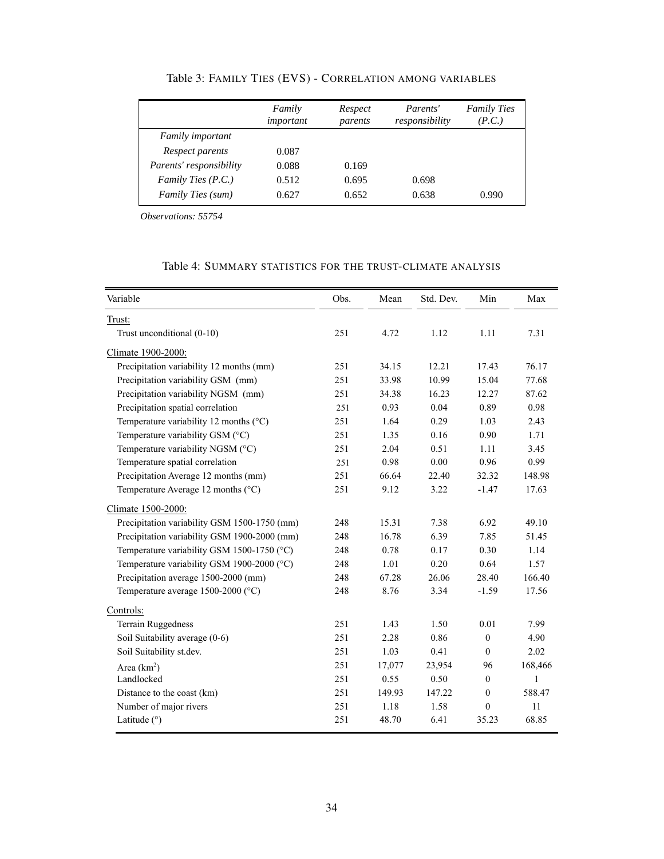<span id="page-33-0"></span>

|                         | Family<br>important | Respect<br>parents | Parents'<br>responsibility | <b>Family Ties</b><br>(P.C.) |
|-------------------------|---------------------|--------------------|----------------------------|------------------------------|
| Family important        |                     |                    |                            |                              |
| Respect parents         | 0.087               |                    |                            |                              |
| Parents' responsibility | 0.088               | 0.169              |                            |                              |
| Family Ties (P.C.)      | 0.512               | 0.695              | 0.698                      |                              |
| Family Ties (sum)       | 0.627               | 0.652              | 0.638                      | 0.990                        |

# Table 3: FAMILY TIES (EVS) - CORRELATION AMONG VARIABLES Family Ties (EVS) - Correlation among variables

*Observations: 55754*

# Table 4: SUMMARY STATISTICS FOR THE TRUST-CLIMATE ANALYSIS

<span id="page-33-1"></span>

| Variable                                     | Obs. | Mean   | Std. Dev. | Min              | Max          |
|----------------------------------------------|------|--------|-----------|------------------|--------------|
| Trust:                                       |      |        |           |                  |              |
| Trust unconditional (0-10)                   | 251  | 4.72   | 1.12      | 1.11             | 7.31         |
| Climate 1900-2000:                           |      |        |           |                  |              |
| Precipitation variability 12 months (mm)     | 251  | 34.15  | 12.21     | 17.43            | 76.17        |
| Precipitation variability GSM (mm)           | 251  | 33.98  | 10.99     | 15.04            | 77.68        |
| Precipitation variability NGSM (mm)          | 251  | 34.38  | 16.23     | 12.27            | 87.62        |
| Precipitation spatial correlation            | 251  | 0.93   | 0.04      | 0.89             | 0.98         |
| Temperature variability 12 months (°C)       | 251  | 1.64   | 0.29      | 1.03             | 2.43         |
| Temperature variability GSM (°C)             | 251  | 1.35   | 0.16      | 0.90             | 1.71         |
| Temperature variability NGSM (°C)            | 251  | 2.04   | 0.51      | 1.11             | 3.45         |
| Temperature spatial correlation              | 251  | 0.98   | 0.00      | 0.96             | 0.99         |
| Precipitation Average 12 months (mm)         | 251  | 66.64  | 22.40     | 32.32            | 148.98       |
| Temperature Average 12 months (°C)           | 251  | 9.12   | 3.22      | $-1.47$          | 17.63        |
| Climate 1500-2000:                           |      |        |           |                  |              |
| Precipitation variability GSM 1500-1750 (mm) | 248  | 15.31  | 7.38      | 6.92             | 49.10        |
| Precipitation variability GSM 1900-2000 (mm) | 248  | 16.78  | 6.39      | 7.85             | 51.45        |
| Temperature variability GSM 1500-1750 (°C)   | 248  | 0.78   | 0.17      | 0.30             | 1.14         |
| Temperature variability GSM 1900-2000 (°C)   | 248  | 1.01   | 0.20      | 0.64             | 1.57         |
| Precipitation average 1500-2000 (mm)         | 248  | 67.28  | 26.06     | 28.40            | 166.40       |
| Temperature average 1500-2000 (°C)           | 248  | 8.76   | 3.34      | $-1.59$          | 17.56        |
| Controls:                                    |      |        |           |                  |              |
| Terrain Ruggedness                           | 251  | 1.43   | 1.50      | 0.01             | 7.99         |
| Soil Suitability average (0-6)               | 251  | 2.28   | 0.86      | $\overline{0}$   | 4.90         |
| Soil Suitability st.dev.                     | 251  | 1.03   | 0.41      | $\overline{0}$   | 2.02         |
| Area $(km^2)$                                | 251  | 17,077 | 23,954    | 96               | 168,466      |
| Landlocked                                   | 251  | 0.55   | 0.50      | $\boldsymbol{0}$ | $\mathbf{1}$ |
| Distance to the coast (km)                   | 251  | 149.93 | 147.22    | $\overline{0}$   | 588.47       |
| Number of major rivers                       | 251  | 1.18   | 1.58      | $\boldsymbol{0}$ | 11           |
| Latitude $(°)$                               | 251  | 48.70  | 6.41      | 35.23            | 68.85        |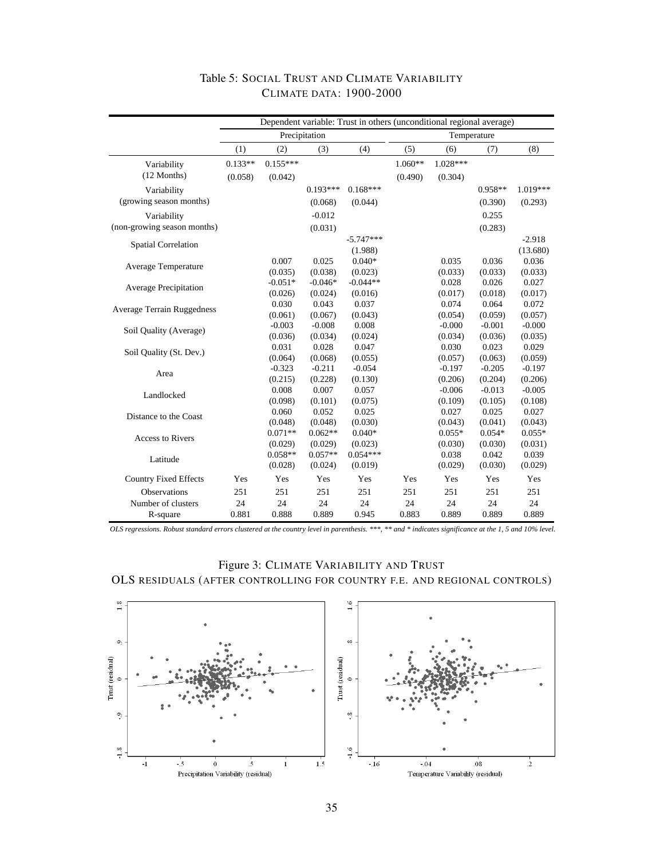<span id="page-34-0"></span>

|                                   |           |                  |                  | Dependent variable: Trust in others (unconditional regional average) |           |                  |                  |                      |
|-----------------------------------|-----------|------------------|------------------|----------------------------------------------------------------------|-----------|------------------|------------------|----------------------|
|                                   |           |                  | Precipitation    |                                                                      |           | Temperature      |                  |                      |
|                                   | (1)       | (2)              | (3)              | (4)                                                                  | (5)       | (6)              | (7)              | (8)                  |
| Variability                       | $0.133**$ | $0.155***$       |                  |                                                                      | $1.060**$ | $1.028***$       |                  |                      |
| (12 Months)                       | (0.058)   | (0.042)          |                  |                                                                      | (0.490)   | (0.304)          |                  |                      |
| Variability                       |           |                  | $0.193***$       | $0.168***$                                                           |           |                  | $0.958**$        | 1.019***             |
| (growing season months)           |           |                  | (0.068)          | (0.044)                                                              |           |                  | (0.390)          | (0.293)              |
| Variability                       |           |                  | $-0.012$         |                                                                      |           |                  | 0.255            |                      |
| (non-growing season months)       |           |                  | (0.031)          |                                                                      |           |                  | (0.283)          |                      |
| <b>Spatial Correlation</b>        |           |                  |                  | $-5.747***$<br>(1.988)                                               |           |                  |                  | $-2.918$<br>(13.680) |
| Average Temperature               |           | 0.007            | 0.025            | $0.040*$                                                             |           | 0.035            | 0.036            | 0.036                |
|                                   |           | (0.035)          | (0.038)          | (0.023)                                                              |           | (0.033)          | (0.033)          | (0.033)              |
| <b>Average Precipitation</b>      |           | $-0.051*$        | $-0.046*$        | $-0.044**$                                                           |           | 0.028            | 0.026            | 0.027                |
|                                   |           | (0.026)          | (0.024)          | (0.016)                                                              |           | (0.017)          | (0.018)          | (0.017)              |
| <b>Average Terrain Ruggedness</b> |           | 0.030<br>(0.061) | 0.043<br>(0.067) | 0.037<br>(0.043)                                                     |           | 0.074<br>(0.054) | 0.064<br>(0.059) | 0.072<br>(0.057)     |
|                                   |           | $-0.003$         | $-0.008$         | 0.008                                                                |           | $-0.000$         | $-0.001$         | $-0.000$             |
| Soil Quality (Average)            |           | (0.036)          | (0.034)          | (0.024)                                                              |           | (0.034)          | (0.036)          | (0.035)              |
|                                   |           | 0.031            | 0.028            | 0.047                                                                |           | 0.030            | 0.023            | 0.029                |
| Soil Quality (St. Dev.)           |           | (0.064)          | (0.068)          | (0.055)                                                              |           | (0.057)          | (0.063)          | (0.059)              |
|                                   |           | $-0.323$         | $-0.211$         | $-0.054$                                                             |           | $-0.197$         | $-0.205$         | $-0.197$             |
| Area                              |           | (0.215)          | (0.228)          | (0.130)                                                              |           | (0.206)          | (0.204)          | (0.206)              |
|                                   |           | 0.008            | 0.007            | 0.057                                                                |           | $-0.006$         | $-0.013$         | $-0.005$             |
| Landlocked                        |           | (0.098)          | (0.101)          | (0.075)                                                              |           | (0.109)          | (0.105)          | (0.108)              |
| Distance to the Coast             |           | 0.060            | 0.052            | 0.025                                                                |           | 0.027            | 0.025            | 0.027                |
|                                   |           | (0.048)          | (0.048)          | (0.030)                                                              |           | (0.043)          | (0.041)          | (0.043)              |
| Access to Rivers                  |           | $0.071**$        | $0.062**$        | $0.040*$                                                             |           | $0.055*$         | $0.054*$         | $0.055*$             |
|                                   |           | (0.029)          | (0.029)          | (0.023)                                                              |           | (0.030)          | (0.030)          | (0.031)              |
| Latitude                          |           | $0.058**$        | $0.057**$        | $0.054***$                                                           |           | 0.038            | 0.042            | 0.039                |
|                                   |           | (0.028)          | (0.024)          | (0.019)                                                              |           | (0.029)          | (0.030)          | (0.029)              |
| <b>Country Fixed Effects</b>      | Yes       | Yes              | Yes              | Yes                                                                  | Yes       | Yes              | Yes              | Yes                  |
| Observations                      | 251       | 251              | 251              | 251                                                                  | 251       | 251              | 251              | 251                  |
| Number of clusters                | 24        | 24               | 24               | 24                                                                   | 24        | 24               | 24               | 24                   |
| R-square                          | 0.881     | 0.888            | 0.889            | 0.945                                                                | 0.883     | 0.889            | 0.889            | 0.889                |

# Table 5: SOCIAL TRUST AND CLIMATE VARIABILITY CLIMATE DATA: 1900-2000

*OLS regressions. Robust standard errors clustered at the country level in parenthesis. \*\*\*, \*\* and \* indicates significance at the 1, 5 and 10% level.*



# <span id="page-34-1"></span>Figure 3: CLIMATE VARIABILITY AND TRUST OLS RESIDUALS (AFTER CONTROLLING FOR COUNTRY F.E. AND REGIONAL CONTROLS)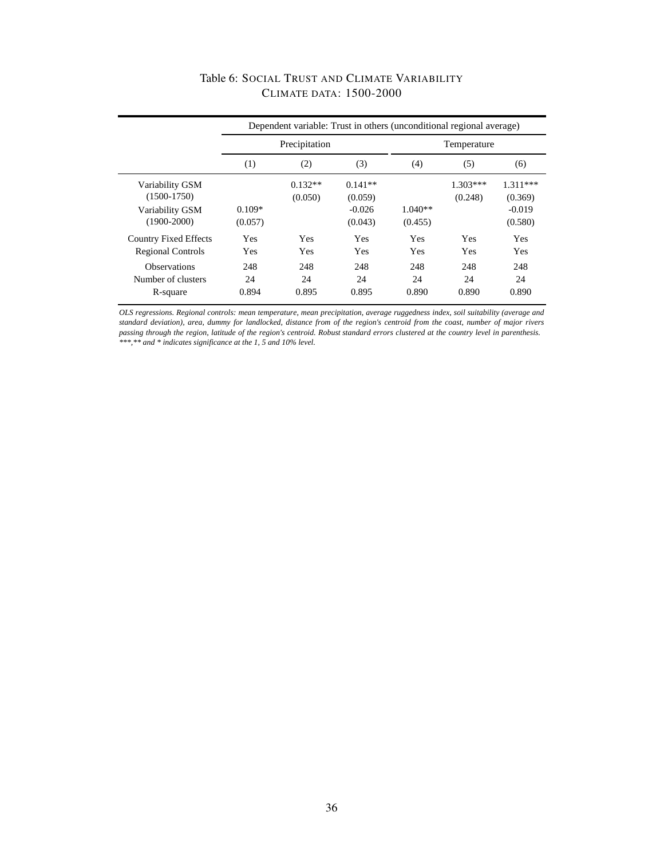<span id="page-35-0"></span>

|                              |          | Dependent variable: Trust in others (unconditional regional average) |           |             |            |            |  |  |
|------------------------------|----------|----------------------------------------------------------------------|-----------|-------------|------------|------------|--|--|
|                              |          | Precipitation                                                        |           | Temperature |            |            |  |  |
|                              | (1)      | (2)                                                                  | (3)       | (4)         | (5)        | (6)        |  |  |
| Variability GSM              |          | $0.132**$                                                            | $0.141**$ |             | $1.303***$ | $1.311***$ |  |  |
| $(1500-1750)$                |          | (0.050)                                                              | (0.059)   |             | (0.248)    | (0.369)    |  |  |
| Variability GSM              | $0.109*$ |                                                                      | $-0.026$  | $1.040**$   |            | $-0.019$   |  |  |
| $(1900 - 2000)$              | (0.057)  |                                                                      | (0.043)   | (0.455)     |            | (0.580)    |  |  |
| <b>Country Fixed Effects</b> | Yes      | Yes                                                                  | Yes       | Yes         | Yes        | <b>Yes</b> |  |  |
| <b>Regional Controls</b>     | Yes      | Yes                                                                  | Yes       | Yes         | Yes        | Yes        |  |  |
| <b>Observations</b>          | 248      | 248                                                                  | 248       | 248         | 248        | 248        |  |  |
| Number of clusters           | 24       | 24                                                                   | 24        | 24          | 24         | 24         |  |  |
| R-square                     | 0.894    | 0.895                                                                | 0.895     | 0.890       | 0.890      | 0.890      |  |  |

# Table 6: SOCIAL TRUST AND CLIMATE VARIABILITY CLIMATE DATA:  $1500 - 2000$

OLS regressions. Regional controls: mean temperature, mean precipitation, average ruggedness index, soil suitability (average and *standard deviation), area, dummy for landlocked, distance from of the region's centroid from the coast, number of major rivers passing through the region, latitude of the region's centroid. Robust standard errors clustered at the country level in parenthesis. \*\*\*,\*\* and \* indicates significance at the 1, 5 and 10% level.*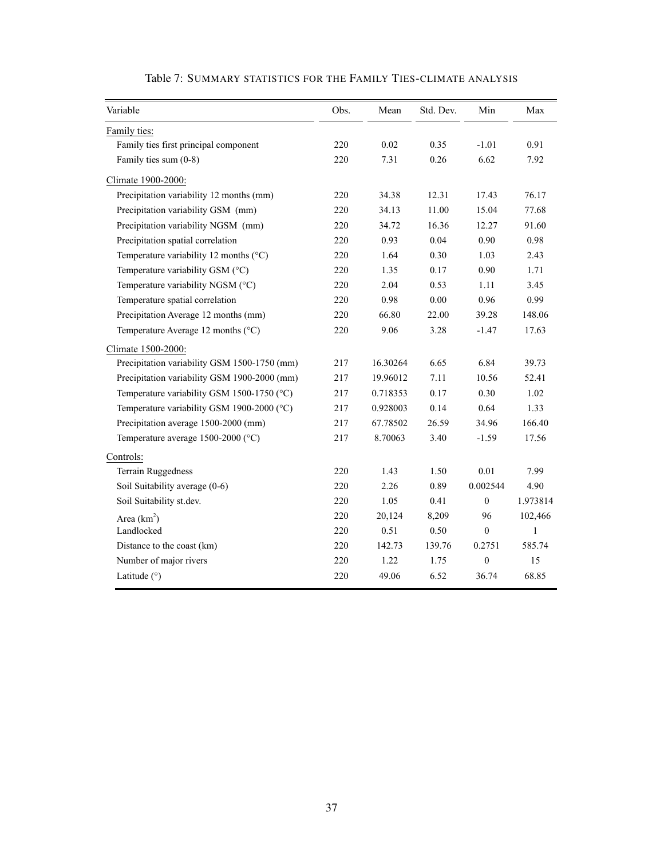<span id="page-36-0"></span>

| Family ties:<br>Family ties first principal component<br>220<br>0.02<br>0.35<br>0.91<br>$-1.01$<br>Family ties sum (0-8)<br>6.62<br>220<br>7.31<br>0.26<br>7.92<br>Climate 1900-2000:<br>Precipitation variability 12 months (mm)<br>220<br>34.38<br>12.31<br>17.43<br>76.17<br>Precipitation variability GSM (mm)<br>220<br>34.13<br>11.00<br>15.04<br>77.68<br>Precipitation variability NGSM (mm)<br>220<br>34.72<br>16.36<br>12.27<br>91.60<br>Precipitation spatial correlation<br>220<br>0.93<br>0.04<br>0.90<br>0.98<br>Temperature variability 12 months (°C)<br>220<br>1.64<br>0.30<br>1.03<br>2.43<br>Temperature variability GSM (°C)<br>220<br>1.35<br>0.17<br>0.90<br>1.71<br>Temperature variability NGSM (°C)<br>220<br>2.04<br>0.53<br>1.11<br>3.45<br>Temperature spatial correlation<br>220<br>0.98<br>0.00<br>0.96<br>0.99<br>Precipitation Average 12 months (mm)<br>148.06<br>220<br>66.80<br>22.00<br>39.28<br>9.06<br>Temperature Average 12 months (°C)<br>220<br>3.28<br>$-1.47$<br>17.63<br>Climate 1500-2000:<br>Precipitation variability GSM 1500-1750 (mm)<br>6.84<br>217<br>16.30264<br>6.65<br>39.73<br>Precipitation variability GSM 1900-2000 (mm)<br>217<br>19.96012<br>7.11<br>10.56<br>52.41<br>Temperature variability GSM 1500-1750 (°C)<br>217<br>0.718353<br>0.17<br>0.30<br>1.02<br>Temperature variability GSM 1900-2000 (°C)<br>0.64<br>1.33<br>217<br>0.14<br>0.928003<br>Precipitation average 1500-2000 (mm)<br>26.59<br>166.40<br>217<br>67.78502<br>34.96<br>Temperature average 1500-2000 (°C)<br>8.70063<br>17.56<br>217<br>3.40<br>$-1.59$<br>Controls:<br>Terrain Ruggedness<br>1.50<br>0.01<br>220<br>1.43<br>7.99<br>Soil Suitability average (0-6)<br>220<br>2.26<br>0.89<br>0.002544<br>4.90 |
|-------------------------------------------------------------------------------------------------------------------------------------------------------------------------------------------------------------------------------------------------------------------------------------------------------------------------------------------------------------------------------------------------------------------------------------------------------------------------------------------------------------------------------------------------------------------------------------------------------------------------------------------------------------------------------------------------------------------------------------------------------------------------------------------------------------------------------------------------------------------------------------------------------------------------------------------------------------------------------------------------------------------------------------------------------------------------------------------------------------------------------------------------------------------------------------------------------------------------------------------------------------------------------------------------------------------------------------------------------------------------------------------------------------------------------------------------------------------------------------------------------------------------------------------------------------------------------------------------------------------------------------------------------------------------------------------------------------------------------------------------------|
|                                                                                                                                                                                                                                                                                                                                                                                                                                                                                                                                                                                                                                                                                                                                                                                                                                                                                                                                                                                                                                                                                                                                                                                                                                                                                                                                                                                                                                                                                                                                                                                                                                                                                                                                                       |
|                                                                                                                                                                                                                                                                                                                                                                                                                                                                                                                                                                                                                                                                                                                                                                                                                                                                                                                                                                                                                                                                                                                                                                                                                                                                                                                                                                                                                                                                                                                                                                                                                                                                                                                                                       |
|                                                                                                                                                                                                                                                                                                                                                                                                                                                                                                                                                                                                                                                                                                                                                                                                                                                                                                                                                                                                                                                                                                                                                                                                                                                                                                                                                                                                                                                                                                                                                                                                                                                                                                                                                       |
|                                                                                                                                                                                                                                                                                                                                                                                                                                                                                                                                                                                                                                                                                                                                                                                                                                                                                                                                                                                                                                                                                                                                                                                                                                                                                                                                                                                                                                                                                                                                                                                                                                                                                                                                                       |
|                                                                                                                                                                                                                                                                                                                                                                                                                                                                                                                                                                                                                                                                                                                                                                                                                                                                                                                                                                                                                                                                                                                                                                                                                                                                                                                                                                                                                                                                                                                                                                                                                                                                                                                                                       |
|                                                                                                                                                                                                                                                                                                                                                                                                                                                                                                                                                                                                                                                                                                                                                                                                                                                                                                                                                                                                                                                                                                                                                                                                                                                                                                                                                                                                                                                                                                                                                                                                                                                                                                                                                       |
|                                                                                                                                                                                                                                                                                                                                                                                                                                                                                                                                                                                                                                                                                                                                                                                                                                                                                                                                                                                                                                                                                                                                                                                                                                                                                                                                                                                                                                                                                                                                                                                                                                                                                                                                                       |
|                                                                                                                                                                                                                                                                                                                                                                                                                                                                                                                                                                                                                                                                                                                                                                                                                                                                                                                                                                                                                                                                                                                                                                                                                                                                                                                                                                                                                                                                                                                                                                                                                                                                                                                                                       |
|                                                                                                                                                                                                                                                                                                                                                                                                                                                                                                                                                                                                                                                                                                                                                                                                                                                                                                                                                                                                                                                                                                                                                                                                                                                                                                                                                                                                                                                                                                                                                                                                                                                                                                                                                       |
|                                                                                                                                                                                                                                                                                                                                                                                                                                                                                                                                                                                                                                                                                                                                                                                                                                                                                                                                                                                                                                                                                                                                                                                                                                                                                                                                                                                                                                                                                                                                                                                                                                                                                                                                                       |
|                                                                                                                                                                                                                                                                                                                                                                                                                                                                                                                                                                                                                                                                                                                                                                                                                                                                                                                                                                                                                                                                                                                                                                                                                                                                                                                                                                                                                                                                                                                                                                                                                                                                                                                                                       |
|                                                                                                                                                                                                                                                                                                                                                                                                                                                                                                                                                                                                                                                                                                                                                                                                                                                                                                                                                                                                                                                                                                                                                                                                                                                                                                                                                                                                                                                                                                                                                                                                                                                                                                                                                       |
|                                                                                                                                                                                                                                                                                                                                                                                                                                                                                                                                                                                                                                                                                                                                                                                                                                                                                                                                                                                                                                                                                                                                                                                                                                                                                                                                                                                                                                                                                                                                                                                                                                                                                                                                                       |
|                                                                                                                                                                                                                                                                                                                                                                                                                                                                                                                                                                                                                                                                                                                                                                                                                                                                                                                                                                                                                                                                                                                                                                                                                                                                                                                                                                                                                                                                                                                                                                                                                                                                                                                                                       |
|                                                                                                                                                                                                                                                                                                                                                                                                                                                                                                                                                                                                                                                                                                                                                                                                                                                                                                                                                                                                                                                                                                                                                                                                                                                                                                                                                                                                                                                                                                                                                                                                                                                                                                                                                       |
|                                                                                                                                                                                                                                                                                                                                                                                                                                                                                                                                                                                                                                                                                                                                                                                                                                                                                                                                                                                                                                                                                                                                                                                                                                                                                                                                                                                                                                                                                                                                                                                                                                                                                                                                                       |
|                                                                                                                                                                                                                                                                                                                                                                                                                                                                                                                                                                                                                                                                                                                                                                                                                                                                                                                                                                                                                                                                                                                                                                                                                                                                                                                                                                                                                                                                                                                                                                                                                                                                                                                                                       |
|                                                                                                                                                                                                                                                                                                                                                                                                                                                                                                                                                                                                                                                                                                                                                                                                                                                                                                                                                                                                                                                                                                                                                                                                                                                                                                                                                                                                                                                                                                                                                                                                                                                                                                                                                       |
|                                                                                                                                                                                                                                                                                                                                                                                                                                                                                                                                                                                                                                                                                                                                                                                                                                                                                                                                                                                                                                                                                                                                                                                                                                                                                                                                                                                                                                                                                                                                                                                                                                                                                                                                                       |
|                                                                                                                                                                                                                                                                                                                                                                                                                                                                                                                                                                                                                                                                                                                                                                                                                                                                                                                                                                                                                                                                                                                                                                                                                                                                                                                                                                                                                                                                                                                                                                                                                                                                                                                                                       |
|                                                                                                                                                                                                                                                                                                                                                                                                                                                                                                                                                                                                                                                                                                                                                                                                                                                                                                                                                                                                                                                                                                                                                                                                                                                                                                                                                                                                                                                                                                                                                                                                                                                                                                                                                       |
|                                                                                                                                                                                                                                                                                                                                                                                                                                                                                                                                                                                                                                                                                                                                                                                                                                                                                                                                                                                                                                                                                                                                                                                                                                                                                                                                                                                                                                                                                                                                                                                                                                                                                                                                                       |
|                                                                                                                                                                                                                                                                                                                                                                                                                                                                                                                                                                                                                                                                                                                                                                                                                                                                                                                                                                                                                                                                                                                                                                                                                                                                                                                                                                                                                                                                                                                                                                                                                                                                                                                                                       |
|                                                                                                                                                                                                                                                                                                                                                                                                                                                                                                                                                                                                                                                                                                                                                                                                                                                                                                                                                                                                                                                                                                                                                                                                                                                                                                                                                                                                                                                                                                                                                                                                                                                                                                                                                       |
| Soil Suitability st.dev.<br>1.05<br>220<br>0.41<br>$\mathbf{0}$<br>1.973814                                                                                                                                                                                                                                                                                                                                                                                                                                                                                                                                                                                                                                                                                                                                                                                                                                                                                                                                                                                                                                                                                                                                                                                                                                                                                                                                                                                                                                                                                                                                                                                                                                                                           |
| 220<br>96<br>102,466<br>20,124<br>8,209<br>Area $(km^2)$                                                                                                                                                                                                                                                                                                                                                                                                                                                                                                                                                                                                                                                                                                                                                                                                                                                                                                                                                                                                                                                                                                                                                                                                                                                                                                                                                                                                                                                                                                                                                                                                                                                                                              |
| Landlocked<br>220<br>0.51<br>0.50<br>$\mathbf{1}$<br>$\boldsymbol{0}$                                                                                                                                                                                                                                                                                                                                                                                                                                                                                                                                                                                                                                                                                                                                                                                                                                                                                                                                                                                                                                                                                                                                                                                                                                                                                                                                                                                                                                                                                                                                                                                                                                                                                 |
| 220<br>Distance to the coast (km)<br>142.73<br>139.76<br>0.2751<br>585.74                                                                                                                                                                                                                                                                                                                                                                                                                                                                                                                                                                                                                                                                                                                                                                                                                                                                                                                                                                                                                                                                                                                                                                                                                                                                                                                                                                                                                                                                                                                                                                                                                                                                             |
| $\boldsymbol{0}$<br>Number of major rivers<br>220<br>1.22<br>1.75<br>15                                                                                                                                                                                                                                                                                                                                                                                                                                                                                                                                                                                                                                                                                                                                                                                                                                                                                                                                                                                                                                                                                                                                                                                                                                                                                                                                                                                                                                                                                                                                                                                                                                                                               |
| Latitude $(°)$<br>220<br>49.06<br>6.52<br>36.74<br>68.85                                                                                                                                                                                                                                                                                                                                                                                                                                                                                                                                                                                                                                                                                                                                                                                                                                                                                                                                                                                                                                                                                                                                                                                                                                                                                                                                                                                                                                                                                                                                                                                                                                                                                              |

# Table 7: SUMMARY STATISTICS FOR THE FAMILY TIES-CLIMATE ANALYSIS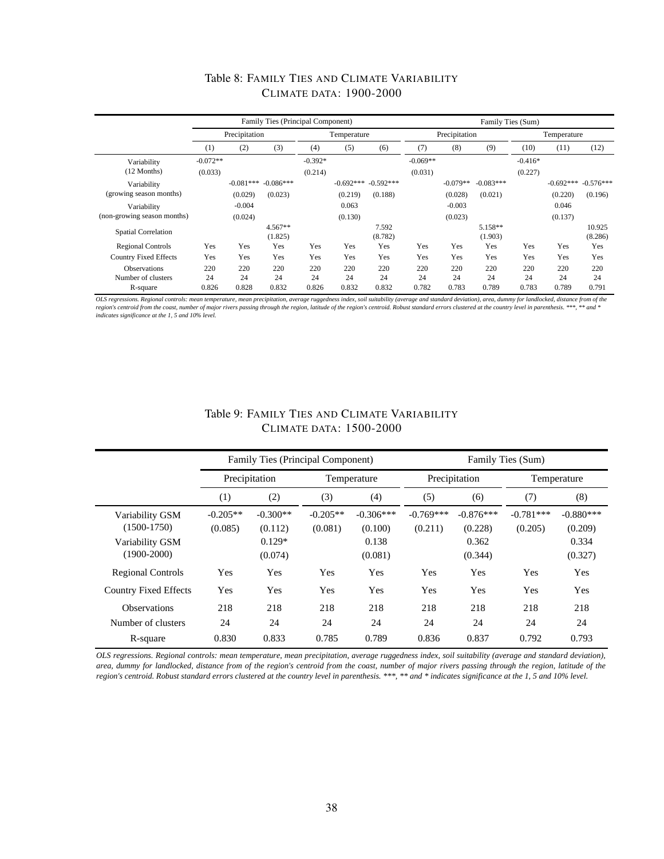| Table 8: FAMILY TIES AND CLIMATE VARIABILITY |
|----------------------------------------------|
| <b>CLIMATE DATA: 1900-2000</b>               |

<span id="page-37-0"></span>

|                                                           | Family Ties (Principal Component) |                        |                        |                      |             |                                    | Family Ties (Sum)     |                       |                        |                      |             |                                    |
|-----------------------------------------------------------|-----------------------------------|------------------------|------------------------|----------------------|-------------|------------------------------------|-----------------------|-----------------------|------------------------|----------------------|-------------|------------------------------------|
|                                                           |                                   | Precipitation          |                        |                      | Temperature |                                    |                       | Precipitation         |                        |                      | Temperature |                                    |
|                                                           | (1)                               | (2)                    | (3)                    | (4)                  | (5)         | (6)                                | (7)                   | (8)                   | (9)                    | (10)                 | (11)        | (12)                               |
| Variability<br>(12 Months)                                | $-0.072**$<br>(0.033)             |                        |                        | $-0.392*$<br>(0.214) |             |                                    | $-0.069**$<br>(0.031) |                       |                        | $-0.416*$<br>(0.227) |             |                                    |
| Variability<br>(growing season months)                    |                                   | $-0.081***$<br>(0.029) | $-0.086***$<br>(0.023) |                      | (0.219)     | $-0.692***$ $-0.592***$<br>(0.188) |                       | $-0.079**$<br>(0.028) | $-0.083***$<br>(0.021) |                      | (0.220)     | $-0.692***$ $-0.576***$<br>(0.196) |
| Variability                                               |                                   | $-0.004$               |                        |                      | 0.063       |                                    |                       | $-0.003$              |                        |                      | 0.046       |                                    |
| (non-growing season months)<br><b>Spatial Correlation</b> |                                   | (0.024)                | $4.567**$<br>(1.825)   |                      | (0.130)     | 7.592<br>(8.782)                   |                       | (0.023)               | 5.158**<br>(1.903)     |                      | (0.137)     | 10.925<br>(8.286)                  |
| <b>Regional Controls</b>                                  | Yes                               | Yes                    | Yes                    | Yes                  | Yes         | Yes                                | Yes                   | Yes                   | Yes                    | Yes                  | Yes         | Yes                                |
| <b>Country Fixed Effects</b>                              | Yes                               | Yes                    | Yes                    | Yes                  | Yes         | Yes                                | Yes                   | Yes                   | Yes                    | Yes                  | Yes         | Yes                                |
| <b>Observations</b>                                       | 220                               | 220                    | 220                    | 220                  | 220         | 220                                | 220                   | 220                   | 220                    | 220                  | 220         | 220                                |
| Number of clusters                                        | 24                                | 24                     | 24                     | 24                   | 24          | 24                                 | 24                    | 24                    | 24                     | 24                   | 24          | 24                                 |
| R-square                                                  | 0.826                             | 0.828                  | 0.832                  | 0.826                | 0.832       | 0.832                              | 0.782                 | 0.783                 | 0.789                  | 0.783                | 0.789       | 0.791                              |

OLS regressions. Regional controls: mean temperature, mean precipitation, average ruggedness index, soil suitability (average and standard deviation), area, dummy for landlocked, distance from of the<br>region's centroid from

|  |                                | Table 9: FAMILY TIES AND CLIMATE VARIABILITY |
|--|--------------------------------|----------------------------------------------|
|  | <b>CLIMATE DATA: 1500-2000</b> |                                              |

<span id="page-37-1"></span>

|                                                                        |                       | Family Ties (Principal Component)            |                       |                                            |                        | Family Ties (Sum)                          |                        |                                            |
|------------------------------------------------------------------------|-----------------------|----------------------------------------------|-----------------------|--------------------------------------------|------------------------|--------------------------------------------|------------------------|--------------------------------------------|
|                                                                        |                       | Precipitation<br>Temperature                 |                       |                                            |                        | Precipitation                              | Temperature            |                                            |
|                                                                        | (1)                   | (2)                                          | (3)                   | (4)                                        | (5)                    | (6)                                        | (7)                    | (8)                                        |
| Variability GSM<br>$(1500-1750)$<br>Variability GSM<br>$(1900 - 2000)$ | $-0.205**$<br>(0.085) | $-0.300**$<br>(0.112)<br>$0.129*$<br>(0.074) | $-0.205**$<br>(0.081) | $-0.306***$<br>(0.100)<br>0.138<br>(0.081) | $-0.769***$<br>(0.211) | $-0.876***$<br>(0.228)<br>0.362<br>(0.344) | $-0.781***$<br>(0.205) | $-0.880***$<br>(0.209)<br>0.334<br>(0.327) |
| <b>Regional Controls</b>                                               | Yes                   | Yes                                          | Yes                   | Yes                                        | Yes                    | Yes                                        | Yes                    | Yes                                        |
| <b>Country Fixed Effects</b>                                           | Yes                   | Yes                                          | Yes                   | Yes                                        | Yes                    | Yes                                        | Yes                    | Yes                                        |
| <b>Observations</b>                                                    | 218                   | 218                                          | 218                   | 218                                        | 218                    | 218                                        | 218                    | 218                                        |
| Number of clusters                                                     | 24                    | 24                                           | 24                    | 24                                         | 24                     | 24                                         | 24                     | 24                                         |
| R-square                                                               | 0.830                 | 0.833                                        | 0.785                 | 0.789                                      | 0.836                  | 0.837                                      | 0.792                  | 0.793                                      |

OLS regressions. Regional controls: mean temperature, mean precipitation, average ruggedness index, soil suitability (average and standard deviation), *area, dummy for landlocked, distance from of the region's centroid from the coast, number of major rivers passing through the region, latitude of the region's centroid. Robust standard errors clustered at the country level in parenthesis. \*\*\*, \*\* and \* indicates significance at the 1, 5 and 10% level.*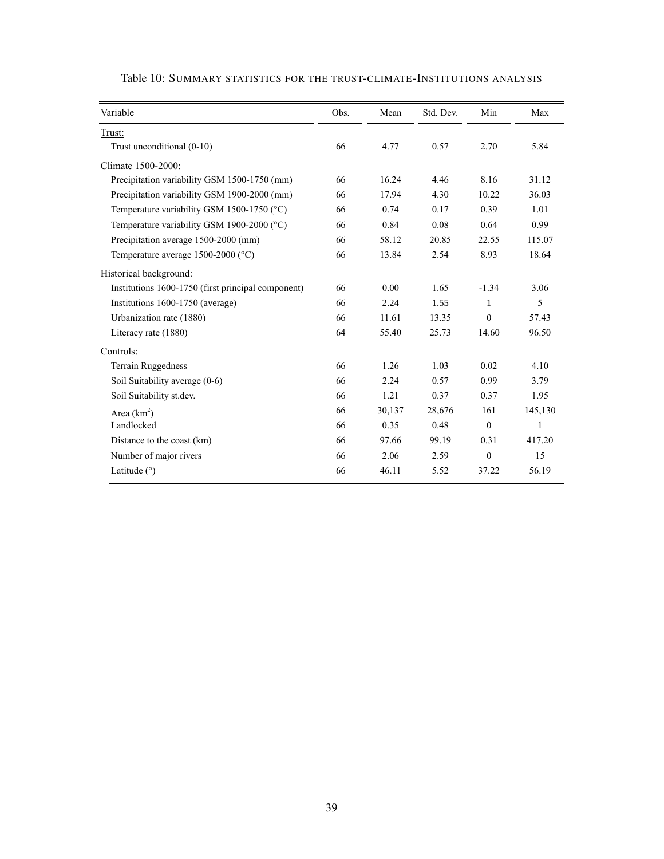| Variable                                           | Obs. | Mean   | Std. Dev. | Min          | Max     |
|----------------------------------------------------|------|--------|-----------|--------------|---------|
| Trust:                                             |      |        |           |              |         |
| Trust unconditional (0-10)                         | 66   | 4.77   | 0.57      | 2.70         | 5.84    |
| Climate 1500-2000:                                 |      |        |           |              |         |
| Precipitation variability GSM 1500-1750 (mm)       | 66   | 16.24  | 4.46      | 8.16         | 31.12   |
| Precipitation variability GSM 1900-2000 (mm)       | 66   | 17.94  | 4.30      | 10.22        | 36.03   |
| Temperature variability GSM 1500-1750 (°C)         | 66   | 0.74   | 0.17      | 0.39         | 1.01    |
| Temperature variability GSM 1900-2000 (°C)         | 66   | 0.84   | 0.08      | 0.64         | 0.99    |
| Precipitation average 1500-2000 (mm)               | 66   | 58.12  | 20.85     | 22.55        | 115.07  |
| Temperature average 1500-2000 (°C)                 | 66   | 13.84  | 2.54      | 8.93         | 18.64   |
| Historical background:                             |      |        |           |              |         |
| Institutions 1600-1750 (first principal component) | 66   | 0.00   | 1.65      | $-1.34$      | 3.06    |
| Institutions 1600-1750 (average)                   | 66   | 2.24   | 1.55      | 1            | 5       |
| Urbanization rate (1880)                           | 66   | 11.61  | 13.35     | $\theta$     | 57.43   |
| Literacy rate (1880)                               | 64   | 55.40  | 25.73     | 14.60        | 96.50   |
| Controls:                                          |      |        |           |              |         |
| Terrain Ruggedness                                 | 66   | 1.26   | 1.03      | 0.02         | 4.10    |
| Soil Suitability average (0-6)                     | 66   | 2.24   | 0.57      | 0.99         | 3.79    |
| Soil Suitability st.dev.                           | 66   | 1.21   | 0.37      | 0.37         | 1.95    |
| Area $(km^2)$                                      | 66   | 30,137 | 28,676    | 161          | 145,130 |
| Landlocked                                         | 66   | 0.35   | 0.48      | $\mathbf{0}$ | 1       |
| Distance to the coast (km)                         | 66   | 97.66  | 99.19     | 0.31         | 417.20  |
| Number of major rivers                             | 66   | 2.06   | 2.59      | $\mathbf{0}$ | 15      |
| Latitude $(°)$                                     | 66   | 46.11  | 5.52      | 37.22        | 56.19   |

# <span id="page-38-0"></span>Table 10: SUMMARY STATISTICS FOR THE TRUST-CLIMATE-INSTITUTIONS ANALYSIS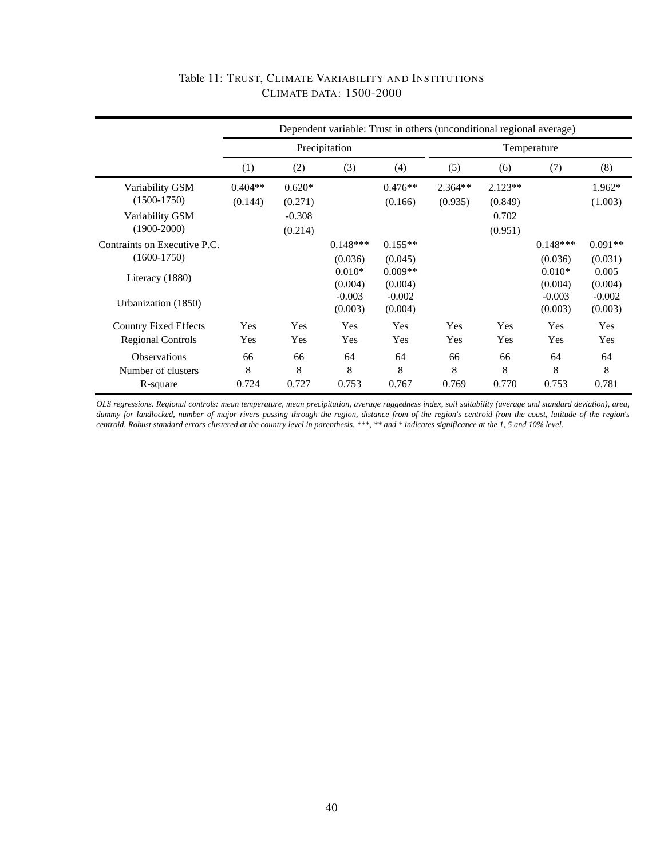<span id="page-39-0"></span>

|                              |               |          |            |           | Dependent variable: Trust in others (unconditional regional average) |           |            |           |  |
|------------------------------|---------------|----------|------------|-----------|----------------------------------------------------------------------|-----------|------------|-----------|--|
|                              | Precipitation |          |            |           | Temperature                                                          |           |            |           |  |
|                              | (1)           | (2)      | (3)        | (4)       | (5)                                                                  | (6)       | (7)        | (8)       |  |
| Variability GSM              | $0.404**$     | $0.620*$ |            | $0.476**$ | $2.364**$                                                            | $2.123**$ |            | 1.962*    |  |
| $(1500-1750)$                | (0.144)       | (0.271)  |            | (0.166)   | (0.935)                                                              | (0.849)   |            | (1.003)   |  |
| Variability GSM              |               | $-0.308$ |            |           |                                                                      | 0.702     |            |           |  |
| $(1900 - 2000)$              |               | (0.214)  |            |           |                                                                      | (0.951)   |            |           |  |
| Contraints on Executive P.C. |               |          | $0.148***$ | $0.155**$ |                                                                      |           | $0.148***$ | $0.091**$ |  |
| $(1600-1750)$                |               |          | (0.036)    | (0.045)   |                                                                      |           | (0.036)    | (0.031)   |  |
| Literacy (1880)              |               |          | $0.010*$   | $0.009**$ |                                                                      |           | $0.010*$   | 0.005     |  |
|                              |               |          | (0.004)    | (0.004)   |                                                                      |           | (0.004)    | (0.004)   |  |
| Urbanization (1850)          |               |          | $-0.003$   | $-0.002$  |                                                                      |           | $-0.003$   | $-0.002$  |  |
|                              |               |          | (0.003)    | (0.004)   |                                                                      |           | (0.003)    | (0.003)   |  |
| <b>Country Fixed Effects</b> | Yes           | Yes      | Yes        | Yes       | Yes                                                                  | Yes       | Yes        | Yes       |  |
| <b>Regional Controls</b>     | Yes           | Yes      | Yes        | Yes       | Yes                                                                  | Yes       | Yes        | Yes       |  |
| Observations                 | 66            | 66       | 64         | 64        | 66                                                                   | 66        | 64         | 64        |  |
| Number of clusters           | 8             | 8        | 8          | 8         | 8                                                                    | 8         | 8          | 8         |  |
| R-square                     | 0.724         | 0.727    | 0.753      | 0.767     | 0.769                                                                | 0.770     | 0.753      | 0.781     |  |

# Table 11: TRUST, CLIMATE VARIABILITY AND INSTITUTIONS CLIMATE DATA: 1500-2000

*OLS regressions. Regional controls: mean temperature, mean precipitation, average ruggedness index, soil suitability (average and standard deviation), area, dummy for landlocked, number of major rivers passing through the region, distance from of the region's centroid from the coast, latitude of the region's centroid. Robust standard errors clustered at the country level in parenthesis. \*\*\*, \*\* and \* indicates significance at the 1, 5 and 10% level.*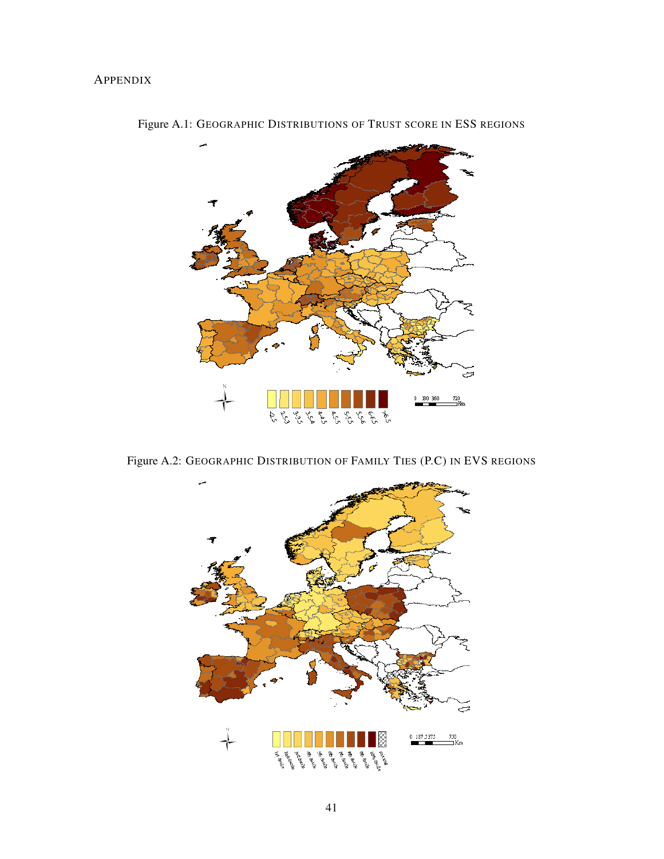

<span id="page-40-0"></span>Figure A.1: GEOGRAPHIC DISTRIBUTIONS OF TRUST SCORE IN ESS REGIONS

<span id="page-40-1"></span>Figure A.2: GEOGRAPHIC DISTRIBUTION OF FAMILY TIES (P.C) IN EVS REGIONS

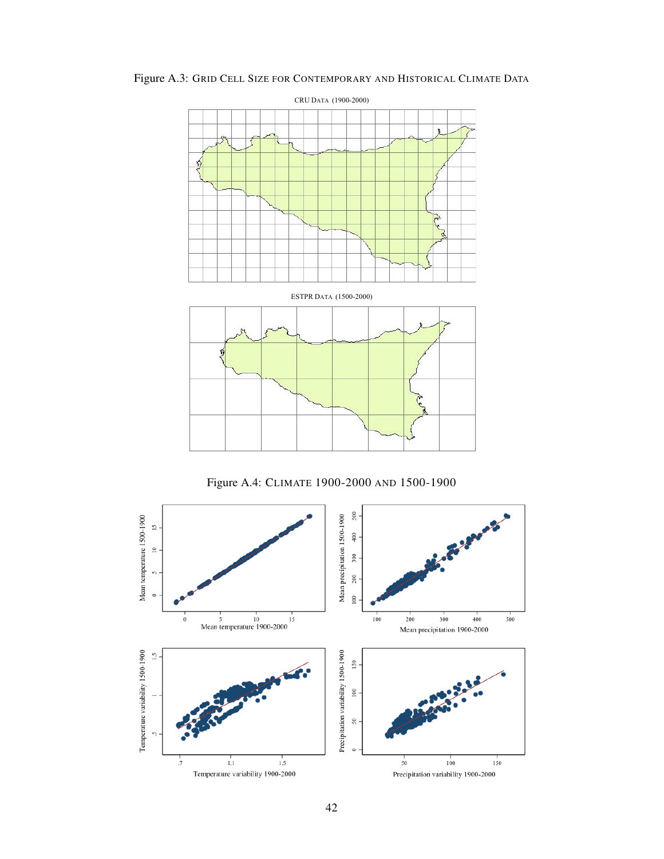Figure A.3: GRID CELL SIZE FOR CONTEMPORARY AND HISTORICAL CLIMATE DATA



Figure A.4: CLIMATE 1900-2000 AND 1500-1900

<span id="page-41-0"></span>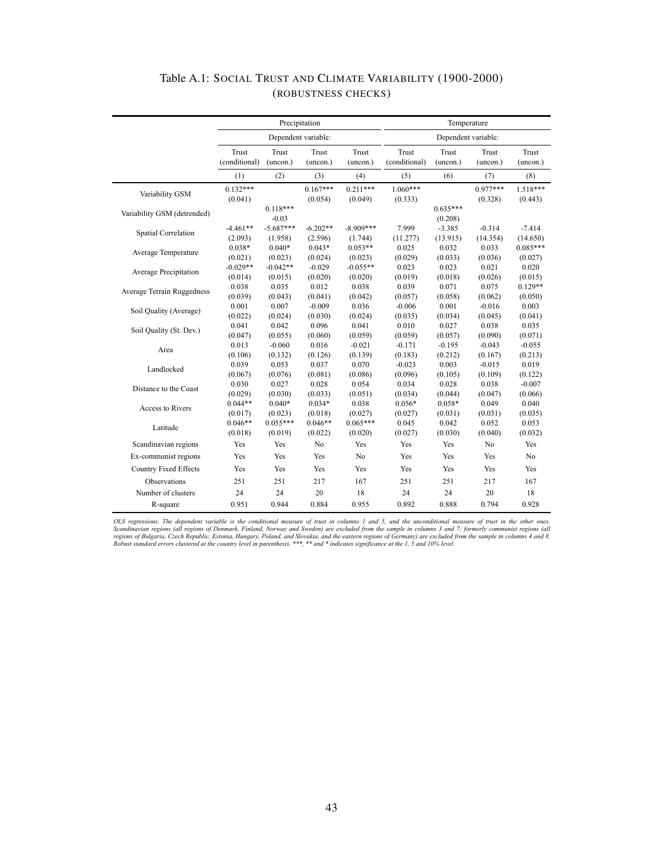<span id="page-42-0"></span>

|                              | Precipitation         |                       |                       |                       | Temperature           |                       |                       |                       |  |
|------------------------------|-----------------------|-----------------------|-----------------------|-----------------------|-----------------------|-----------------------|-----------------------|-----------------------|--|
|                              |                       |                       | Dependent variable:   |                       | Dependent variable:   |                       |                       |                       |  |
|                              | Trust                 | Trust                 | Trust                 | Trust                 | Trust                 | Trust                 | Trust                 | Trust                 |  |
|                              | (conditional)         | (uncon.)              | (uncon.)              | (uncon.)              | (conditional)         | (uncon.)              | (uncon.)              | (uncon.)              |  |
|                              | (1)                   | (2)                   | (3)                   | (4)                   | (5)                   | (6)                   | (7)                   | (8)                   |  |
| Variability GSM              | $0.132***$<br>(0.041) |                       | $0.167***$<br>(0.054) | $0.211***$<br>(0.049) | $1.060***$<br>(0.333) |                       | $0.977***$<br>(0.328) | $1.518***$<br>(0.443) |  |
| Variability GSM (detrended)  |                       | $0.118***$<br>$-0.03$ |                       |                       |                       | $0.635***$<br>(0.208) |                       |                       |  |
| <b>Spatial Correlation</b>   | $-4.461**$            | $-5.687***$           | $-6.202**$            | $-8.909***$           | 7.999                 | $-3.385$              | $-0.314$              | $-7.414$              |  |
|                              | (2.093)               | (1.958)               | (2.596)               | (1.744)               | (11.277)              | (13.915)              | (14.354)              | (14.650)              |  |
| Average Temperature          | $0.038*$              | $0.040*$              | $0.043*$              | $0.053**$             | 0.025                 | 0.032                 | 0.033                 | $0.085***$            |  |
|                              | (0.021)               | (0.023)               | (0.024)               | (0.023)               | (0.029)               | (0.033)               | (0.036)               | (0.027)               |  |
| <b>Average Precipitation</b> | $-0.029**$            | $-0.042**$            | $-0.029$              | $-0.055**$            | 0.023                 | 0.023                 | 0.021                 | 0.020                 |  |
|                              | (0.014)               | (0.015)               | (0.020)               | (0.020)               | (0.019)               | (0.018)               | (0.026)               | (0.015)               |  |
| Average Terrain Ruggedness   | 0.038                 | 0.035                 | 0.012                 | 0.038                 | 0.039                 | 0.071                 | 0.075                 | $0.129**$             |  |
|                              | (0.039)               | (0.043)               | (0.041)               | (0.042)               | (0.057)               | (0.058)               | (0.062)               | (0.050)               |  |
| Soil Quality (Average)       | 0.001                 | 0.007                 | $-0.009$              | 0.036                 | $-0.006$              | 0.001                 | $-0.016$              | 0.003                 |  |
|                              | (0.022)               | (0.024)               | (0.030)               | (0.024)               | (0.035)               | (0.034)               | (0.045)               | (0.041)               |  |
| Soil Quality (St. Dev.)      | 0.041                 | 0.042                 | 0.096                 | 0.041                 | 0.010                 | 0.027                 | 0.038                 | 0.035                 |  |
|                              | (0.047)               | (0.055)               | (0.060)               | (0.059)               | (0.059)               | (0.057)               | (0.090)               | (0.071)               |  |
| Area                         | 0.013                 | $-0.060$              | 0.016                 | $-0.021$              | $-0.171$              | $-0.195$              | $-0.043$              | $-0.055$              |  |
|                              | (0.106)               | (0.132)               | (0.126)               | (0.139)               | (0.183)               | (0.212)               | (0.167)               | (0.213)               |  |
| Landlocked                   | 0.039                 | 0.053                 | 0.037                 | 0.070                 | $-0.023$              | 0.003                 | $-0.015$              | 0.019                 |  |
|                              | (0.067)               | (0.076)               | (0.081)               | (0.086)               | (0.096)               | (0.105)               | (0.109)               | (0.122)               |  |
| Distance to the Coast        | 0.030                 | 0.027                 | 0.028                 | 0.054                 | 0.034                 | 0.028                 | 0.038                 | $-0.007$              |  |
|                              | (0.029)               | (0.030)               | (0.033)               | (0.051)               | (0.034)               | (0.044)               | (0.047)               | (0.066)               |  |
| Access to Rivers             | $0.044**$             | $0.040*$              | $0.034*$              | 0.038                 | $0.056*$              | $0.058*$              | 0.049                 | 0.040                 |  |
|                              | (0.017)               | (0.023)               | (0.018)               | (0.027)               | (0.027)               | (0.031)               | (0.031)               | (0.035)               |  |
| Latitude                     | $0.046**$             | $0.055***$            | $0.046**$             | $0.065***$            | 0.045                 | 0.042                 | 0.052                 | 0.053                 |  |
|                              | (0.018)               | (0.019)               | (0.022)               | (0.020)               | (0.027)               | (0.030)               | (0.040)               | (0.032)               |  |
| Scandinavian regions         | Yes                   | Yes                   | No                    | Yes                   | Yes                   | Yes                   | No                    | Yes                   |  |
| Ex-communist regions         | Yes                   | Yes                   | Yes                   | N <sub>o</sub>        | Yes                   | Yes                   | Yes                   | N <sub>0</sub>        |  |
| <b>Country Fixed Effects</b> | Yes                   | Yes                   | Yes                   | Yes                   | Yes                   | Yes                   | Yes                   | Yes                   |  |
| Observations                 | 251                   | 251                   | 217                   | 167                   | 251                   | 251                   | 217                   | 167                   |  |
| Number of clusters           | 24                    | 24                    | 20                    | 18                    | 24                    | 24                    | 20                    | 18                    |  |
| R-square                     | 0.951                 | 0.944                 | 0.884                 | 0.955                 | 0.892                 | 0.888                 | 0.794                 | 0.928                 |  |

# Table A.1: SOCIAL TRUST AND CLIMATE VARIABILITY (1900-2000) (ROBUSTNESS CHECKS)

OLS regressions. The dependent variable is the conditional measure of trust in columns 1 and 5, and the unconditional measure of trust in the other ones.<br>Scandinavian regions (all regions of Denmark, Finland, Norway and Sw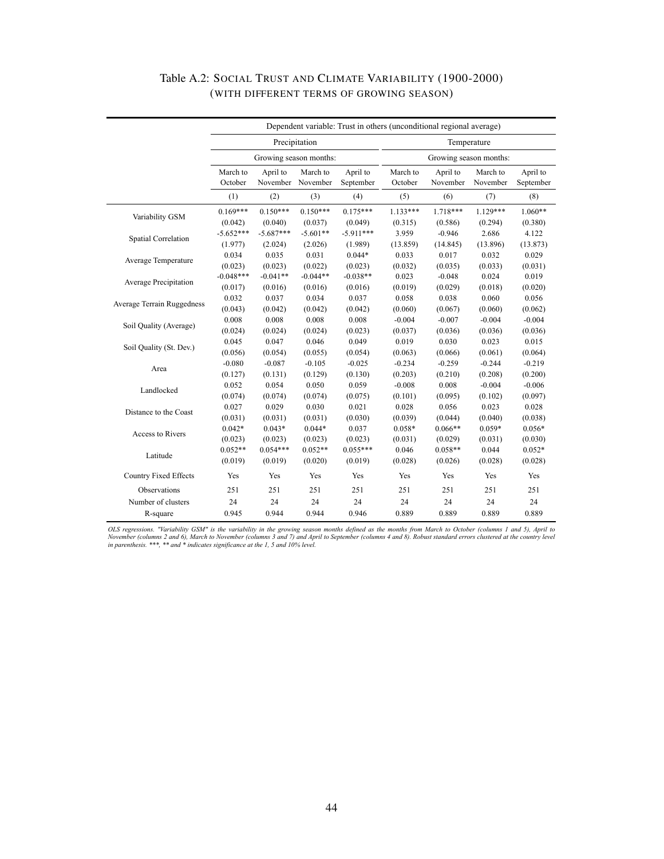<span id="page-43-0"></span>

|                              |                        |             |                               |                       | Dependent variable: Trust in others (unconditional regional average) |                      |                      |                       |  |  |
|------------------------------|------------------------|-------------|-------------------------------|-----------------------|----------------------------------------------------------------------|----------------------|----------------------|-----------------------|--|--|
|                              | Precipitation          |             |                               |                       | Temperature                                                          |                      |                      |                       |  |  |
|                              | Growing season months: |             |                               |                       | Growing season months:                                               |                      |                      |                       |  |  |
|                              | March to<br>October    | April to    | March to<br>November November | April to<br>September | March to<br>October                                                  | April to<br>November | March to<br>November | April to<br>September |  |  |
|                              | (1)                    | (2)         | (3)                           | (4)                   | (5)                                                                  | (6)                  | (7)                  | (8)                   |  |  |
| Variability GSM              | $0.169***$             | $0.150***$  | $0.150***$                    | $0.175***$            | $1.133***$                                                           | 1.718***             | $1.129***$           | $1.060**$             |  |  |
|                              | (0.042)                | (0.040)     | (0.037)                       | (0.049)               | (0.315)                                                              | (0.586)              | (0.294)              | (0.380)               |  |  |
| Spatial Correlation          | $-5.652***$            | $-5.687***$ | $-5.601**$                    | $-5.911***$           | 3.959                                                                | $-0.946$             | 2.686                | 4.122                 |  |  |
|                              | (1.977)                | (2.024)     | (2.026)                       | (1.989)               | (13.859)                                                             | (14.845)             | (13.896)             | (13.873)              |  |  |
| Average Temperature          | 0.034                  | 0.035       | 0.031                         | $0.044*$              | 0.033                                                                | 0.017                | 0.032                | 0.029                 |  |  |
|                              | (0.023)                | (0.023)     | (0.022)                       | (0.023)               | (0.032)                                                              | (0.035)              | (0.033)              | (0.031)               |  |  |
| Average Precipitation        | $-0.048***$            | $-0.041**$  | $-0.044**$                    | $-0.038**$            | 0.023                                                                | $-0.048$             | 0.024                | 0.019                 |  |  |
|                              | (0.017)                | (0.016)     | (0.016)                       | (0.016)               | (0.019)                                                              | (0.029)              | (0.018)              | (0.020)               |  |  |
| Average Terrain Ruggedness   | 0.032                  | 0.037       | 0.034                         | 0.037                 | 0.058                                                                | 0.038                | 0.060                | 0.056                 |  |  |
|                              | (0.043)                | (0.042)     | (0.042)                       | (0.042)               | (0.060)                                                              | (0.067)              | (0.060)              | (0.062)               |  |  |
|                              | 0.008                  | 0.008       | 0.008                         | 0.008                 | $-0.004$                                                             | $-0.007$             | $-0.004$             | $-0.004$              |  |  |
| Soil Quality (Average)       | (0.024)                | (0.024)     | (0.024)                       | (0.023)               | (0.037)                                                              | (0.036)              | (0.036)              | (0.036)               |  |  |
| Soil Quality (St. Dev.)      | 0.045                  | 0.047       | 0.046                         | 0.049                 | 0.019                                                                | 0.030                | 0.023                | 0.015                 |  |  |
|                              | (0.056)                | (0.054)     | (0.055)                       | (0.054)               | (0.063)                                                              | (0.066)              | (0.061)              | (0.064)               |  |  |
|                              | $-0.080$               | $-0.087$    | $-0.105$                      | $-0.025$              | $-0.234$                                                             | $-0.259$             | $-0.244$             | $-0.219$              |  |  |
| Area                         | (0.127)                | (0.131)     | (0.129)                       | (0.130)               | (0.203)                                                              | (0.210)              | (0.208)              | (0.200)               |  |  |
|                              | 0.052                  | 0.054       | 0.050                         | 0.059                 | $-0.008$                                                             | 0.008                | $-0.004$             | $-0.006$              |  |  |
| Landlocked                   | (0.074)                | (0.074)     | (0.074)                       | (0.075)               | (0.101)                                                              | (0.095)              | (0.102)              | (0.097)               |  |  |
|                              | 0.027                  | 0.029       | 0.030                         | 0.021                 | 0.028                                                                | 0.056                | 0.023                | 0.028                 |  |  |
| Distance to the Coast        | (0.031)                | (0.031)     | (0.031)                       | (0.030)               | (0.039)                                                              | (0.044)              | (0.040)              | (0.038)               |  |  |
|                              | $0.042*$               | $0.043*$    | $0.044*$                      | 0.037                 | $0.058*$                                                             | $0.066**$            | $0.059*$             | $0.056*$              |  |  |
| Access to Rivers             | (0.023)                | (0.023)     | (0.023)                       | (0.023)               | (0.031)                                                              | (0.029)              | (0.031)              | (0.030)               |  |  |
|                              | $0.052**$              | $0.054***$  | $0.052**$                     | $0.055***$            | 0.046                                                                | $0.058**$            | 0.044                | $0.052*$              |  |  |
| Latitude                     | (0.019)                | (0.019)     | (0.020)                       | (0.019)               | (0.028)                                                              | (0.026)              | (0.028)              | (0.028)               |  |  |
| <b>Country Fixed Effects</b> | Yes                    | Yes         | Yes                           | Yes                   | Yes                                                                  | Yes                  | Yes                  | Yes                   |  |  |
| Observations                 | 251                    | 251         | 251                           | 251                   | 251                                                                  | 251                  | 251                  | 251                   |  |  |
| Number of clusters           | 24                     | 24          | 24                            | 24                    | 24                                                                   | 24                   | 24                   | 24                    |  |  |
| R-square                     | 0.945                  | 0.944       | 0.944                         | 0.946                 | 0.889                                                                | 0.889                | 0.889                | 0.889                 |  |  |

# Table A.2: SOCIAL TRUST AND CLIMATE VARIABILITY (1900-2000) (WITH DIFFERENT TERMS OF GROWING SEASON)

OLS regressions. "Variability GSM" is the variability in the growing season months defined as the months from March to October (columns 1 and 5), April to<br>November (columns 2 and 6), March to November (columns 3 and 7) and